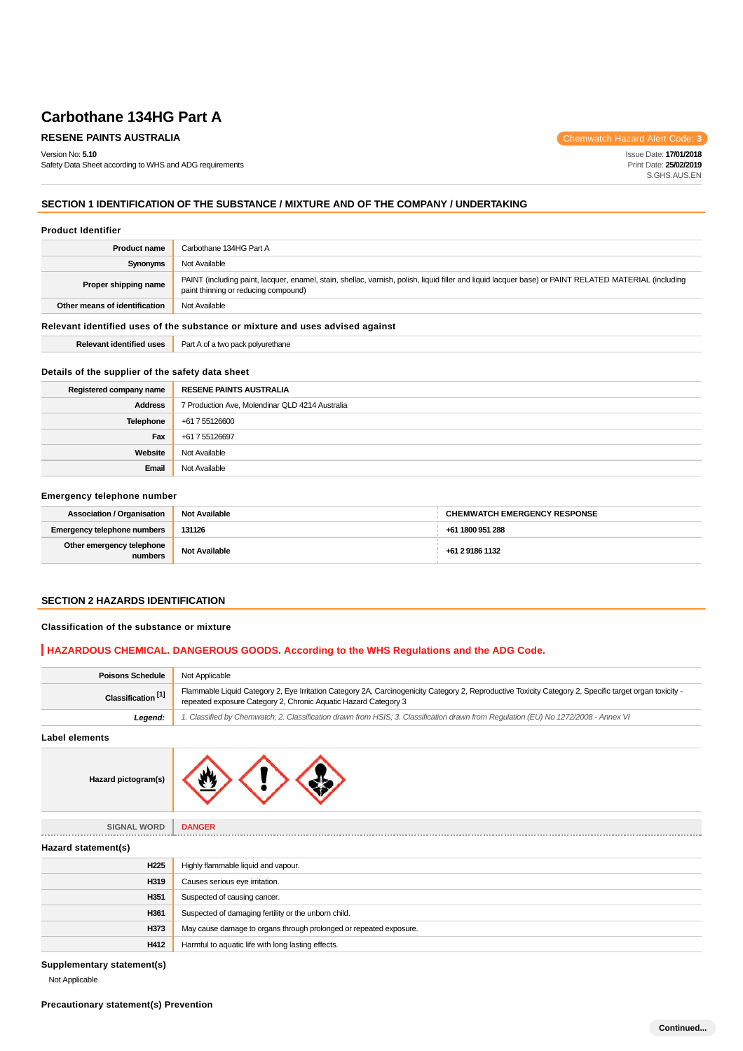# **RESENE PAINTS AUSTRALIA Chemwatch Hazard Alert Code: 3**

Version No: **5.10**

Safety Data Sheet according to WHS and ADG requirements

Issue Date: **17/01/2018** Print Date: **25/02/2019** S.GHS.AUS.EN

# **SECTION 1 IDENTIFICATION OF THE SUBSTANCE / MIXTURE AND OF THE COMPANY / UNDERTAKING**

### **Product Identifier**

| <b>Product name</b>                                                           | Carbothane 134HG Part A                                                                                                                                                                       |  |
|-------------------------------------------------------------------------------|-----------------------------------------------------------------------------------------------------------------------------------------------------------------------------------------------|--|
| Synonyms                                                                      | Not Available                                                                                                                                                                                 |  |
| Proper shipping name                                                          | PAINT (including paint, lacquer, enamel, stain, shellac, varnish, polish, liquid filler and liquid lacquer base) or PAINT RELATED MATERIAL (including<br>paint thinning or reducing compound) |  |
| Other means of identification                                                 | Not Available                                                                                                                                                                                 |  |
| Relevant identified uses of the substance or mixture and uses advised against |                                                                                                                                                                                               |  |
| <b>Relevant identified uses</b>                                               | Part A of a two pack polyurethane                                                                                                                                                             |  |

# **Details of the supplier of the safety data sheet**

| Registered company name | <b>RESENE PAINTS AUSTRALIA</b>                  |
|-------------------------|-------------------------------------------------|
| <b>Address</b>          | 7 Production Ave, Molendinar QLD 4214 Australia |
| Telephone               | +61 7 55126600                                  |
| Fax                     | +61 7 55126697                                  |
| Website                 | Not Available                                   |
| Email                   | Not Available                                   |

### **Emergency telephone number**

| <b>Association / Organisation</b>    | <b>Not Available</b> | <b>CHEMWATCH EMERGENCY RESPONSE</b> |
|--------------------------------------|----------------------|-------------------------------------|
| <b>Emergency telephone numbers</b>   | 131126               | +61 1800 951 288                    |
| Other emergency telephone<br>numbers | <b>Not Available</b> | +61 2 9186 1132                     |

# **SECTION 2 HAZARDS IDENTIFICATION**

### **Classification of the substance or mixture**

# **HAZARDOUS CHEMICAL. DANGEROUS GOODS. According to the WHS Regulations and the ADG Code.**

| <b>Poisons Schedule</b>       | Not Applicable                                                                                                                                                                                                             |
|-------------------------------|----------------------------------------------------------------------------------------------------------------------------------------------------------------------------------------------------------------------------|
| Classification <sup>[1]</sup> | Flammable Liquid Category 2, Eye Irritation Category 2A, Carcinogenicity Category 2, Reproductive Toxicity Category 2, Specific target organ toxicity -<br>repeated exposure Category 2, Chronic Aquatic Hazard Category 3 |
| Legend:                       | '. Classified by Chemwatch; 2. Classification drawn from HSIS; 3. Classification drawn from Requlation (EU) No 1272/2008 - Annex VI                                                                                        |
| Label elements                |                                                                                                                                                                                                                            |



| <b>SIGNAL WORD</b>  | <b>DANGER</b>                                                      |
|---------------------|--------------------------------------------------------------------|
| Hazard statement(s) |                                                                    |
| H <sub>225</sub>    | Highly flammable liquid and vapour.                                |
| H319                | Causes serious eye irritation.                                     |
| H351                | Suspected of causing cancer.                                       |
| H361                | Suspected of damaging fertility or the unborn child.               |
| H373                | May cause damage to organs through prolonged or repeated exposure. |
| H412                | Harmful to aquatic life with long lasting effects.                 |
|                     |                                                                    |

**Supplementary statement(s)**

Not Applicable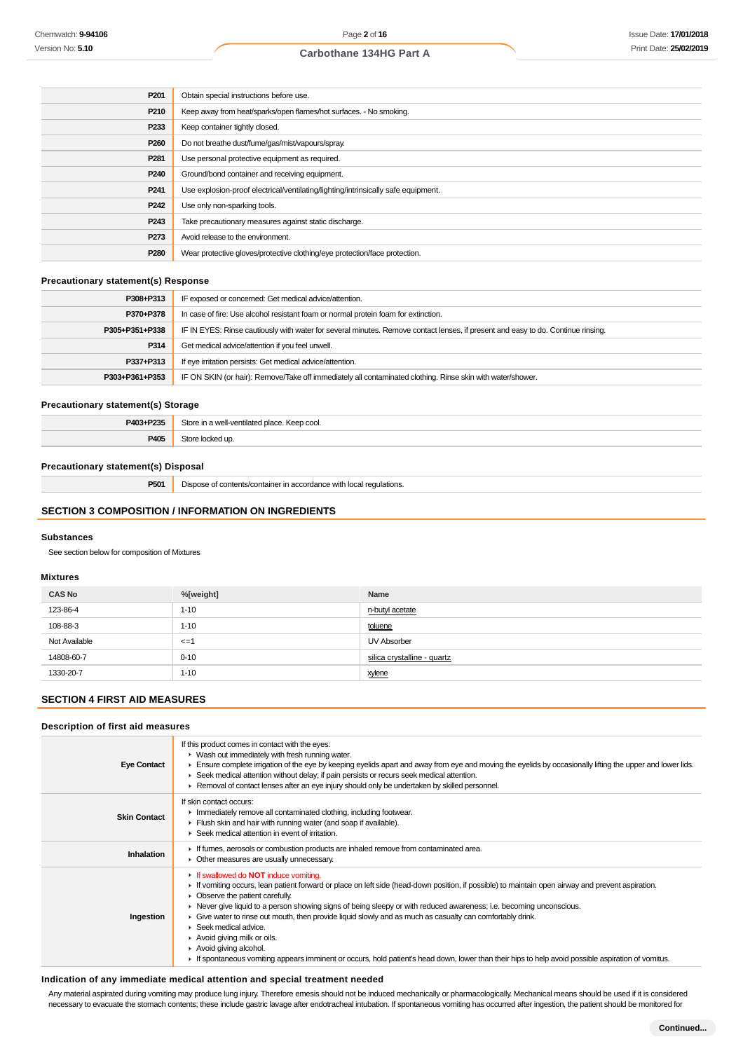| P <sub>201</sub> | Obtain special instructions before use.                                           |
|------------------|-----------------------------------------------------------------------------------|
| P210             | Keep away from heat/sparks/open flames/hot surfaces. - No smoking.                |
| P233             | Keep container tightly closed.                                                    |
| P <sub>260</sub> | Do not breathe dust/fume/gas/mist/vapours/spray.                                  |
| P <sub>281</sub> | Use personal protective equipment as required.                                    |
| P <sub>240</sub> | Ground/bond container and receiving equipment.                                    |
| P <sub>241</sub> | Use explosion-proof electrical/ventilating/lighting/intrinsically safe equipment. |
| P <sub>242</sub> | Use only non-sparking tools.                                                      |
| P <sub>243</sub> | Take precautionary measures against static discharge.                             |
| P273             | Avoid release to the environment.                                                 |
| P <sub>280</sub> | Wear protective gloves/protective clothing/eye protection/face protection.        |

# **Precautionary statement(s) Response**

| P308+P313      | IF exposed or concerned: Get medical advice/attention.                                                                           |
|----------------|----------------------------------------------------------------------------------------------------------------------------------|
| P370+P378      | In case of fire: Use alcohol resistant foam or normal protein foam for extinction.                                               |
| P305+P351+P338 | IF IN EYES: Rinse cautiously with water for several minutes. Remove contact lenses, if present and easy to do. Continue rinsing. |
| P314           | Get medical advice/attention if you feel unwell.                                                                                 |
| P337+P313      | If eye irritation persists: Get medical advice/attention.                                                                        |
| P303+P361+P353 | IF ON SKIN (or hair): Remove/Take off immediately all contaminated clothing. Rinse skin with water/shower.                       |

### **Precautionary statement(s) Storage**

| <b>DA02.D225</b><br>-255 | Store in<br>∴ Keep cool.<br>well-ventilated place. |
|--------------------------|----------------------------------------------------|
| <b>P405</b>              | ר ∪ר                                               |

# **Precautionary statement(s) Disposal**

**P501** Dispose of contents/container in accordance with local regulations.

# **SECTION 3 COMPOSITION / INFORMATION ON INGREDIENTS**

#### **Substances**

See section below for composition of Mixtures

### **Mixtures**

| <b>CAS No</b> | %[weight]       | Name                        |
|---------------|-----------------|-----------------------------|
| 123-86-4      | $1 - 10$        | n-butyl acetate             |
| 108-88-3      | $1 - 10$        | toluene                     |
| Not Available | $\leq$ = $\leq$ | UV Absorber                 |
| 14808-60-7    | $0 - 10$        | silica crystalline - quartz |
| 1330-20-7     | $1 - 10$        | xylene                      |

### **SECTION 4 FIRST AID MEASURES**

### **Description of first aid measures**

| <b>Eye Contact</b>  | If this product comes in contact with the eyes:<br>• Wash out immediately with fresh running water.<br>Ensure complete irrigation of the eye by keeping eyelids apart and away from eye and moving the eyelids by occasionally lifting the upper and lower lids.<br>► Seek medical attention without delay; if pain persists or recurs seek medical attention.<br>► Removal of contact lenses after an eye injury should only be undertaken by skilled personnel.                                                                                                                                                                                                                                              |
|---------------------|----------------------------------------------------------------------------------------------------------------------------------------------------------------------------------------------------------------------------------------------------------------------------------------------------------------------------------------------------------------------------------------------------------------------------------------------------------------------------------------------------------------------------------------------------------------------------------------------------------------------------------------------------------------------------------------------------------------|
| <b>Skin Contact</b> | If skin contact occurs:<br>Inmediately remove all contaminated clothing, including footwear.<br>Flush skin and hair with running water (and soap if available).<br>▶ Seek medical attention in event of irritation.                                                                                                                                                                                                                                                                                                                                                                                                                                                                                            |
| <b>Inhalation</b>   | If fumes, aerosols or combustion products are inhaled remove from contaminated area.<br>• Other measures are usually unnecessary.                                                                                                                                                                                                                                                                                                                                                                                                                                                                                                                                                                              |
| Ingestion           | If swallowed do <b>NOT</b> induce vomiting.<br>► If vomiting occurs, lean patient forward or place on left side (head-down position, if possible) to maintain open airway and prevent aspiration.<br>• Observe the patient carefully.<br>► Never give liquid to a person showing signs of being sleepy or with reduced awareness; i.e. becoming unconscious.<br>Give water to rinse out mouth, then provide liquid slowly and as much as casualty can comfortably drink.<br>▶ Seek medical advice.<br>Avoid giving milk or oils.<br>Avoid giving alcohol.<br>If spontaneous vomiting appears imminent or occurs, hold patient's head down, lower than their hips to help avoid possible aspiration of vomitus. |

### **Indication of any immediate medical attention and special treatment needed**

Any material aspirated during vomiting may produce lung injury. Therefore emesis should not be induced mechanically or pharmacologically. Mechanical means should be used if it is considered necessary to evacuate the stomach contents; these include gastric lavage after endotracheal intubation. If spontaneous vomiting has occurred after ingestion, the patient should be monitored for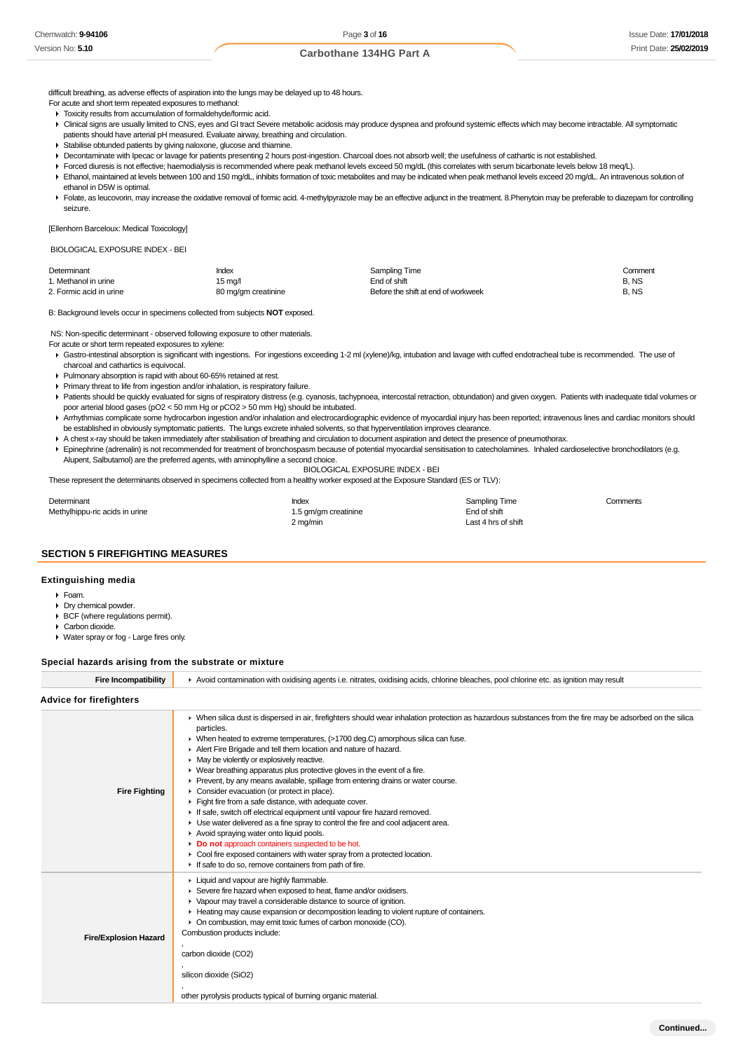difficult breathing, as adverse effects of aspiration into the lungs may be delayed up to 48 hours.

- For acute and short term repeated exposures to methanol:
- $\triangleright$  Toxicity results from accumulation of formaldehyde/formic acid.
- ▶ Clinical signs are usually limited to CNS, eyes and GI tract Severe metabolic acidosis may produce dyspnea and profound systemic effects which may become intractable. All symptomatic patients should have arterial pH measured. Evaluate airway, breathing and circulation.
- Stabilise obtunded patients by giving naloxone, glucose and thiamine.
- Decontaminate with Ipecac or lavage for patients presenting 2 hours post-ingestion. Charcoal does not absorb well; the usefulness of cathartic is not established.
- Forced diuresis is not effective; haemodialysis is recommended where peak methanol levels exceed 50 mg/dL (this correlates with serum bicarbonate levels below 18 meq/L).
- Ethanol, maintained at levels between 100 and 150 mg/dL, inhibits formation of toxic metabolites and may be indicated when peak methanol levels exceed 20 mg/dL. An intravenous solution of ethanol in D5W is optimal.
- Folate, as leucovorin, may increase the oxidative removal of formic acid. 4-methylpyrazole may be an effective adjunct in the treatment. 8. Phenytoin may be preferable to diazepam for controlling seizure.

[Ellenhorn Barceloux: Medical Toxicology]

BIOLOGICAL EXPOSURE INDEX - BEI

| Determinant             | Index               | Sampling Time                       | Comment |
|-------------------------|---------------------|-------------------------------------|---------|
| 1. Methanol in urine    | 15 ma/l             | End of shift                        | B.NS    |
| 2. Formic acid in urine | 80 mg/gm creatinine | Before the shift at end of workweek | B.NS    |

B: Background levels occur in specimens collected from subjects **NOT** exposed.

NS: Non-specific determinant - observed following exposure to other materials.

For acute or short term repeated exposures to xylene:

- Gastro-intestinal absorption is significant with ingestions. For ingestions exceeding 1-2 ml (xylene)/kg, intubation and lavage with cuffed endotracheal tube is recommended. The use of charcoal and cathartics is equivocal.
- Pulmonary absorption is rapid with about 60-65% retained at rest.
- Primary threat to life from ingestion and/or inhalation, is respiratory failure.
- ▶ Patients should be quickly evaluated for signs of respiratory distress (e.g. cyanosis, tachypnoea, intercostal retraction, obtundation) and given oxygen. Patients with inadequate tidal volumes or poor arterial blood gases (pO2 < 50 mm Hg or pCO2 > 50 mm Hg) should be intubated.
- Arrhythmias complicate some hydrocarbon ingestion and/or inhalation and electrocardiographic evidence of myocardial injury has been reported; intravenous lines and cardiac monitors should be established in obviously symptomatic patients. The lungs excrete inhaled solvents, so that hyperventilation improves clearance.
- A chest x-ray should be taken immediately after stabilisation of breathing and circulation to document aspiration and detect the presence of pneumothorax.
- Epinephrine (adrenalin) is not recommended for treatment of bronchospasm because of potential myocardial sensitisation to catecholamines. Inhaled cardioselective bronchodilators (e.g. Alupent, Salbutamol) are the preferred agents, with aminophylline a second choice.

### BIOLOGICAL EXPOSURE INDEX - BEI

These represent the determinants observed in specimens collected from a healthy worker exposed at the Exposure Standard (ES or TLV):

| Determinant                    | Index                | <b>Sampling Time</b> | Comments |
|--------------------------------|----------------------|----------------------|----------|
| Methylhippu-ric acids in urine | 1.5 gm/gm creatinine | End of shift         |          |
|                                | 2 mg/min             | Last 4 hrs of shift  |          |

# **SECTION 5 FIREFIGHTING MEASURES**

### **Extinguishing media**

- Foam.
- Dry chemical powder.
- BCF (where regulations permit).
- Carbon dioxide.
- Water spray or fog Large fires only.

### **Special hazards arising from the substrate or mixture**

| <b>Fire Incompatibility</b>    | Avoid contamination with oxidising agents i.e. nitrates, oxidising acids, chlorine bleaches, pool chlorine etc. as ignition may result                                                                                                                                                                                                                                                                                                                                                                                                                                                                                                                                                                                                                                                                                                                                                                                                                                                                                                                                           |  |  |  |
|--------------------------------|----------------------------------------------------------------------------------------------------------------------------------------------------------------------------------------------------------------------------------------------------------------------------------------------------------------------------------------------------------------------------------------------------------------------------------------------------------------------------------------------------------------------------------------------------------------------------------------------------------------------------------------------------------------------------------------------------------------------------------------------------------------------------------------------------------------------------------------------------------------------------------------------------------------------------------------------------------------------------------------------------------------------------------------------------------------------------------|--|--|--|
| <b>Advice for firefighters</b> |                                                                                                                                                                                                                                                                                                                                                                                                                                                                                                                                                                                                                                                                                                                                                                                                                                                                                                                                                                                                                                                                                  |  |  |  |
| <b>Fire Fighting</b>           | > When silica dust is dispersed in air, firefighters should wear inhalation protection as hazardous substances from the fire may be adsorbed on the silica<br>particles.<br>▶ When heated to extreme temperatures, (>1700 deg.C) amorphous silica can fuse.<br>Alert Fire Brigade and tell them location and nature of hazard.<br>• May be violently or explosively reactive.<br>$\triangleright$ Wear breathing apparatus plus protective gloves in the event of a fire.<br>• Prevent, by any means available, spillage from entering drains or water course.<br>• Consider evacuation (or protect in place).<br>Fight fire from a safe distance, with adequate cover.<br>If safe, switch off electrical equipment until vapour fire hazard removed.<br>• Use water delivered as a fine spray to control the fire and cool adjacent area.<br>Avoid spraying water onto liquid pools.<br>Do not approach containers suspected to be hot.<br>• Cool fire exposed containers with water spray from a protected location.<br>If safe to do so, remove containers from path of fire. |  |  |  |
| <b>Fire/Explosion Hazard</b>   | Liquid and vapour are highly flammable.<br>Severe fire hazard when exposed to heat, flame and/or oxidisers.<br>• Vapour may travel a considerable distance to source of ignition.<br>Heating may cause expansion or decomposition leading to violent rupture of containers.<br>• On combustion, may emit toxic fumes of carbon monoxide (CO).<br>Combustion products include:<br>carbon dioxide (CO2)<br>silicon dioxide (SiO2)<br>other pyrolysis products typical of burning organic material.                                                                                                                                                                                                                                                                                                                                                                                                                                                                                                                                                                                 |  |  |  |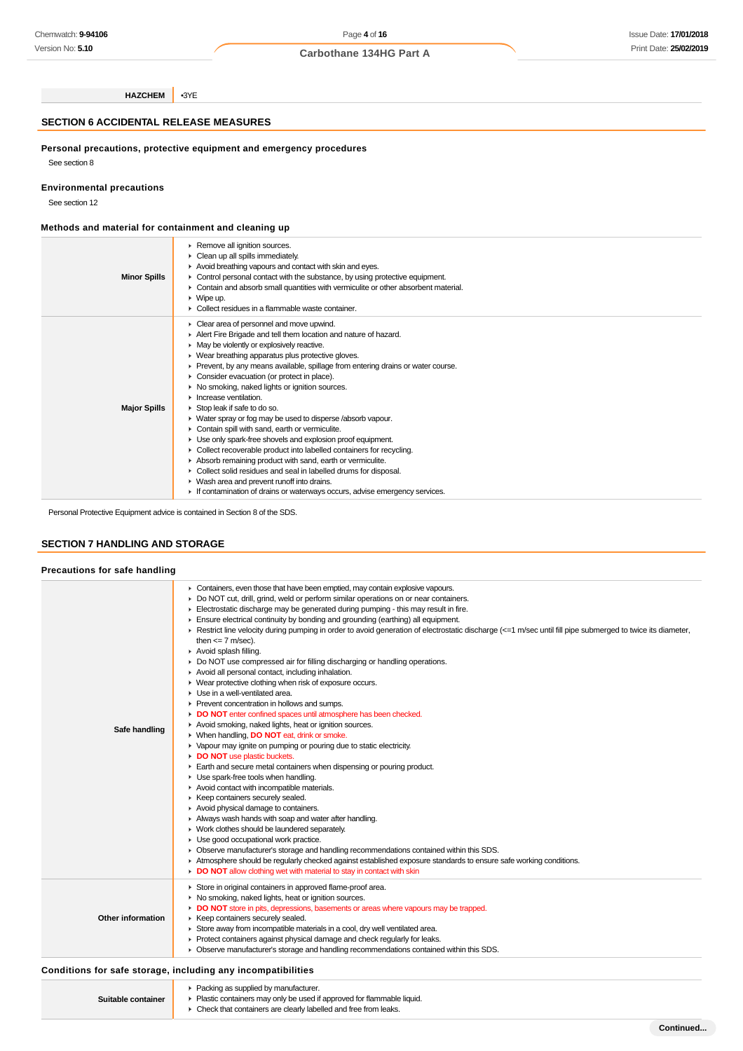**HAZCHEM** •3YE

# **SECTION 6 ACCIDENTAL RELEASE MEASURES**

**Personal precautions, protective equipment and emergency procedures**

See section 8

**Environmental precautions**

See section 12

# **Methods and material for containment and cleaning up**

| <b>Minor Spills</b> | ▶ Remove all ignition sources.<br>Clean up all spills immediately.<br>Avoid breathing vapours and contact with skin and eyes.<br>• Control personal contact with the substance, by using protective equipment.<br>• Contain and absorb small quantities with vermiculite or other absorbent material.<br>$\triangleright$ Wipe up.<br>$\blacktriangleright$ Collect residues in a flammable waste container.                                                                                                                                                                                                                                                                                                                                                                                                                                                                                                                                                                                                   |
|---------------------|----------------------------------------------------------------------------------------------------------------------------------------------------------------------------------------------------------------------------------------------------------------------------------------------------------------------------------------------------------------------------------------------------------------------------------------------------------------------------------------------------------------------------------------------------------------------------------------------------------------------------------------------------------------------------------------------------------------------------------------------------------------------------------------------------------------------------------------------------------------------------------------------------------------------------------------------------------------------------------------------------------------|
| <b>Major Spills</b> | Clear area of personnel and move upwind.<br>Alert Fire Brigade and tell them location and nature of hazard.<br>• May be violently or explosively reactive.<br>▶ Wear breathing apparatus plus protective gloves.<br>► Prevent, by any means available, spillage from entering drains or water course.<br>• Consider evacuation (or protect in place).<br>• No smoking, naked lights or ignition sources.<br>$\blacktriangleright$ Increase ventilation.<br>Stop leak if safe to do so.<br>• Water spray or fog may be used to disperse /absorb vapour.<br>Contain spill with sand, earth or vermiculite.<br>Use only spark-free shovels and explosion proof equipment.<br>• Collect recoverable product into labelled containers for recycling.<br>Absorb remaining product with sand, earth or vermiculite.<br>• Collect solid residues and seal in labelled drums for disposal.<br>• Wash area and prevent runoff into drains.<br>If contamination of drains or waterways occurs, advise emergency services. |

Personal Protective Equipment advice is contained in Section 8 of the SDS.

# **SECTION 7 HANDLING AND STORAGE**

## **Precautions for safe handling**

| Safe handling     | • Containers, even those that have been emptied, may contain explosive vapours.<br>Do NOT cut, drill, grind, weld or perform similar operations on or near containers.<br>Electrostatic discharge may be generated during pumping - this may result in fire.<br>Ensure electrical continuity by bonding and grounding (earthing) all equipment.<br>Exercit line velocity during pumping in order to avoid generation of electrostatic discharge (<=1 m/sec until fill pipe submerged to twice its diameter,<br>then $\leq$ 7 m/sec).<br>Avoid splash filling.<br>Do NOT use compressed air for filling discharging or handling operations.<br>Avoid all personal contact, including inhalation.<br>• Wear protective clothing when risk of exposure occurs.<br>Use in a well-ventilated area.<br>Prevent concentration in hollows and sumps.<br>DO NOT enter confined spaces until atmosphere has been checked.<br>Avoid smoking, naked lights, heat or ignition sources.<br>▶ When handling, DO NOT eat, drink or smoke.<br>• Vapour may ignite on pumping or pouring due to static electricity.<br>DO NOT use plastic buckets.<br>Earth and secure metal containers when dispensing or pouring product.<br>Use spark-free tools when handling.<br>Avoid contact with incompatible materials.<br>▶ Keep containers securely sealed.<br>Avoid physical damage to containers.<br>Always wash hands with soap and water after handling.<br>• Work clothes should be laundered separately.<br>Use good occupational work practice.<br>• Observe manufacturer's storage and handling recommendations contained within this SDS.<br>Atmosphere should be regularly checked against established exposure standards to ensure safe working conditions.<br>DO NOT allow clothing wet with material to stay in contact with skin |
|-------------------|-------------------------------------------------------------------------------------------------------------------------------------------------------------------------------------------------------------------------------------------------------------------------------------------------------------------------------------------------------------------------------------------------------------------------------------------------------------------------------------------------------------------------------------------------------------------------------------------------------------------------------------------------------------------------------------------------------------------------------------------------------------------------------------------------------------------------------------------------------------------------------------------------------------------------------------------------------------------------------------------------------------------------------------------------------------------------------------------------------------------------------------------------------------------------------------------------------------------------------------------------------------------------------------------------------------------------------------------------------------------------------------------------------------------------------------------------------------------------------------------------------------------------------------------------------------------------------------------------------------------------------------------------------------------------------------------------------------------------------------------------------------------------------------------------------------------------|
| Other information | Store in original containers in approved flame-proof area.<br>• No smoking, naked lights, heat or ignition sources.<br>DO NOT store in pits, depressions, basements or areas where vapours may be trapped.<br>▶ Keep containers securely sealed.<br>Store away from incompatible materials in a cool, dry well ventilated area.<br>▶ Protect containers against physical damage and check regularly for leaks.<br>• Observe manufacturer's storage and handling recommendations contained within this SDS.                                                                                                                                                                                                                                                                                                                                                                                                                                                                                                                                                                                                                                                                                                                                                                                                                                                                                                                                                                                                                                                                                                                                                                                                                                                                                                              |

### **Conditions for safe storage, including any incompatibilities**

| Suitable container | Packing as supplied by manufacturer.<br>• Plastic containers may only be used if approved for flammable liquid. |
|--------------------|-----------------------------------------------------------------------------------------------------------------|
|                    | Check that containers are clearly labelled and free from leaks.                                                 |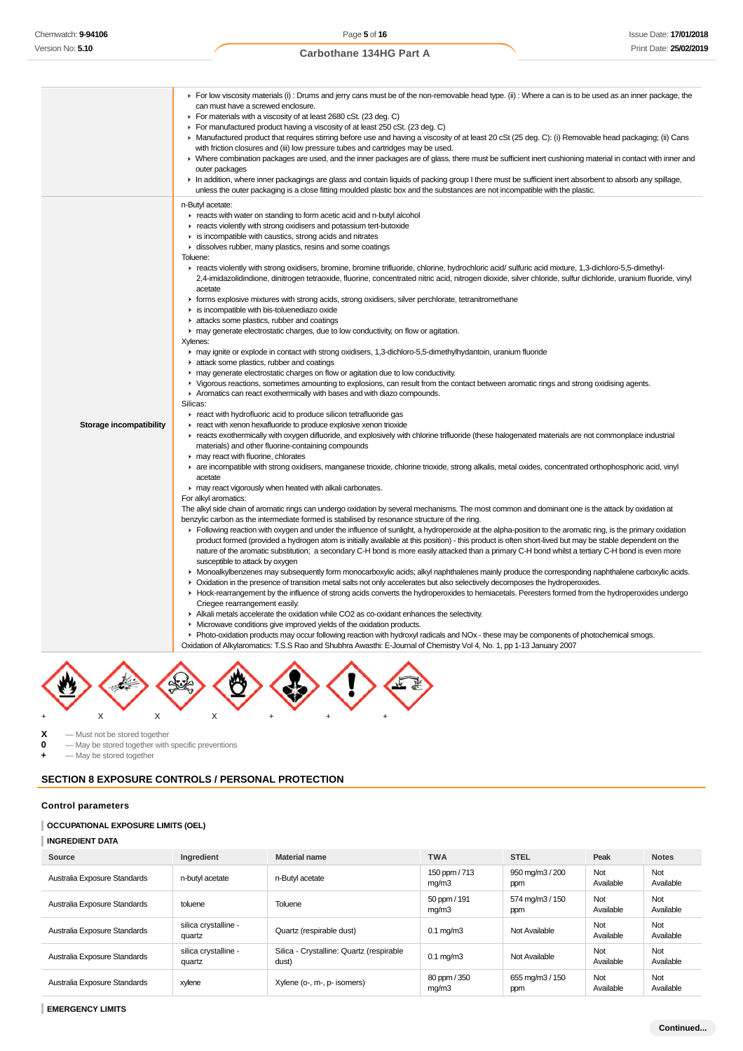| For low viscosity materials (i) : Drums and jerry cans must be of the non-removable head type. (ii) : Where a can is to be used as an inner package, the<br>can must have a screwed enclosure.<br>For materials with a viscosity of at least 2680 cSt. (23 deg. C)<br>► For manufactured product having a viscosity of at least 250 cSt. (23 deg. C)<br>► Manufactured product that requires stirring before use and having a viscosity of at least 20 cSt (25 deg. C): (i) Removable head packaging; (ii) Cans<br>with friction closures and (iii) low pressure tubes and cartridges may be used.<br>► Where combination packages are used, and the inner packages are of glass, there must be sufficient inert cushioning material in contact with inner and<br>outer packages<br>In addition, where inner packagings are glass and contain liquids of packing group I there must be sufficient inert absorbent to absorb any spillage,<br>unless the outer packaging is a close fitting moulded plastic box and the substances are not incompatible with the plastic.<br>n-Butyl acetate:<br>reacts with water on standing to form acetic acid and n-butyl alcohol<br>reacts violently with strong oxidisers and potassium tert-butoxide<br>is incompatible with caustics, strong acids and nitrates<br>dissolves rubber, many plastics, resins and some coatings<br>Toluene:<br>F reacts violently with strong oxidisers, bromine, bromine trifluoride, chlorine, hydrochloric acid/ sulfuric acid mixture, 1,3-dichloro-5,5-dimethyl-<br>2,4-imidazolidindione, dinitrogen tetraoxide, fluorine, concentrated nitric acid, nitrogen dioxide, silver chloride, sulfur dichloride, uranium fluoride, vinyl<br>acetate<br>F forms explosive mixtures with strong acids, strong oxidisers, silver perchlorate, tetranitromethane<br>is incompatible with bis-toluenediazo oxide<br>attacks some plastics, rubber and coatings<br>• may generate electrostatic charges, due to low conductivity, on flow or agitation.<br>Xylenes:<br>may ignite or explode in contact with strong oxidisers, 1,3-dichloro-5,5-dimethylhydantoin, uranium fluoride<br>attack some plastics, rubber and coatings<br>• may generate electrostatic charges on flow or agitation due to low conductivity.<br>► Vigorous reactions, sometimes amounting to explosions, can result from the contact between aromatic rings and strong oxidising agents.<br>Aromatics can react exothermically with bases and with diazo compounds.<br>Silicas:<br>react with hydrofluoric acid to produce silicon tetrafluoride gas<br>react with xenon hexafluoride to produce explosive xenon trioxide<br>Storage incompatibility<br>reacts exothermically with oxygen difluoride, and explosively with chlorine trifluoride (these halogenated materials are not commonplace industrial<br>materials) and other fluorine-containing compounds<br>may react with fluorine, chlorates<br>► are incompatible with strong oxidisers, manganese trioxide, chlorine trioxide, strong alkalis, metal oxides, concentrated orthophosphoric acid, vinyl<br>acetate<br>may react vigorously when heated with alkali carbonates.<br>For alkyl aromatics:<br>The alkyl side chain of aromatic rings can undergo oxidation by several mechanisms. The most common and dominant one is the attack by oxidation at<br>benzylic carbon as the intermediate formed is stabilised by resonance structure of the ring.<br>Following reaction with oxygen and under the influence of sunlight, a hydroperoxide at the alpha-position to the aromatic ring, is the primary oxidation<br>product formed (provided a hydrogen atom is initially available at this position) - this product is often short-lived but may be stable dependent on the<br>nature of the aromatic substitution; a secondary C-H bond is more easily attacked than a primary C-H bond whilst a tertiary C-H bond is even more<br>susceptible to attack by oxygen<br>• Monoalkylbenzenes may subsequently form monocarboxylic acids; alkyl naphthalenes mainly produce the corresponding naphthalene carboxylic acids.<br>• Oxidation in the presence of transition metal salts not only accelerates but also selectively decomposes the hydroperoxides.<br>► Hock-rearrangement by the influence of strong acids converts the hydroperoxides to hemiacetals. Peresters formed from the hydroperoxides undergo<br>Criegee rearrangement easily.<br>Alkali metals accelerate the oxidation while CO2 as co-oxidant enhances the selectivity.<br>• Microwave conditions give improved yields of the oxidation products. |                                                                                                                                          |
|--------------------------------------------------------------------------------------------------------------------------------------------------------------------------------------------------------------------------------------------------------------------------------------------------------------------------------------------------------------------------------------------------------------------------------------------------------------------------------------------------------------------------------------------------------------------------------------------------------------------------------------------------------------------------------------------------------------------------------------------------------------------------------------------------------------------------------------------------------------------------------------------------------------------------------------------------------------------------------------------------------------------------------------------------------------------------------------------------------------------------------------------------------------------------------------------------------------------------------------------------------------------------------------------------------------------------------------------------------------------------------------------------------------------------------------------------------------------------------------------------------------------------------------------------------------------------------------------------------------------------------------------------------------------------------------------------------------------------------------------------------------------------------------------------------------------------------------------------------------------------------------------------------------------------------------------------------------------------------------------------------------------------------------------------------------------------------------------------------------------------------------------------------------------------------------------------------------------------------------------------------------------------------------------------------------------------------------------------------------------------------------------------------------------------------------------------------------------------------------------------------------------------------------------------------------------------------------------------------------------------------------------------------------------------------------------------------------------------------------------------------------------------------------------------------------------------------------------------------------------------------------------------------------------------------------------------------------------------------------------------------------------------------------------------------------------------------------------------------------------------------------------------------------------------------------------------------------------------------------------------------------------------------------------------------------------------------------------------------------------------------------------------------------------------------------------------------------------------------------------------------------------------------------------------------------------------------------------------------------------------------------------------------------------------------------------------------------------------------------------------------------------------------------------------------------------------------------------------------------------------------------------------------------------------------------------------------------------------------------------------------------------------------------------------------------------------------------------------------------------------------------------------------------------------------------------------------------------------------------------------------------------------------------------------------------------------------------------------------------------------------------------------------------------------------------------------------------------------------------------------------------------------------------------------------------------------------------------------------------------------------------|------------------------------------------------------------------------------------------------------------------------------------------|
|                                                                                                                                                                                                                                                                                                                                                                                                                                                                                                                                                                                                                                                                                                                                                                                                                                                                                                                                                                                                                                                                                                                                                                                                                                                                                                                                                                                                                                                                                                                                                                                                                                                                                                                                                                                                                                                                                                                                                                                                                                                                                                                                                                                                                                                                                                                                                                                                                                                                                                                                                                                                                                                                                                                                                                                                                                                                                                                                                                                                                                                                                                                                                                                                                                                                                                                                                                                                                                                                                                                                                                                                                                                                                                                                                                                                                                                                                                                                                                                                                                                                                                                                                                                                                                                                                                                                                                                                                                                                                                                                                                                                                                      |                                                                                                                                          |
|                                                                                                                                                                                                                                                                                                                                                                                                                                                                                                                                                                                                                                                                                                                                                                                                                                                                                                                                                                                                                                                                                                                                                                                                                                                                                                                                                                                                                                                                                                                                                                                                                                                                                                                                                                                                                                                                                                                                                                                                                                                                                                                                                                                                                                                                                                                                                                                                                                                                                                                                                                                                                                                                                                                                                                                                                                                                                                                                                                                                                                                                                                                                                                                                                                                                                                                                                                                                                                                                                                                                                                                                                                                                                                                                                                                                                                                                                                                                                                                                                                                                                                                                                                                                                                                                                                                                                                                                                                                                                                                                                                                                                                      |                                                                                                                                          |
| Oxidation of Alkylaromatics: T.S.S Rao and Shubhra Awasthi: E-Journal of Chemistry Vol 4, No. 1, pp 1-13 January 2007                                                                                                                                                                                                                                                                                                                                                                                                                                                                                                                                                                                                                                                                                                                                                                                                                                                                                                                                                                                                                                                                                                                                                                                                                                                                                                                                                                                                                                                                                                                                                                                                                                                                                                                                                                                                                                                                                                                                                                                                                                                                                                                                                                                                                                                                                                                                                                                                                                                                                                                                                                                                                                                                                                                                                                                                                                                                                                                                                                                                                                                                                                                                                                                                                                                                                                                                                                                                                                                                                                                                                                                                                                                                                                                                                                                                                                                                                                                                                                                                                                                                                                                                                                                                                                                                                                                                                                                                                                                                                                                | ▶ Photo-oxidation products may occur following reaction with hydroxyl radicals and NOx - these may be components of photochemical smogs. |



**X** — Must not be stored together<br>**0** — May be stored together with **0** — May be stored together with specific preventions

**+** — May be stored together

# **SECTION 8 EXPOSURE CONTROLS / PERSONAL PROTECTION**

### **Control parameters**

# **OCCUPATIONAL EXPOSURE LIMITS (OEL)**

### **INGREDIENT DATA**

| Source                       | Ingredient                     | <b>Material name</b>                              | <b>TWA</b>             | <b>STEL</b>            | Peak             | <b>Notes</b>     |
|------------------------------|--------------------------------|---------------------------------------------------|------------------------|------------------------|------------------|------------------|
| Australia Exposure Standards | n-butyl acetate                | n-Butyl acetate                                   | 150 ppm / 713<br>mg/m3 | 950 mg/m3 / 200<br>ppm | Not<br>Available | Not<br>Available |
| Australia Exposure Standards | toluene                        | Toluene                                           | 50 ppm / 191<br>mg/m3  | 574 mg/m3 / 150<br>ppm | Not<br>Available | Not<br>Available |
| Australia Exposure Standards | silica crystalline -<br>quartz | Quartz (respirable dust)                          | $0.1 \text{ mg/m}$ 3   | Not Available          | Not<br>Available | Not<br>Available |
| Australia Exposure Standards | silica crystalline -<br>quartz | Silica - Crystalline: Quartz (respirable<br>dust) | $0.1 \text{ ma/m}$ 3   | Not Available          | Not<br>Available | Not<br>Available |
| Australia Exposure Standards | xylene                         | Xylene (o-, m-, p- isomers)                       | 80 ppm / 350<br>mg/m3  | 655 mg/m3 / 150<br>ppm | Not<br>Available | Not<br>Available |

**EMERGENCY LIMITS**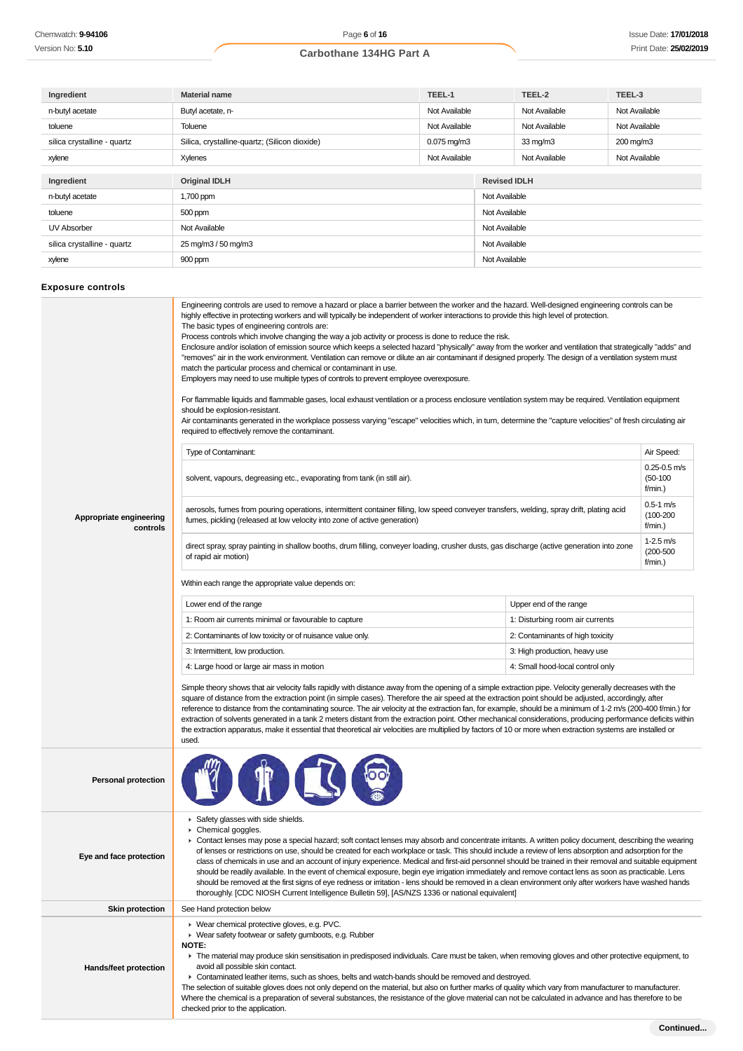| Ingredient                  | TEEL-1<br><b>Material name</b>                |                          |               | TEEL-2              | TEEL-3        |
|-----------------------------|-----------------------------------------------|--------------------------|---------------|---------------------|---------------|
| n-butyl acetate             | Butyl acetate, n-                             | Not Available            |               | Not Available       | Not Available |
| toluene                     | Toluene                                       | Not Available            |               | Not Available       | Not Available |
| silica crystalline - quartz | Silica, crystalline-quartz; (Silicon dioxide) | $0.075 \,\mathrm{mq/m3}$ |               | $33 \text{ mg/m}$   | 200 mg/m3     |
| xylene                      | Xylenes                                       | Not Available            |               | Not Available       | Not Available |
|                             |                                               |                          |               |                     |               |
| Ingredient                  | <b>Original IDLH</b>                          |                          |               | <b>Revised IDLH</b> |               |
| n-butyl acetate             | 1,700 ppm                                     |                          | Not Available |                     |               |
| toluene                     | 500 ppm                                       |                          | Not Available |                     |               |
| UV Absorber                 | Not Available                                 |                          | Not Available |                     |               |
| silica crystalline - quartz | 25 mg/m3 / 50 mg/m3                           |                          | Not Available |                     |               |
| xylene                      | 900 ppm                                       |                          |               | Not Available       |               |

# **Exposure controls**

| Appropriate engineering<br>controls | The basic types of engineering controls are:<br>Process controls which involve changing the way a job activity or process is done to reduce the risk.<br>Enclosure and/or isolation of emission source which keeps a selected hazard "physically" away from the worker and ventilation that strategically "adds" and<br>"removes" air in the work environment. Ventilation can remove or dilute an air contaminant if designed properly. The design of a ventilation system must<br>match the particular process and chemical or contaminant in use.<br>Employers may need to use multiple types of controls to prevent employee overexposure.<br>For flammable liquids and flammable gases, local exhaust ventilation or a process enclosure ventilation system may be required. Ventilation equipment<br>should be explosion-resistant.<br>Air contaminants generated in the workplace possess varying "escape" velocities which, in turn, determine the "capture velocities" of fresh circulating air<br>required to effectively remove the contaminant.<br>Air Speed:<br>Type of Contaminant:<br>$0.25 - 0.5$ m/s<br>$(50-100)$<br>solvent, vapours, degreasing etc., evaporating from tank (in still air).<br>f/min.)<br>$0.5 - 1$ m/s<br>aerosols, fumes from pouring operations, intermittent container filling, low speed conveyer transfers, welding, spray drift, plating acid<br>$(100 - 200)$<br>fumes, pickling (released at low velocity into zone of active generation)<br>f/min.)<br>$1-2.5$ m/s<br>direct spray, spray painting in shallow booths, drum filling, conveyer loading, crusher dusts, gas discharge (active generation into zone<br>$(200 - 500)$<br>of rapid air motion)<br>$f/min.$ )<br>Within each range the appropriate value depends on:<br>Lower end of the range<br>Upper end of the range<br>1: Room air currents minimal or favourable to capture<br>1: Disturbing room air currents<br>2: Contaminants of low toxicity or of nuisance value only.<br>2: Contaminants of high toxicity<br>3: Intermittent, low production.<br>3: High production, heavy use<br>4: Large hood or large air mass in motion<br>4: Small hood-local control only<br>Simple theory shows that air velocity falls rapidly with distance away from the opening of a simple extraction pipe. Velocity generally decreases with the<br>square of distance from the extraction point (in simple cases). Therefore the air speed at the extraction point should be adjusted, accordingly, after<br>reference to distance from the contaminating source. The air velocity at the extraction fan, for example, should be a minimum of 1-2 m/s (200-400 f/min.) for<br>extraction of solvents generated in a tank 2 meters distant from the extraction point. Other mechanical considerations, producing performance deficits within |  |  |  |  |
|-------------------------------------|-----------------------------------------------------------------------------------------------------------------------------------------------------------------------------------------------------------------------------------------------------------------------------------------------------------------------------------------------------------------------------------------------------------------------------------------------------------------------------------------------------------------------------------------------------------------------------------------------------------------------------------------------------------------------------------------------------------------------------------------------------------------------------------------------------------------------------------------------------------------------------------------------------------------------------------------------------------------------------------------------------------------------------------------------------------------------------------------------------------------------------------------------------------------------------------------------------------------------------------------------------------------------------------------------------------------------------------------------------------------------------------------------------------------------------------------------------------------------------------------------------------------------------------------------------------------------------------------------------------------------------------------------------------------------------------------------------------------------------------------------------------------------------------------------------------------------------------------------------------------------------------------------------------------------------------------------------------------------------------------------------------------------------------------------------------------------------------------------------------------------------------------------------------------------------------------------------------------------------------------------------------------------------------------------------------------------------------------------------------------------------------------------------------------------------------------------------------------------------------------------------------------------------------------------------------------------------------------------------------------------------------------------------------------------------------------------------------------------------------------------------------------------------------------------------------------------------------------------|--|--|--|--|
| <b>Personal protection</b>          | used.                                                                                                                                                                                                                                                                                                                                                                                                                                                                                                                                                                                                                                                                                                                                                                                                                                                                                                                                                                                                                                                                                                                                                                                                                                                                                                                                                                                                                                                                                                                                                                                                                                                                                                                                                                                                                                                                                                                                                                                                                                                                                                                                                                                                                                                                                                                                                                                                                                                                                                                                                                                                                                                                                                                                                                                                                                         |  |  |  |  |
| Eye and face protection             | Safety glasses with side shields.<br>Chemical goggles.<br>▶ Contact lenses may pose a special hazard; soft contact lenses may absorb and concentrate irritants. A written policy document, describing the wearing<br>of lenses or restrictions on use, should be created for each workplace or task. This should include a review of lens absorption and adsorption for the<br>class of chemicals in use and an account of injury experience. Medical and first-aid personnel should be trained in their removal and suitable equipment<br>should be readily available. In the event of chemical exposure, begin eye irrigation immediately and remove contact lens as soon as practicable. Lens<br>should be removed at the first signs of eye redness or irritation - lens should be removed in a clean environment only after workers have washed hands<br>thoroughly. [CDC NIOSH Current Intelligence Bulletin 59], [AS/NZS 1336 or national equivalent]                                                                                                                                                                                                                                                                                                                                                                                                                                                                                                                                                                                                                                                                                                                                                                                                                                                                                                                                                                                                                                                                                                                                                                                                                                                                                                                                                                                                                                                                                                                                                                                                                                                                                                                                                                                                                                                                                  |  |  |  |  |
| <b>Skin protection</b>              | See Hand protection below                                                                                                                                                                                                                                                                                                                                                                                                                                                                                                                                                                                                                                                                                                                                                                                                                                                                                                                                                                                                                                                                                                                                                                                                                                                                                                                                                                                                                                                                                                                                                                                                                                                                                                                                                                                                                                                                                                                                                                                                                                                                                                                                                                                                                                                                                                                                                                                                                                                                                                                                                                                                                                                                                                                                                                                                                     |  |  |  |  |
| <b>Hands/feet protection</b>        | ▶ Wear chemical protective gloves, e.g. PVC.<br>• Wear safety footwear or safety gumboots, e.g. Rubber<br><b>NOTE:</b><br>The material may produce skin sensitisation in predisposed individuals. Care must be taken, when removing gloves and other protective equipment, to<br>avoid all possible skin contact.<br>► Contaminated leather items, such as shoes, belts and watch-bands should be removed and destroyed.<br>The selection of suitable gloves does not only depend on the material, but also on further marks of quality which vary from manufacturer to manufacturer.<br>Where the chemical is a preparation of several substances, the resistance of the glove material can not be calculated in advance and has therefore to be<br>checked prior to the application.                                                                                                                                                                                                                                                                                                                                                                                                                                                                                                                                                                                                                                                                                                                                                                                                                                                                                                                                                                                                                                                                                                                                                                                                                                                                                                                                                                                                                                                                                                                                                                                                                                                                                                                                                                                                                                                                                                                                                                                                                                                        |  |  |  |  |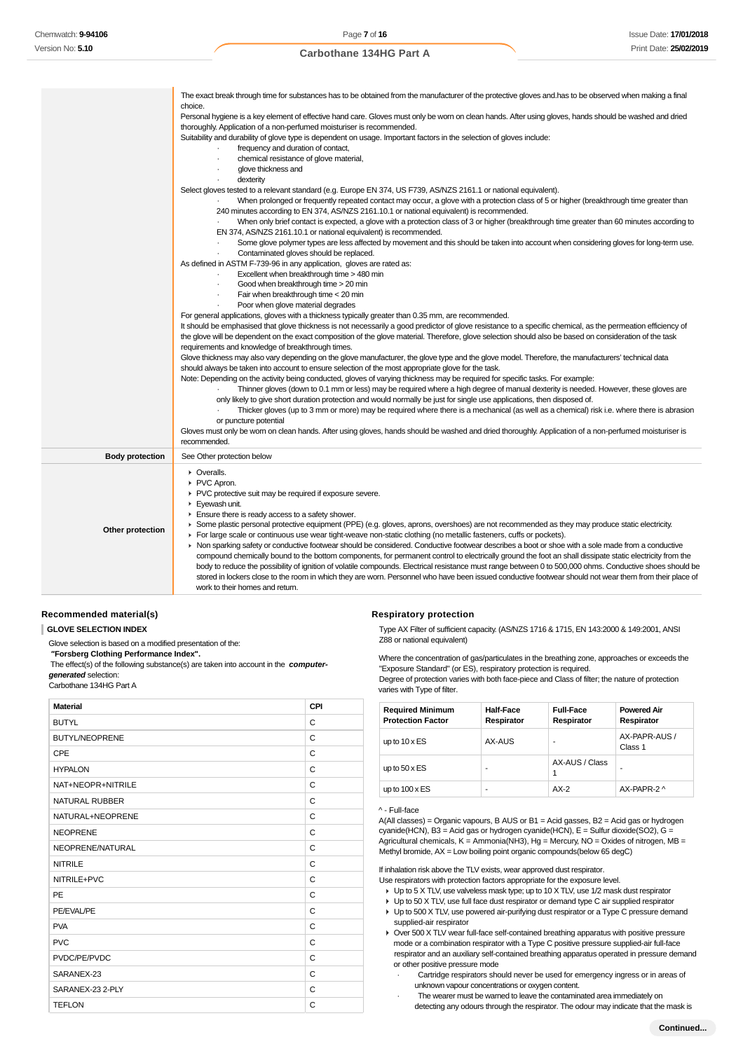|                        | The exact break through time for substances has to be obtained from the manufacturer of the protective gloves and has to be observed when making a final<br>choice.<br>Personal hygiene is a key element of effective hand care. Gloves must only be worn on clean hands. After using gloves, hands should be washed and dried<br>thoroughly. Application of a non-perfumed moisturiser is recommended.<br>Suitability and durability of glove type is dependent on usage. Important factors in the selection of gloves include:<br>frequency and duration of contact,                                                                                                                                                                                                                                                                                                                                                                                                                                                                                                                                          |
|------------------------|-----------------------------------------------------------------------------------------------------------------------------------------------------------------------------------------------------------------------------------------------------------------------------------------------------------------------------------------------------------------------------------------------------------------------------------------------------------------------------------------------------------------------------------------------------------------------------------------------------------------------------------------------------------------------------------------------------------------------------------------------------------------------------------------------------------------------------------------------------------------------------------------------------------------------------------------------------------------------------------------------------------------------------------------------------------------------------------------------------------------|
|                        | chemical resistance of glove material,<br>glove thickness and<br>dexterity                                                                                                                                                                                                                                                                                                                                                                                                                                                                                                                                                                                                                                                                                                                                                                                                                                                                                                                                                                                                                                      |
|                        | Select gloves tested to a relevant standard (e.g. Europe EN 374, US F739, AS/NZS 2161.1 or national equivalent).<br>When prolonged or frequently repeated contact may occur, a glove with a protection class of 5 or higher (breakthrough time greater than<br>240 minutes according to EN 374, AS/NZS 2161.10.1 or national equivalent) is recommended.                                                                                                                                                                                                                                                                                                                                                                                                                                                                                                                                                                                                                                                                                                                                                        |
|                        | When only brief contact is expected, a glove with a protection class of 3 or higher (breakthrough time greater than 60 minutes according to<br>EN 374, AS/NZS 2161.10.1 or national equivalent) is recommended.<br>Some glove polymer types are less affected by movement and this should be taken into account when considering gloves for long-term use.<br>Contaminated gloves should be replaced.                                                                                                                                                                                                                                                                                                                                                                                                                                                                                                                                                                                                                                                                                                           |
|                        | As defined in ASTM F-739-96 in any application, gloves are rated as:<br>Excellent when breakthrough time > 480 min<br>Good when breakthrough time > 20 min<br>Fair when breakthrough time < 20 min                                                                                                                                                                                                                                                                                                                                                                                                                                                                                                                                                                                                                                                                                                                                                                                                                                                                                                              |
|                        | Poor when glove material degrades<br>For general applications, gloves with a thickness typically greater than 0.35 mm, are recommended.<br>It should be emphasised that glove thickness is not necessarily a good predictor of glove resistance to a specific chemical, as the permeation efficiency of                                                                                                                                                                                                                                                                                                                                                                                                                                                                                                                                                                                                                                                                                                                                                                                                         |
|                        | the glove will be dependent on the exact composition of the glove material. Therefore, glove selection should also be based on consideration of the task<br>requirements and knowledge of breakthrough times.<br>Glove thickness may also vary depending on the glove manufacturer, the glove type and the glove model. Therefore, the manufacturers' technical data                                                                                                                                                                                                                                                                                                                                                                                                                                                                                                                                                                                                                                                                                                                                            |
|                        | should always be taken into account to ensure selection of the most appropriate glove for the task.<br>Note: Depending on the activity being conducted, gloves of varying thickness may be required for specific tasks. For example:<br>Thinner gloves (down to 0.1 mm or less) may be required where a high degree of manual dexterity is needed. However, these gloves are<br>only likely to give short duration protection and would normally be just for single use applications, then disposed of.                                                                                                                                                                                                                                                                                                                                                                                                                                                                                                                                                                                                         |
|                        | Thicker gloves (up to 3 mm or more) may be required where there is a mechanical (as well as a chemical) risk i.e. where there is abrasion<br>or puncture potential<br>Gloves must only be worn on clean hands. After using gloves, hands should be washed and dried thoroughly. Application of a non-perfumed moisturiser is<br>recommended.                                                                                                                                                                                                                                                                                                                                                                                                                                                                                                                                                                                                                                                                                                                                                                    |
| <b>Body protection</b> | See Other protection below                                                                                                                                                                                                                                                                                                                                                                                                                                                                                                                                                                                                                                                                                                                                                                                                                                                                                                                                                                                                                                                                                      |
| Other protection       | • Overalls.<br>PVC Apron.<br>▶ PVC protective suit may be required if exposure severe.<br>Eyewash unit.<br>Ensure there is ready access to a safety shower.<br>► Some plastic personal protective equipment (PPE) (e.g. gloves, aprons, overshoes) are not recommended as they may produce static electricity.<br>For large scale or continuous use wear tight-weave non-static clothing (no metallic fasteners, cuffs or pockets).<br>• Non sparking safety or conductive footwear should be considered. Conductive footwear describes a boot or shoe with a sole made from a conductive<br>compound chemically bound to the bottom components, for permanent control to electrically ground the foot an shall dissipate static electricity from the<br>body to reduce the possibility of ignition of volatile compounds. Electrical resistance must range between 0 to 500,000 ohms. Conductive shoes should be<br>stored in lockers close to the room in which they are worn. Personnel who have been issued conductive footwear should not wear them from their place of<br>work to their homes and return. |

### **Recommended material(s)**

### **GLOVE SELECTION INDEX**

Glove selection is based on a modified presentation of the:

 **"Forsberg Clothing Performance Index".**

 The effect(s) of the following substance(s) are taken into account in the **computergenerated** selection:

Carbothane 134HG Part A

| <b>Material</b>       | CPI          |
|-----------------------|--------------|
| <b>BUTYL</b>          | C            |
| <b>BUTYL/NEOPRENE</b> | C            |
| CPE                   | C            |
| <b>HYPALON</b>        | C            |
| NAT+NEOPR+NITRILE     | C            |
| <b>NATURAL RUBBER</b> | C            |
| NATURAL+NEOPRENE      | C            |
| <b>NEOPRENE</b>       | C            |
| NEOPRENE/NATURAL      | C            |
| <b>NITRILE</b>        | C            |
| NITRILE+PVC           | $\mathsf{C}$ |
| PE                    | C            |
| PE/EVAL/PE            | C            |
| <b>PVA</b>            | C            |
| <b>PVC</b>            | C            |
| PVDC/PE/PVDC          | C            |
| SARANEX-23            | C            |
| SARANEX-23 2-PLY      | C            |
| <b>TEFLON</b>         | C            |

#### **Respiratory protection**

Type AX Filter of sufficient capacity. (AS/NZS 1716 & 1715, EN 143:2000 & 149:2001, ANSI Z88 or national equivalent)

Where the concentration of gas/particulates in the breathing zone, approaches or exceeds the "Exposure Standard" (or ES), respiratory protection is required.

Degree of protection varies with both face-piece and Class of filter; the nature of protection varies with Type of filter.

| <b>Required Minimum</b><br><b>Protection Factor</b> | <b>Half-Face</b><br>Respirator | <b>Full-Face</b><br>Respirator | <b>Powered Air</b><br>Respirator |
|-----------------------------------------------------|--------------------------------|--------------------------------|----------------------------------|
| up to $10 \times ES$                                | AX-AUS                         |                                | AX-PAPR-AUS /<br>Class 1         |
| up to $50 \times ES$                                | -                              | AX-AUS / Class                 | ۰                                |
| up to $100 \times ES$                               | -                              | $AX-2$                         | AX-PAPR-2 ^                      |

#### ^ - Full-face

A(All classes) = Organic vapours, B AUS or B1 = Acid gasses, B2 = Acid gas or hydrogen cyanide(HCN), B3 = Acid gas or hydrogen cyanide(HCN), E = Sulfur dioxide(SO2), G = Agricultural chemicals,  $K =$  Ammonia(NH3),  $Hg =$  Mercury, NO = Oxides of nitrogen, MB = Methyl bromide,  $AX = Low$  boiling point organic compounds (below 65 degC)

### If inhalation risk above the TLV exists, wear approved dust respirator.

Use respirators with protection factors appropriate for the exposure level.

- Up to 5 X TLV, use valveless mask type; up to 10 X TLV, use 1/2 mask dust respirator
- ▶ Up to 50 X TLV, use full face dust respirator or demand type C air supplied respirator
- Up to 500 X TLV, use powered air-purifying dust respirator or a Type C pressure demand supplied-air respirator
- ▶ Over 500 X TLV wear full-face self-contained breathing apparatus with positive pressure mode or a combination respirator with a Type C positive pressure supplied-air full-face respirator and an auxiliary self-contained breathing apparatus operated in pressure demand or other positive pressure mode
	- · Cartridge respirators should never be used for emergency ingress or in areas of unknown vapour concentrations or oxygen content.
	- The wearer must be warned to leave the contaminated area immediately on detecting any odours through the respirator. The odour may indicate that the mask is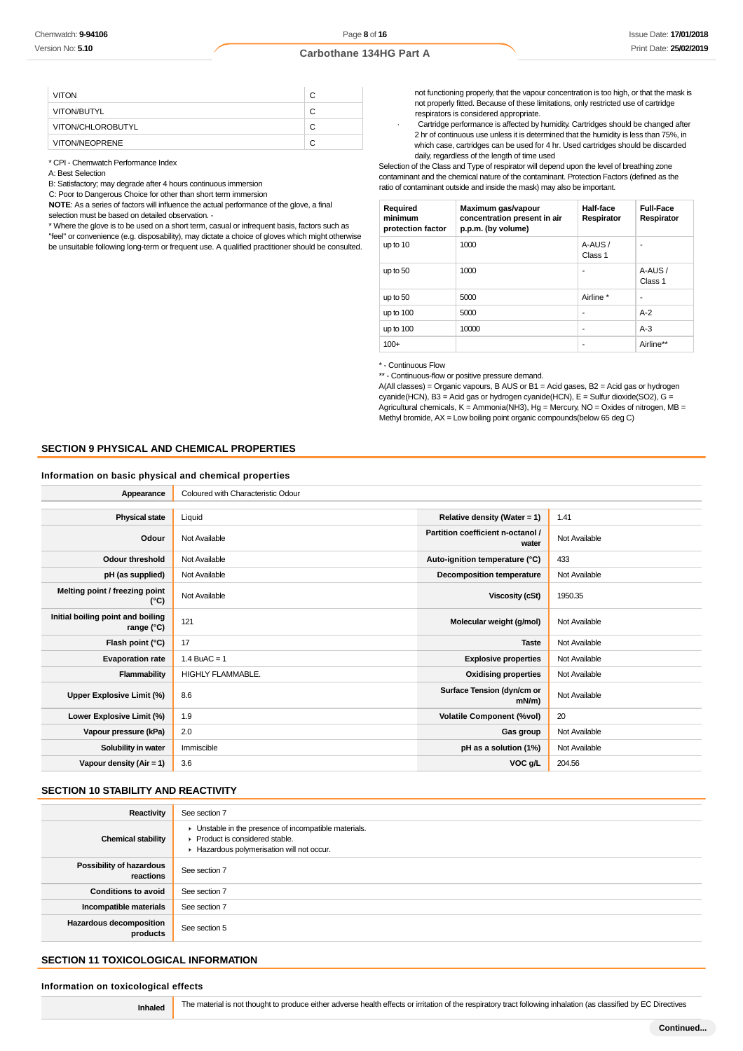| <b>VITON</b>      | C |
|-------------------|---|
| VITON/BUTYL       | C |
| VITON/CHLOROBUTYL | C |
| VITON/NEOPRENE    | С |

\* CPI - Chemwatch Performance Index

A: Best Selection

B: Satisfactory; may degrade after 4 hours continuous immersion

C: Poor to Dangerous Choice for other than short term immersion

**NOTE**: As a series of factors will influence the actual performance of the glove, a final selection must be based on detailed observation -

\* Where the glove is to be used on a short term, casual or infrequent basis, factors such as "feel" or convenience (e.g. disposability), may dictate a choice of gloves which might otherwise be unsuitable following long-term or frequent use. A qualified practitioner should be consulted. not functioning properly, that the vapour concentration is too high, or that the mask is not properly fitted. Because of these limitations, only restricted use of cartridge respirators is considered appropriate.

Cartridge performance is affected by humidity. Cartridges should be changed after 2 hr of continuous use unless it is determined that the humidity is less than 75%, in which case, cartridges can be used for 4 hr. Used cartridges should be discarded daily, regardless of the length of time used

Selection of the Class and Type of respirator will depend upon the level of breathing zone contaminant and the chemical nature of the contaminant. Protection Factors (defined as the ratio of contaminant outside and inside the mask) may also be important.

| Required<br>minimum<br>protection factor | Maximum gas/vapour<br>concentration present in air<br>p.p.m. (by volume) | Half-face<br>Respirator | <b>Full-Face</b><br>Respirator |
|------------------------------------------|--------------------------------------------------------------------------|-------------------------|--------------------------------|
| up to 10                                 | 1000                                                                     | A-AUS/<br>Class 1       | ۰                              |
| up to 50                                 | 1000                                                                     | ٠                       | A-AUS/<br>Class 1              |
| up to 50                                 | 5000                                                                     | Airline *               | ۰                              |
| up to 100                                | 5000                                                                     | ٠                       | $A-2$                          |
| up to 100                                | 10000                                                                    | ٠                       | $A-3$                          |
| $100+$                                   |                                                                          | ٠                       | Airline**                      |

\* - Continuous Flow

\*\* - Continuous-flow or positive pressure demand.

A(All classes) = Organic vapours, B AUS or B1 = Acid gases, B2 = Acid gas or hydrogen cyanide(HCN), B3 = Acid gas or hydrogen cyanide(HCN), E = Sulfur dioxide(SO2), G = Agricultural chemicals,  $K =$  Ammonia(NH3), Hg = Mercury, NO = Oxides of nitrogen, MB = Methyl bromide, AX = Low boiling point organic compounds(below 65 deg C)

# **SECTION 9 PHYSICAL AND CHEMICAL PROPERTIES**

#### **Information on basic physical and chemical properties**

| Appearance                                      | Coloured with Characteristic Odour |                                            |               |
|-------------------------------------------------|------------------------------------|--------------------------------------------|---------------|
|                                                 |                                    |                                            |               |
| <b>Physical state</b>                           | Liquid                             | Relative density (Water = 1)               | 1.41          |
| Odour                                           | Not Available                      | Partition coefficient n-octanol /<br>water | Not Available |
| <b>Odour threshold</b>                          | Not Available                      | Auto-ignition temperature (°C)             | 433           |
| pH (as supplied)                                | Not Available                      | <b>Decomposition temperature</b>           | Not Available |
| Melting point / freezing point<br>(°C)          | Not Available                      | <b>Viscosity (cSt)</b>                     | 1950.35       |
| Initial boiling point and boiling<br>range (°C) | 121                                | Molecular weight (g/mol)                   | Not Available |
| Flash point (°C)                                | 17                                 | <b>Taste</b>                               | Not Available |
| <b>Evaporation rate</b>                         | $1.4$ BuAC = 1                     | <b>Explosive properties</b>                | Not Available |
| Flammability                                    | <b>HIGHLY FLAMMABLE.</b>           | <b>Oxidising properties</b>                | Not Available |
| Upper Explosive Limit (%)                       | 8.6                                | Surface Tension (dyn/cm or<br>$mN/m$ )     | Not Available |
| Lower Explosive Limit (%)                       | 1.9                                | <b>Volatile Component (%vol)</b>           | 20            |
| Vapour pressure (kPa)                           | 2.0                                | Gas group                                  | Not Available |
| Solubility in water                             | Immiscible                         | pH as a solution (1%)                      | Not Available |
| Vapour density $(Air = 1)$                      | 3.6                                | VOC g/L                                    | 204.56        |
|                                                 |                                    |                                            |               |

# **SECTION 10 STABILITY AND REACTIVITY**

| Reactivity                                   | See section 7                                                                                                                        |
|----------------------------------------------|--------------------------------------------------------------------------------------------------------------------------------------|
| <b>Chemical stability</b>                    | • Unstable in the presence of incompatible materials.<br>▶ Product is considered stable.<br>Hazardous polymerisation will not occur. |
| <b>Possibility of hazardous</b><br>reactions | See section 7                                                                                                                        |
| <b>Conditions to avoid</b>                   | See section 7                                                                                                                        |
| Incompatible materials                       | See section 7                                                                                                                        |
| <b>Hazardous decomposition</b><br>products   | See section 5                                                                                                                        |

# **SECTION 11 TOXICOLOGICAL INFORMATION**

### **Information on toxicological effects**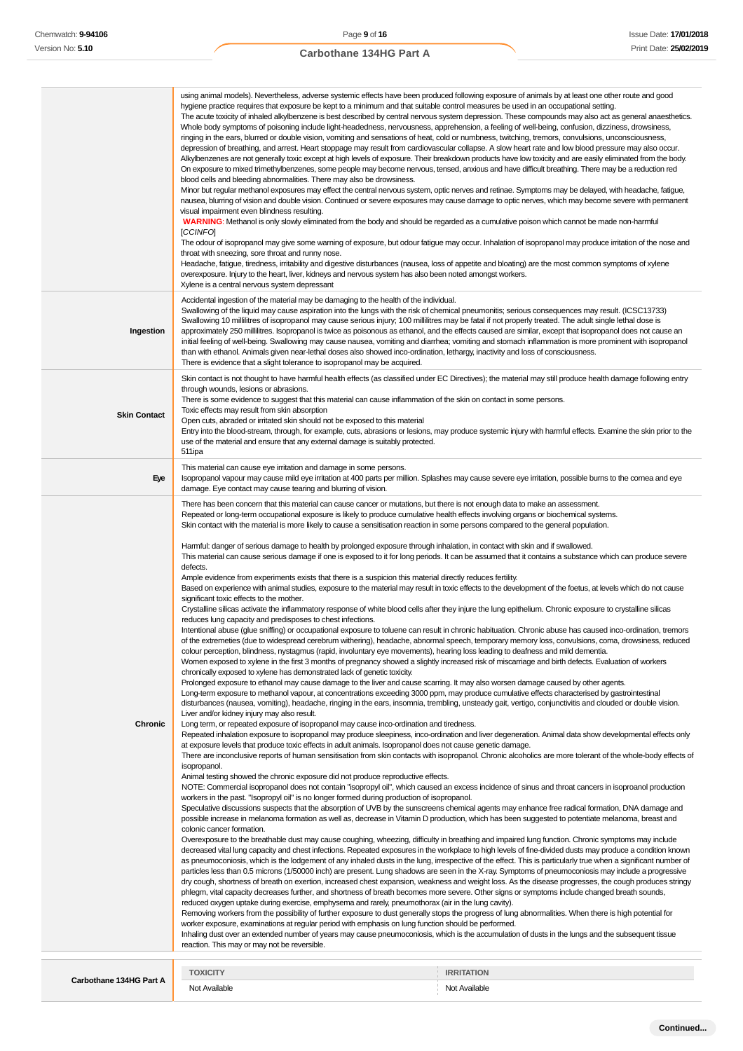|                     | using animal models). Nevertheless, adverse systemic effects have been produced following exposure of animals by at least one other route and good<br>hygiene practice requires that exposure be kept to a minimum and that suitable control measures be used in an occupational setting.<br>The acute toxicity of inhaled alkylbenzene is best described by central nervous system depression. These compounds may also act as general anaesthetics.<br>Whole body symptoms of poisoning include light-headedness, nervousness, apprehension, a feeling of well-being, confusion, dizziness, drowsiness,<br>ringing in the ears, blurred or double vision, vomiting and sensations of heat, cold or numbness, twitching, tremors, convulsions, unconsciousness,<br>depression of breathing, and arrest. Heart stoppage may result from cardiovascular collapse. A slow heart rate and low blood pressure may also occur.<br>Alkylbenzenes are not generally toxic except at high levels of exposure. Their breakdown products have low toxicity and are easily eliminated from the body.<br>On exposure to mixed trimethylbenzenes, some people may become nervous, tensed, anxious and have difficult breathing. There may be a reduction red<br>blood cells and bleeding abnormalities. There may also be drowsiness.<br>Minor but regular methanol exposures may effect the central nervous system, optic nerves and retinae. Symptoms may be delayed, with headache, fatigue,<br>nausea, blurring of vision and double vision. Continued or severe exposures may cause damage to optic nerves, which may become severe with permanent<br>visual impairment even blindness resulting.<br>WARNING: Methanol is only slowly eliminated from the body and should be regarded as a cumulative poison which cannot be made non-harmful<br>[CCINFO]<br>The odour of isopropanol may give some warning of exposure, but odour fatigue may occur. Inhalation of isopropanol may produce irritation of the nose and<br>throat with sneezing, sore throat and runny nose.<br>Headache, fatigue, tiredness, irritability and digestive disturbances (nausea, loss of appetite and bloating) are the most common symptoms of xylene<br>overexposure. Injury to the heart, liver, kidneys and nervous system has also been noted amongst workers.<br>Xylene is a central nervous system depressant                                                                                                                                                                                                                                                                                                                                                                                                                                                                                                                                                                                                                                                                                                                                                                                                                                                                                                                                                                                                                                                                                                                                                                                                                                                                                                                                                                                                                                                                                                                                                                                                                                                                                                                                                                                                                                                                                                                                                                                                                                                                                                                                                                                                                                                                                                                                                                                                                                                                                                                                                                                                                                                                                                                                                                                                                                                        |
|---------------------|--------------------------------------------------------------------------------------------------------------------------------------------------------------------------------------------------------------------------------------------------------------------------------------------------------------------------------------------------------------------------------------------------------------------------------------------------------------------------------------------------------------------------------------------------------------------------------------------------------------------------------------------------------------------------------------------------------------------------------------------------------------------------------------------------------------------------------------------------------------------------------------------------------------------------------------------------------------------------------------------------------------------------------------------------------------------------------------------------------------------------------------------------------------------------------------------------------------------------------------------------------------------------------------------------------------------------------------------------------------------------------------------------------------------------------------------------------------------------------------------------------------------------------------------------------------------------------------------------------------------------------------------------------------------------------------------------------------------------------------------------------------------------------------------------------------------------------------------------------------------------------------------------------------------------------------------------------------------------------------------------------------------------------------------------------------------------------------------------------------------------------------------------------------------------------------------------------------------------------------------------------------------------------------------------------------------------------------------------------------------------------------------------------------------------------------------------------------------------------------------------------------------------------------------------------------------------------------------------------------------------------------------------------------------------------------------------------------------------------------------------------------------------------------------------------------------------------------------------------------------------------------------------------------------------------------------------------------------------------------------------------------------------------------------------------------------------------------------------------------------------------------------------------------------------------------------------------------------------------------------------------------------------------------------------------------------------------------------------------------------------------------------------------------------------------------------------------------------------------------------------------------------------------------------------------------------------------------------------------------------------------------------------------------------------------------------------------------------------------------------------------------------------------------------------------------------------------------------------------------------------------------------------------------------------------------------------------------------------------------------------------------------------------------------------------------------------------------------------------------------------------------------------------------------------------------------------------------------------------------------------------------------------------------------------------------------------------------------------------------------------------------------------------------------------------------------------------------------------------------------------------------------------------------------------------------------------------------------------------------------------------------------------------------------------------------------------------------------------------------------------------------------------------------------------------------------------------------------------------------------------------------------------------------------------------------------------------------------------------------------------------------------------------------------------------------------------------------------------------------------------------------------------------------------------------------------------------------------------------------------------|
| Ingestion           | Accidental ingestion of the material may be damaging to the health of the individual.<br>Swallowing of the liquid may cause aspiration into the lungs with the risk of chemical pneumonitis; serious consequences may result. (ICSC13733)<br>Swallowing 10 millilitres of isopropanol may cause serious injury; 100 millilitres may be fatal if not properly treated. The adult single lethal dose is<br>approximately 250 millilitres. Isopropanol is twice as poisonous as ethanol, and the effects caused are similar, except that isopropanol does not cause an<br>initial feeling of well-being. Swallowing may cause nausea, vomiting and diarrhea; vomiting and stomach inflammation is more prominent with isopropanol<br>than with ethanol. Animals given near-lethal doses also showed inco-ordination, lethargy, inactivity and loss of consciousness.<br>There is evidence that a slight tolerance to isopropanol may be acquired.                                                                                                                                                                                                                                                                                                                                                                                                                                                                                                                                                                                                                                                                                                                                                                                                                                                                                                                                                                                                                                                                                                                                                                                                                                                                                                                                                                                                                                                                                                                                                                                                                                                                                                                                                                                                                                                                                                                                                                                                                                                                                                                                                                                                                                                                                                                                                                                                                                                                                                                                                                                                                                                                                                                                                                                                                                                                                                                                                                                                                                                                                                                                                                                                                                                                                                                                                                                                                                                                                                                                                                                                                                                                                                                                                                                                                                                                                                                                                                                                                                                                                                                                                                                                                                                                                                   |
| <b>Skin Contact</b> | Skin contact is not thought to have harmful health effects (as classified under EC Directives); the material may still produce health damage following entry<br>through wounds, lesions or abrasions.<br>There is some evidence to suggest that this material can cause inflammation of the skin on contact in some persons.<br>Toxic effects may result from skin absorption<br>Open cuts, abraded or irritated skin should not be exposed to this material<br>Entry into the blood-stream, through, for example, cuts, abrasions or lesions, may produce systemic injury with harmful effects. Examine the skin prior to the<br>use of the material and ensure that any external damage is suitably protected.<br>511ipa                                                                                                                                                                                                                                                                                                                                                                                                                                                                                                                                                                                                                                                                                                                                                                                                                                                                                                                                                                                                                                                                                                                                                                                                                                                                                                                                                                                                                                                                                                                                                                                                                                                                                                                                                                                                                                                                                                                                                                                                                                                                                                                                                                                                                                                                                                                                                                                                                                                                                                                                                                                                                                                                                                                                                                                                                                                                                                                                                                                                                                                                                                                                                                                                                                                                                                                                                                                                                                                                                                                                                                                                                                                                                                                                                                                                                                                                                                                                                                                                                                                                                                                                                                                                                                                                                                                                                                                                                                                                                                                       |
| Eye                 | This material can cause eye irritation and damage in some persons.<br>Isopropanol vapour may cause mild eye irritation at 400 parts per million. Splashes may cause severe eye irritation, possible burns to the cornea and eye<br>damage. Eye contact may cause tearing and blurring of vision.                                                                                                                                                                                                                                                                                                                                                                                                                                                                                                                                                                                                                                                                                                                                                                                                                                                                                                                                                                                                                                                                                                                                                                                                                                                                                                                                                                                                                                                                                                                                                                                                                                                                                                                                                                                                                                                                                                                                                                                                                                                                                                                                                                                                                                                                                                                                                                                                                                                                                                                                                                                                                                                                                                                                                                                                                                                                                                                                                                                                                                                                                                                                                                                                                                                                                                                                                                                                                                                                                                                                                                                                                                                                                                                                                                                                                                                                                                                                                                                                                                                                                                                                                                                                                                                                                                                                                                                                                                                                                                                                                                                                                                                                                                                                                                                                                                                                                                                                                 |
| Chronic             | There has been concern that this material can cause cancer or mutations, but there is not enough data to make an assessment.<br>Repeated or long-term occupational exposure is likely to produce cumulative health effects involving organs or biochemical systems.<br>Skin contact with the material is more likely to cause a sensitisation reaction in some persons compared to the general population.<br>Harmful: danger of serious damage to health by prolonged exposure through inhalation, in contact with skin and if swallowed.<br>This material can cause serious damage if one is exposed to it for long periods. It can be assumed that it contains a substance which can produce severe<br>defects.<br>Ample evidence from experiments exists that there is a suspicion this material directly reduces fertility.<br>Based on experience with animal studies, exposure to the material may result in toxic effects to the development of the foetus, at levels which do not cause<br>significant toxic effects to the mother.<br>Crystalline silicas activate the inflammatory response of white blood cells after they injure the lung epithelium. Chronic exposure to crystalline silicas<br>reduces lung capacity and predisposes to chest infections.<br>Intentional abuse (glue sniffing) or occupational exposure to toluene can result in chronic habituation. Chronic abuse has caused inco-ordination, tremors<br>of the extremeties (due to widespread cerebrum withering), headache, abnormal speech, temporary memory loss, convulsions, coma, drowsiness, reduced<br>colour perception, blindness, nystagmus (rapid, involuntary eye movements), hearing loss leading to deafness and mild dementia.<br>Women exposed to xylene in the first 3 months of pregnancy showed a slightly increased risk of miscarriage and birth defects. Evaluation of workers<br>chronically exposed to xylene has demonstrated lack of genetic toxicity.<br>Prolonged exposure to ethanol may cause damage to the liver and cause scarring. It may also worsen damage caused by other agents.<br>Long-term exposure to methanol vapour, at concentrations exceeding 3000 ppm, may produce cumulative effects characterised by gastrointestinal<br>disturbances (nausea, vomiting), headache, ringing in the ears, insomnia, trembling, unsteady gait, vertigo, conjunctivitis and clouded or double vision.<br>Liver and/or kidney injury may also result.<br>Long term, or repeated exposure of isopropanol may cause inco-ordination and tiredness.<br>Repeated inhalation exposure to isopropanol may produce sleepiness, inco-ordination and liver degeneration. Animal data show developmental effects only<br>at exposure levels that produce toxic effects in adult animals. Isopropanol does not cause genetic damage.<br>There are inconclusive reports of human sensitisation from skin contacts with isopropanol. Chronic alcoholics are more tolerant of the whole-body effects of<br>isopropanol.<br>Animal testing showed the chronic exposure did not produce reproductive effects.<br>NOTE: Commercial isopropanol does not contain "isopropyl oil", which caused an excess incidence of sinus and throat cancers in isoproanol production<br>workers in the past. "Isopropyl oil" is no longer formed during production of isopropanol.<br>Speculative discussions suspects that the absorption of UVB by the sunscreens chemical agents may enhance free radical formation, DNA damage and<br>possible increase in melanoma formation as well as, decrease in Vitamin D production, which has been suggested to potentiate melanoma, breast and<br>colonic cancer formation.<br>Overexposure to the breathable dust may cause coughing, wheezing, difficulty in breathing and impaired lung function. Chronic symptoms may include<br>decreased vital lung capacity and chest infections. Repeated exposures in the workplace to high levels of fine-divided dusts may produce a condition known<br>as pneumoconiosis, which is the lodgement of any inhaled dusts in the lung, irrespective of the effect. This is particularly true when a significant number of<br>particles less than 0.5 microns (1/50000 inch) are present. Lung shadows are seen in the X-ray. Symptoms of pneumoconiosis may include a progressive<br>dry cough, shortness of breath on exertion, increased chest expansion, weakness and weight loss. As the disease progresses, the cough produces stringy<br>phlegm, vital capacity decreases further, and shortness of breath becomes more severe. Other signs or symptoms include changed breath sounds,<br>reduced oxygen uptake during exercise, emphysema and rarely, pneumothorax (air in the lung cavity).<br>Removing workers from the possibility of further exposure to dust generally stops the progress of lung abnormalities. When there is high potential for<br>worker exposure, examinations at regular period with emphasis on lung function should be performed.<br>Inhaling dust over an extended number of years may cause pneumoconiosis, which is the accumulation of dusts in the lungs and the subsequent tissue<br>reaction. This may or may not be reversible. |
|                     |                                                                                                                                                                                                                                                                                                                                                                                                                                                                                                                                                                                                                                                                                                                                                                                                                                                                                                                                                                                                                                                                                                                                                                                                                                                                                                                                                                                                                                                                                                                                                                                                                                                                                                                                                                                                                                                                                                                                                                                                                                                                                                                                                                                                                                                                                                                                                                                                                                                                                                                                                                                                                                                                                                                                                                                                                                                                                                                                                                                                                                                                                                                                                                                                                                                                                                                                                                                                                                                                                                                                                                                                                                                                                                                                                                                                                                                                                                                                                                                                                                                                                                                                                                                                                                                                                                                                                                                                                                                                                                                                                                                                                                                                                                                                                                                                                                                                                                                                                                                                                                                                                                                                                                                                                                                  |

|       |               | <b>ATION</b>        |
|-------|---------------|---------------------|
| art A | Not Available | Not.<br>* Available |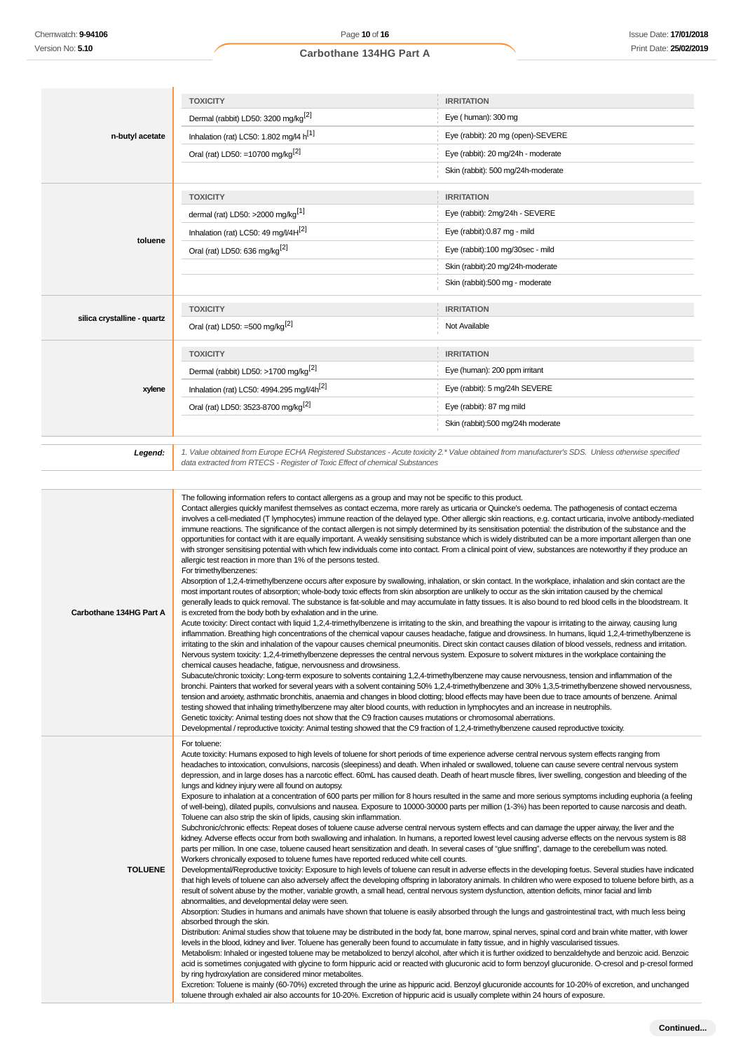|                             | <b>TOXICITY</b>                                                                                                                                                                                                                                                                                                                                                                                                                                                                                                                                                                                                                                                                                                                                                                                                                                                                                                                                                                                                                                                                                                                                                                                                                                                                                                                                                                                                                                                                                                                                                                                                                                                                                                                                                                                                                                                                                                                                                                                                                                                                                                                                                                                                                                                                                                                                                                                                                                                                                                                                                                                                                                                                                                                                                                                                                                                                                                                                                                                                                                                                                                                 | <b>IRRITATION</b>                                                                                                                                |
|-----------------------------|---------------------------------------------------------------------------------------------------------------------------------------------------------------------------------------------------------------------------------------------------------------------------------------------------------------------------------------------------------------------------------------------------------------------------------------------------------------------------------------------------------------------------------------------------------------------------------------------------------------------------------------------------------------------------------------------------------------------------------------------------------------------------------------------------------------------------------------------------------------------------------------------------------------------------------------------------------------------------------------------------------------------------------------------------------------------------------------------------------------------------------------------------------------------------------------------------------------------------------------------------------------------------------------------------------------------------------------------------------------------------------------------------------------------------------------------------------------------------------------------------------------------------------------------------------------------------------------------------------------------------------------------------------------------------------------------------------------------------------------------------------------------------------------------------------------------------------------------------------------------------------------------------------------------------------------------------------------------------------------------------------------------------------------------------------------------------------------------------------------------------------------------------------------------------------------------------------------------------------------------------------------------------------------------------------------------------------------------------------------------------------------------------------------------------------------------------------------------------------------------------------------------------------------------------------------------------------------------------------------------------------------------------------------------------------------------------------------------------------------------------------------------------------------------------------------------------------------------------------------------------------------------------------------------------------------------------------------------------------------------------------------------------------------------------------------------------------------------------------------------------------|--------------------------------------------------------------------------------------------------------------------------------------------------|
|                             | Dermal (rabbit) LD50: 3200 mg/kg <sup>[2]</sup>                                                                                                                                                                                                                                                                                                                                                                                                                                                                                                                                                                                                                                                                                                                                                                                                                                                                                                                                                                                                                                                                                                                                                                                                                                                                                                                                                                                                                                                                                                                                                                                                                                                                                                                                                                                                                                                                                                                                                                                                                                                                                                                                                                                                                                                                                                                                                                                                                                                                                                                                                                                                                                                                                                                                                                                                                                                                                                                                                                                                                                                                                 | Eye (human): 300 mg                                                                                                                              |
| n-butyl acetate             | Inhalation (rat) LC50: 1.802 mg/l4 h <sup>[1]</sup>                                                                                                                                                                                                                                                                                                                                                                                                                                                                                                                                                                                                                                                                                                                                                                                                                                                                                                                                                                                                                                                                                                                                                                                                                                                                                                                                                                                                                                                                                                                                                                                                                                                                                                                                                                                                                                                                                                                                                                                                                                                                                                                                                                                                                                                                                                                                                                                                                                                                                                                                                                                                                                                                                                                                                                                                                                                                                                                                                                                                                                                                             | Eye (rabbit): 20 mg (open)-SEVERE                                                                                                                |
|                             | Oral (rat) LD50: =10700 mg/kg <sup>[2]</sup>                                                                                                                                                                                                                                                                                                                                                                                                                                                                                                                                                                                                                                                                                                                                                                                                                                                                                                                                                                                                                                                                                                                                                                                                                                                                                                                                                                                                                                                                                                                                                                                                                                                                                                                                                                                                                                                                                                                                                                                                                                                                                                                                                                                                                                                                                                                                                                                                                                                                                                                                                                                                                                                                                                                                                                                                                                                                                                                                                                                                                                                                                    | Eye (rabbit): 20 mg/24h - moderate                                                                                                               |
|                             |                                                                                                                                                                                                                                                                                                                                                                                                                                                                                                                                                                                                                                                                                                                                                                                                                                                                                                                                                                                                                                                                                                                                                                                                                                                                                                                                                                                                                                                                                                                                                                                                                                                                                                                                                                                                                                                                                                                                                                                                                                                                                                                                                                                                                                                                                                                                                                                                                                                                                                                                                                                                                                                                                                                                                                                                                                                                                                                                                                                                                                                                                                                                 | Skin (rabbit): 500 mg/24h-moderate                                                                                                               |
|                             | <b>TOXICITY</b>                                                                                                                                                                                                                                                                                                                                                                                                                                                                                                                                                                                                                                                                                                                                                                                                                                                                                                                                                                                                                                                                                                                                                                                                                                                                                                                                                                                                                                                                                                                                                                                                                                                                                                                                                                                                                                                                                                                                                                                                                                                                                                                                                                                                                                                                                                                                                                                                                                                                                                                                                                                                                                                                                                                                                                                                                                                                                                                                                                                                                                                                                                                 | <b>IRRITATION</b>                                                                                                                                |
|                             | dermal (rat) LD50: >2000 mg/kg <sup>[1]</sup>                                                                                                                                                                                                                                                                                                                                                                                                                                                                                                                                                                                                                                                                                                                                                                                                                                                                                                                                                                                                                                                                                                                                                                                                                                                                                                                                                                                                                                                                                                                                                                                                                                                                                                                                                                                                                                                                                                                                                                                                                                                                                                                                                                                                                                                                                                                                                                                                                                                                                                                                                                                                                                                                                                                                                                                                                                                                                                                                                                                                                                                                                   | Eye (rabbit): 2mg/24h - SEVERE                                                                                                                   |
|                             | Inhalation (rat) LC50: 49 mg/l/4H[2]                                                                                                                                                                                                                                                                                                                                                                                                                                                                                                                                                                                                                                                                                                                                                                                                                                                                                                                                                                                                                                                                                                                                                                                                                                                                                                                                                                                                                                                                                                                                                                                                                                                                                                                                                                                                                                                                                                                                                                                                                                                                                                                                                                                                                                                                                                                                                                                                                                                                                                                                                                                                                                                                                                                                                                                                                                                                                                                                                                                                                                                                                            | Eye (rabbit):0.87 mg - mild                                                                                                                      |
| toluene                     | Oral (rat) LD50: 636 mg/kg <sup>[2]</sup>                                                                                                                                                                                                                                                                                                                                                                                                                                                                                                                                                                                                                                                                                                                                                                                                                                                                                                                                                                                                                                                                                                                                                                                                                                                                                                                                                                                                                                                                                                                                                                                                                                                                                                                                                                                                                                                                                                                                                                                                                                                                                                                                                                                                                                                                                                                                                                                                                                                                                                                                                                                                                                                                                                                                                                                                                                                                                                                                                                                                                                                                                       | Eye (rabbit):100 mg/30sec - mild                                                                                                                 |
|                             |                                                                                                                                                                                                                                                                                                                                                                                                                                                                                                                                                                                                                                                                                                                                                                                                                                                                                                                                                                                                                                                                                                                                                                                                                                                                                                                                                                                                                                                                                                                                                                                                                                                                                                                                                                                                                                                                                                                                                                                                                                                                                                                                                                                                                                                                                                                                                                                                                                                                                                                                                                                                                                                                                                                                                                                                                                                                                                                                                                                                                                                                                                                                 | Skin (rabbit):20 mg/24h-moderate                                                                                                                 |
|                             |                                                                                                                                                                                                                                                                                                                                                                                                                                                                                                                                                                                                                                                                                                                                                                                                                                                                                                                                                                                                                                                                                                                                                                                                                                                                                                                                                                                                                                                                                                                                                                                                                                                                                                                                                                                                                                                                                                                                                                                                                                                                                                                                                                                                                                                                                                                                                                                                                                                                                                                                                                                                                                                                                                                                                                                                                                                                                                                                                                                                                                                                                                                                 | Skin (rabbit):500 mg - moderate                                                                                                                  |
|                             |                                                                                                                                                                                                                                                                                                                                                                                                                                                                                                                                                                                                                                                                                                                                                                                                                                                                                                                                                                                                                                                                                                                                                                                                                                                                                                                                                                                                                                                                                                                                                                                                                                                                                                                                                                                                                                                                                                                                                                                                                                                                                                                                                                                                                                                                                                                                                                                                                                                                                                                                                                                                                                                                                                                                                                                                                                                                                                                                                                                                                                                                                                                                 |                                                                                                                                                  |
| silica crystalline - quartz | <b>TOXICITY</b>                                                                                                                                                                                                                                                                                                                                                                                                                                                                                                                                                                                                                                                                                                                                                                                                                                                                                                                                                                                                                                                                                                                                                                                                                                                                                                                                                                                                                                                                                                                                                                                                                                                                                                                                                                                                                                                                                                                                                                                                                                                                                                                                                                                                                                                                                                                                                                                                                                                                                                                                                                                                                                                                                                                                                                                                                                                                                                                                                                                                                                                                                                                 | <b>IRRITATION</b><br>Not Available                                                                                                               |
|                             | Oral (rat) LD50: =500 mg/kg <sup>[2]</sup>                                                                                                                                                                                                                                                                                                                                                                                                                                                                                                                                                                                                                                                                                                                                                                                                                                                                                                                                                                                                                                                                                                                                                                                                                                                                                                                                                                                                                                                                                                                                                                                                                                                                                                                                                                                                                                                                                                                                                                                                                                                                                                                                                                                                                                                                                                                                                                                                                                                                                                                                                                                                                                                                                                                                                                                                                                                                                                                                                                                                                                                                                      |                                                                                                                                                  |
|                             | <b>TOXICITY</b>                                                                                                                                                                                                                                                                                                                                                                                                                                                                                                                                                                                                                                                                                                                                                                                                                                                                                                                                                                                                                                                                                                                                                                                                                                                                                                                                                                                                                                                                                                                                                                                                                                                                                                                                                                                                                                                                                                                                                                                                                                                                                                                                                                                                                                                                                                                                                                                                                                                                                                                                                                                                                                                                                                                                                                                                                                                                                                                                                                                                                                                                                                                 | <b>IRRITATION</b>                                                                                                                                |
|                             | Dermal (rabbit) LD50: >1700 mg/kg <sup>[2]</sup>                                                                                                                                                                                                                                                                                                                                                                                                                                                                                                                                                                                                                                                                                                                                                                                                                                                                                                                                                                                                                                                                                                                                                                                                                                                                                                                                                                                                                                                                                                                                                                                                                                                                                                                                                                                                                                                                                                                                                                                                                                                                                                                                                                                                                                                                                                                                                                                                                                                                                                                                                                                                                                                                                                                                                                                                                                                                                                                                                                                                                                                                                | Eye (human): 200 ppm irritant                                                                                                                    |
| xylene                      | Inhalation (rat) LC50: 4994.295 mg/l/4h <sup>[2]</sup>                                                                                                                                                                                                                                                                                                                                                                                                                                                                                                                                                                                                                                                                                                                                                                                                                                                                                                                                                                                                                                                                                                                                                                                                                                                                                                                                                                                                                                                                                                                                                                                                                                                                                                                                                                                                                                                                                                                                                                                                                                                                                                                                                                                                                                                                                                                                                                                                                                                                                                                                                                                                                                                                                                                                                                                                                                                                                                                                                                                                                                                                          | Eye (rabbit): 5 mg/24h SEVERE                                                                                                                    |
|                             | Oral (rat) LD50: 3523-8700 mg/kg <sup>[2]</sup>                                                                                                                                                                                                                                                                                                                                                                                                                                                                                                                                                                                                                                                                                                                                                                                                                                                                                                                                                                                                                                                                                                                                                                                                                                                                                                                                                                                                                                                                                                                                                                                                                                                                                                                                                                                                                                                                                                                                                                                                                                                                                                                                                                                                                                                                                                                                                                                                                                                                                                                                                                                                                                                                                                                                                                                                                                                                                                                                                                                                                                                                                 | Eye (rabbit): 87 mg mild                                                                                                                         |
|                             |                                                                                                                                                                                                                                                                                                                                                                                                                                                                                                                                                                                                                                                                                                                                                                                                                                                                                                                                                                                                                                                                                                                                                                                                                                                                                                                                                                                                                                                                                                                                                                                                                                                                                                                                                                                                                                                                                                                                                                                                                                                                                                                                                                                                                                                                                                                                                                                                                                                                                                                                                                                                                                                                                                                                                                                                                                                                                                                                                                                                                                                                                                                                 | Skin (rabbit):500 mg/24h moderate                                                                                                                |
|                             |                                                                                                                                                                                                                                                                                                                                                                                                                                                                                                                                                                                                                                                                                                                                                                                                                                                                                                                                                                                                                                                                                                                                                                                                                                                                                                                                                                                                                                                                                                                                                                                                                                                                                                                                                                                                                                                                                                                                                                                                                                                                                                                                                                                                                                                                                                                                                                                                                                                                                                                                                                                                                                                                                                                                                                                                                                                                                                                                                                                                                                                                                                                                 |                                                                                                                                                  |
| Legend:                     | data extracted from RTECS - Register of Toxic Effect of chemical Substances                                                                                                                                                                                                                                                                                                                                                                                                                                                                                                                                                                                                                                                                                                                                                                                                                                                                                                                                                                                                                                                                                                                                                                                                                                                                                                                                                                                                                                                                                                                                                                                                                                                                                                                                                                                                                                                                                                                                                                                                                                                                                                                                                                                                                                                                                                                                                                                                                                                                                                                                                                                                                                                                                                                                                                                                                                                                                                                                                                                                                                                     | 1. Value obtained from Europe ECHA Registered Substances - Acute toxicity 2.* Value obtained from manufacturer's SDS. Unless otherwise specified |
|                             |                                                                                                                                                                                                                                                                                                                                                                                                                                                                                                                                                                                                                                                                                                                                                                                                                                                                                                                                                                                                                                                                                                                                                                                                                                                                                                                                                                                                                                                                                                                                                                                                                                                                                                                                                                                                                                                                                                                                                                                                                                                                                                                                                                                                                                                                                                                                                                                                                                                                                                                                                                                                                                                                                                                                                                                                                                                                                                                                                                                                                                                                                                                                 |                                                                                                                                                  |
| Carbothane 134HG Part A     | Contact allergies quickly manifest themselves as contact eczema, more rarely as urticaria or Quincke's oedema. The pathogenesis of contact eczema<br>involves a cell-mediated (T lymphocytes) immune reaction of the delayed type. Other allergic skin reactions, e.g. contact urticaria, involve antibody-mediated<br>immune reactions. The significance of the contact allergen is not simply determined by its sensitisation potential: the distribution of the substance and the<br>opportunities for contact with it are equally important. A weakly sensitising substance which is widely distributed can be a more important allergen than one<br>with stronger sensitising potential with which few individuals come into contact. From a clinical point of view, substances are noteworthy if they produce an<br>allergic test reaction in more than 1% of the persons tested.<br>For trimethylbenzenes:<br>Absorption of 1,2,4-trimethylbenzene occurs after exposure by swallowing, inhalation, or skin contact. In the workplace, inhalation and skin contact are the<br>most important routes of absorption; whole-body toxic effects from skin absorption are unlikely to occur as the skin irritation caused by the chemical<br>generally leads to quick removal. The substance is fat-soluble and may accumulate in fatty tissues. It is also bound to red blood cells in the bloodstream. It<br>is excreted from the body both by exhalation and in the urine.<br>Acute toxicity: Direct contact with liquid 1,2,4-trimethylbenzene is irritating to the skin, and breathing the vapour is irritating to the airway, causing lung<br>inflammation. Breathing high concentrations of the chemical vapour causes headache, fatique and drowsiness. In humans, liquid 1,2,4-trimethylbenzene is<br>irritating to the skin and inhalation of the vapour causes chemical pneumonitis. Direct skin contact causes dilation of blood vessels, redness and irritation.<br>Nervous system toxicity: 1,2,4-trimethylbenzene depresses the central nervous system. Exposure to solvent mixtures in the workplace containing the<br>chemical causes headache, fatigue, nervousness and drowsiness.<br>Subacute/chronic toxicity: Long-term exposure to solvents containing 1,2,4-trimethylbenzene may cause nervousness, tension and inflammation of the<br>bronchi. Painters that worked for several years with a solvent containing 50% 1,2,4-trimethylbenzene and 30% 1,3,5-trimethylbenzene showed nervousness,<br>tension and anxiety, asthmatic bronchitis, anaemia and changes in blood clotting; blood effects may have been due to trace amounts of benzene. Animal<br>testing showed that inhaling trimethylbenzene may alter blood counts, with reduction in lymphocytes and an increase in neutrophils.<br>Genetic toxicity: Animal testing does not show that the C9 fraction causes mutations or chromosomal aberrations.<br>Developmental / reproductive toxicity: Animal testing showed that the C9 fraction of 1,2,4-trimethylbenzene caused reproductive toxicity.                                       |                                                                                                                                                  |
| <b>TOLUENE</b>              | For toluene:<br>Acute toxicity: Humans exposed to high levels of toluene for short periods of time experience adverse central nervous system effects ranging from<br>headaches to intoxication, convulsions, narcosis (sleepiness) and death. When inhaled or swallowed, toluene can cause severe central nervous system<br>depression, and in large doses has a narcotic effect. 60mL has caused death. Death of heart muscle fibres, liver swelling, congestion and bleeding of the<br>lungs and kidney injury were all found on autopsy.<br>Exposure to inhalation at a concentration of 600 parts per million for 8 hours resulted in the same and more serious symptoms including euphoria (a feeling<br>of well-being), dilated pupils, convulsions and nausea. Exposure to 10000-30000 parts per million (1-3%) has been reported to cause narcosis and death.<br>Toluene can also strip the skin of lipids, causing skin inflammation.<br>Subchronic/chronic effects: Repeat doses of toluene cause adverse central nervous system effects and can damage the upper airway, the liver and the<br>kidney. Adverse effects occur from both swallowing and inhalation. In humans, a reported lowest level causing adverse effects on the nervous system is 88<br>parts per million. In one case, toluene caused heart sensitization and death. In several cases of "glue sniffing", damage to the cerebellum was noted.<br>Workers chronically exposed to toluene fumes have reported reduced white cell counts.<br>Developmental/Reproductive toxicity: Exposure to high levels of toluene can result in adverse effects in the developing foetus. Several studies have indicated<br>that high levels of toluene can also adversely affect the developing offspring in laboratory animals. In children who were exposed to toluene before birth, as a<br>result of solvent abuse by the mother, variable growth, a small head, central nervous system dysfunction, attention deficits, minor facial and limb<br>abnormalities, and developmental delay were seen.<br>Absorption: Studies in humans and animals have shown that toluene is easily absorbed through the lungs and gastrointestinal tract, with much less being<br>absorbed through the skin.<br>Distribution: Animal studies show that toluene may be distributed in the body fat, bone marrow, spinal nerves, spinal cord and brain white matter, with lower<br>levels in the blood, kidney and liver. Toluene has generally been found to accumulate in fatty tissue, and in highly vascularised tissues.<br>Metabolism: Inhaled or ingested toluene may be metabolized to benzyl alcohol, after which it is further oxidized to benzaldehyde and benzoic acid. Benzoic<br>acid is sometimes conjugated with glycine to form hippuric acid or reacted with glucuronic acid to form benzoyl glucuronide. O-cresol and p-cresol formed<br>by ring hydroxylation are considered minor metabolites.<br>Excretion: Toluene is mainly (60-70%) excreted through the urine as hippuric acid. Benzoyl glucuronide accounts for 10-20% of excretion, and unchanged |                                                                                                                                                  |

toluene through exhaled air also accounts for 10-20%. Excretion of hippuric acid is usually complete within 24 hours of exposure.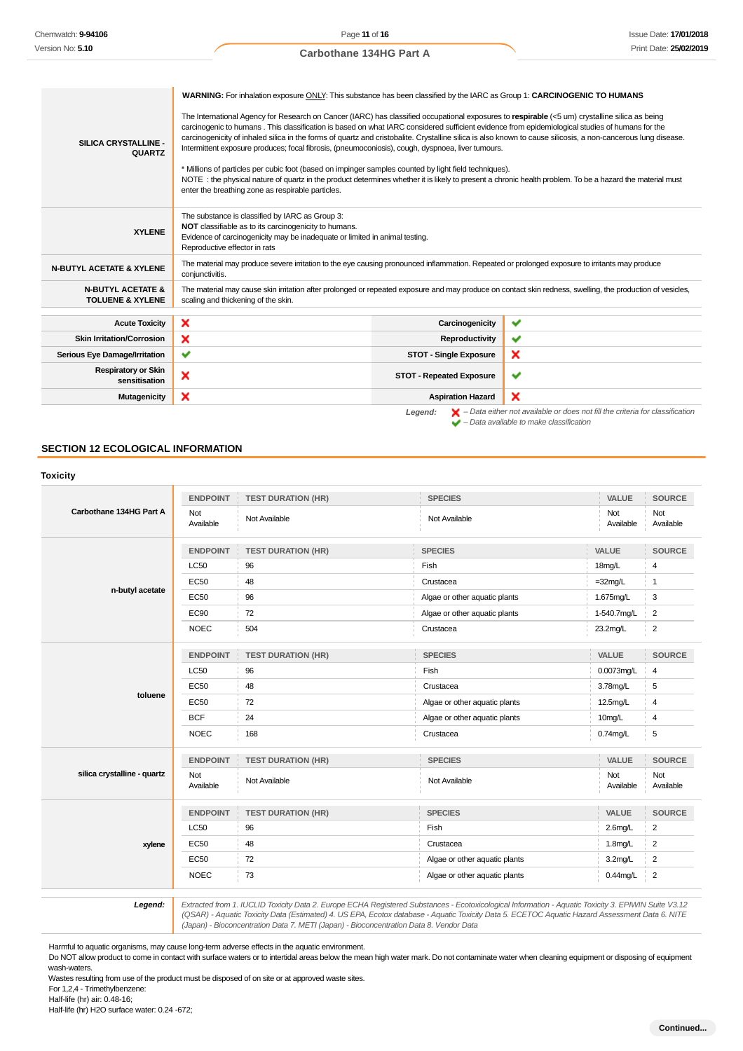| SILICA CRYSTALLINE -<br><b>QUARTZ</b>                       | WARNING: For inhalation exposure ONLY: This substance has been classified by the IARC as Group 1: CARCINOGENIC TO HUMANS<br>The International Agency for Research on Cancer (IARC) has classified occupational exposures to respirable (<5 um) crystalline silica as being<br>carcinogenic to humans. This classification is based on what IARC considered sufficient evidence from epidemiological studies of humans for the<br>carcinogenicity of inhaled silica in the forms of quartz and cristobalite. Crystalline silica is also known to cause silicosis, a non-cancerous lung disease.<br>Intermittent exposure produces; focal fibrosis, (pneumoconiosis), cough, dyspnoea, liver tumours.<br>* Millions of particles per cubic foot (based on impinger samples counted by light field techniques).<br>NOTE: the physical nature of quartz in the product determines whether it is likely to present a chronic health problem. To be a hazard the material must<br>enter the breathing zone as respirable particles. |                                 |                                                                                                                                                                     |
|-------------------------------------------------------------|-------------------------------------------------------------------------------------------------------------------------------------------------------------------------------------------------------------------------------------------------------------------------------------------------------------------------------------------------------------------------------------------------------------------------------------------------------------------------------------------------------------------------------------------------------------------------------------------------------------------------------------------------------------------------------------------------------------------------------------------------------------------------------------------------------------------------------------------------------------------------------------------------------------------------------------------------------------------------------------------------------------------------------|---------------------------------|---------------------------------------------------------------------------------------------------------------------------------------------------------------------|
| <b>XYLENE</b>                                               | The substance is classified by IARC as Group 3:<br>NOT classifiable as to its carcinogenicity to humans.<br>Evidence of carcinogenicity may be inadequate or limited in animal testing.<br>Reproductive effector in rats                                                                                                                                                                                                                                                                                                                                                                                                                                                                                                                                                                                                                                                                                                                                                                                                      |                                 |                                                                                                                                                                     |
| <b>N-BUTYL ACETATE &amp; XYLENE</b>                         | The material may produce severe irritation to the eye causing pronounced inflammation. Repeated or prolonged exposure to irritants may produce<br>conjunctivitis.                                                                                                                                                                                                                                                                                                                                                                                                                                                                                                                                                                                                                                                                                                                                                                                                                                                             |                                 |                                                                                                                                                                     |
| <b>N-BUTYL ACETATE &amp;</b><br><b>TOLUENE &amp; XYLENE</b> | The material may cause skin irritation after prolonged or repeated exposure and may produce on contact skin redness, swelling, the production of vesicles,<br>scaling and thickening of the skin.                                                                                                                                                                                                                                                                                                                                                                                                                                                                                                                                                                                                                                                                                                                                                                                                                             |                                 |                                                                                                                                                                     |
| <b>Acute Toxicity</b>                                       | ×                                                                                                                                                                                                                                                                                                                                                                                                                                                                                                                                                                                                                                                                                                                                                                                                                                                                                                                                                                                                                             | Carcinogenicity                 | ✔                                                                                                                                                                   |
| <b>Skin Irritation/Corrosion</b>                            | ×                                                                                                                                                                                                                                                                                                                                                                                                                                                                                                                                                                                                                                                                                                                                                                                                                                                                                                                                                                                                                             | Reproductivity                  | ✔                                                                                                                                                                   |
| Serious Eye Damage/Irritation                               | ✓                                                                                                                                                                                                                                                                                                                                                                                                                                                                                                                                                                                                                                                                                                                                                                                                                                                                                                                                                                                                                             | <b>STOT - Single Exposure</b>   | ×                                                                                                                                                                   |
| <b>Respiratory or Skin</b><br>sensitisation                 | ×                                                                                                                                                                                                                                                                                                                                                                                                                                                                                                                                                                                                                                                                                                                                                                                                                                                                                                                                                                                                                             | <b>STOT - Repeated Exposure</b> | $\checkmark$                                                                                                                                                        |
| <b>Mutagenicity</b>                                         | ×                                                                                                                                                                                                                                                                                                                                                                                                                                                                                                                                                                                                                                                                                                                                                                                                                                                                                                                                                                                                                             | <b>Aspiration Hazard</b>        | ×                                                                                                                                                                   |
|                                                             |                                                                                                                                                                                                                                                                                                                                                                                                                                                                                                                                                                                                                                                                                                                                                                                                                                                                                                                                                                                                                               | Legend:                         | $\blacktriangleright$ - Data either not available or does not fill the criteria for classification<br>$\blacktriangleright$ - Data available to make classification |

# **SECTION 12 ECOLOGICAL INFORMATION**

|                             | <b>ENDPOINT</b>  | <b>TEST DURATION (HR)</b> | <b>SPECIES</b>                | VALUE               | <b>SOURCE</b>    |
|-----------------------------|------------------|---------------------------|-------------------------------|---------------------|------------------|
| Carbothane 134HG Part A     | Not<br>Available | Not Available             | Not Available                 | Not<br>Available    | Not<br>Available |
|                             | <b>ENDPOINT</b>  | <b>TEST DURATION (HR)</b> | <b>SPECIES</b>                | VALUE               | <b>SOURCE</b>    |
|                             | <b>LC50</b>      | 96                        | Fish                          | 18mg/L              | $\overline{4}$   |
|                             | <b>EC50</b>      | 48                        | Crustacea                     | $=32$ mg/L          | $\overline{1}$   |
| n-butyl acetate             | <b>EC50</b>      | 96                        | Algae or other aquatic plants | 1.675mg/L           | 3                |
|                             | <b>EC90</b>      | 72                        | Algae or other aquatic plants | 1-540.7mg/L         | $\overline{2}$   |
|                             | <b>NOEC</b>      | 504                       | Crustacea                     | 23.2mg/L            | $\overline{2}$   |
|                             | <b>ENDPOINT</b>  | <b>TEST DURATION (HR)</b> | <b>SPECIES</b>                | VALUE               | <b>SOURCE</b>    |
|                             | <b>LC50</b>      | 96                        | Fish                          | 0.0073mg/L          | 4                |
| toluene                     | <b>EC50</b>      | 48                        | Crustacea                     | 3.78mg/L            | 5                |
|                             | <b>EC50</b>      | 72                        | Algae or other aquatic plants | 12.5mg/L            | 4                |
|                             | <b>BCF</b>       | 24                        | Algae or other aquatic plants | 10mg/L              | $\overline{4}$   |
|                             | <b>NOEC</b>      | 168                       | Crustacea                     | $0.74$ mg/L         | 5                |
|                             | <b>ENDPOINT</b>  | <b>TEST DURATION (HR)</b> | <b>SPECIES</b>                | VALUE               | <b>SOURCE</b>    |
| silica crystalline - quartz | Not<br>Available | Not Available             | Not Available                 | Not<br>Available    | Not<br>Available |
|                             | <b>ENDPOINT</b>  | <b>TEST DURATION (HR)</b> | <b>SPECIES</b>                | VALUE               | <b>SOURCE</b>    |
| xylene                      | <b>LC50</b>      | 96                        | Fish                          | $2.6$ mg/L          | $\overline{c}$   |
|                             | <b>EC50</b>      | 48                        | Crustacea                     | 1.8 <sub>mg/L</sub> | $\overline{2}$   |
|                             | <b>EC50</b>      | 72                        | Algae or other aquatic plants | 3.2mg/L             | $\overline{2}$   |
|                             | <b>NOEC</b>      | 73                        | Algae or other aquatic plants | $0.44$ mg/L         | $\overline{2}$   |

12.0 Extracted from 1. IUCLID Toxicity Data 2. Europe ECHA Registered Substances - Ecotoxicological Information - Aquatic Toxicity 3. EPIWIN Suite V3.12<br>QSAR) - Aquatic Toxicity Data (Estimated) 4. US EPA, Ecotox database (Japan) - Bioconcentration Data 7. METI (Japan) - Bioconcentration Data 8. Vendor Data

Harmful to aquatic organisms, may cause long-term adverse effects in the aquatic environment.

Do NOT allow product to come in contact with surface waters or to intertidal areas below the mean high water mark. Do not contaminate water when cleaning equipment or disposing of equipment wash-waters.

Wastes resulting from use of the product must be disposed of on site or at approved waste sites. For 1,2,4 - Trimethylbenzene:

Half-life (hr) air: 0.48-16;

Half-life (hr) H2O surface water: 0.24 -672;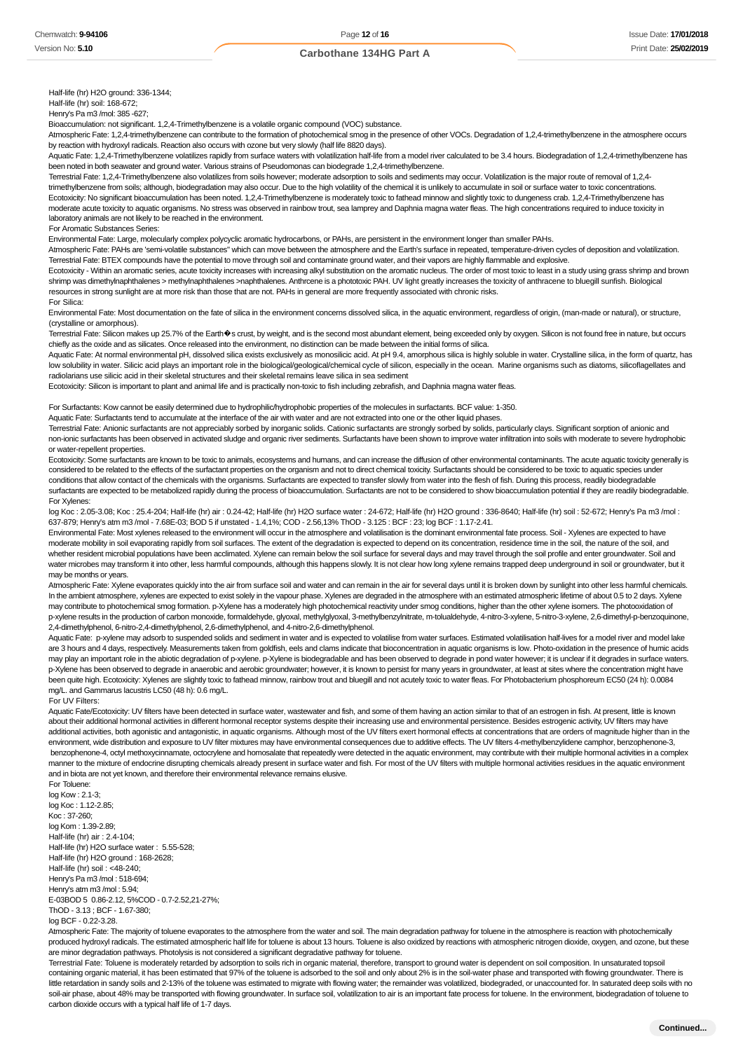Half-life (hr) H2O ground: 336-1344;

Half-life (hr) soil: 168-672; Henry's Pa m3 /mol: 385 -627;

Bioaccumulation: not significant. 1,2,4-Trimethylbenzene is a volatile organic compound (VOC) substance.

Atmospheric Fate: 1,2,4-trimethylbenzene can contribute to the formation of photochemical smog in the presence of other VOCs. Degradation of 1,2,4-trimethylbenzene in the atmosphere occurs by reaction with hydroxyl radicals. Reaction also occurs with ozone but very slowly (half life 8820 days).

Aquatic Fate: 1,2,4-Trimethylbenzene volatilizes rapidly from surface waters with volatilization half-life from a model river calculated to be 3.4 hours. Biodegradation of 1,2,4-trimethylbenzene has been noted in both seawater and ground water. Various strains of Pseudomonas can biodegrade 1,2,4-trimethylbenzene.

Terrestrial Fate: 1,2,4-Trimethylbenzene also volatilizes from soils however; moderate adsorption to soils and sediments may occur. Volatilization is the major route of removal of 1,2,4 trimethylbenzene from soils; although, biodegradation may also occur. Due to the high volatility of the chemical it is unlikely to accumulate in soil or surface water to toxic concentrations. Ecotoxicity: No significant bioaccumulation has been noted. 1,2,4-Trimethylbenzene is moderately toxic to fathead minnow and slightly toxic to dungeness crab. 1,2,4-Trimethylbenzene has moderate acute toxicity to aquatic organisms. No stress was observed in rainbow trout, sea lamprey and Daphnia magna water fleas. The high concentrations required to induce toxicity in laboratory animals are not likely to be reached in the environment.

For Aromatic Substances Series:

Environmental Fate: Large, molecularly complex polycyclic aromatic hydrocarbons, or PAHs, are persistent in the environment longer than smaller PAHs.

Atmospheric Fate: PAHs are 'semi-volatile substances" which can move between the atmosphere and the Earth's surface in repeated, temperature-driven cycles of deposition and volatilization. Terrestrial Fate: BTEX compounds have the potential to move through soil and contaminate ground water, and their vapors are highly flammable and explosive.

Ecotoxicity - Within an aromatic series, acute toxicity increases with increasing alkyl substitution on the aromatic nucleus. The order of most toxic to least in a study using grass shrimp and brown shrimp was dimethylnaphthalenes > methylnaphthalenes >naphthalenes. Anthrcene is a phototoxic PAH. UV light greatly increases the toxicity of anthracene to bluegill sunfish. Biological resources in strong sunlight are at more risk than those that are not. PAHs in general are more frequently associated with chronic risks.

For Silica:

Environmental Fate: Most documentation on the fate of silica in the environment concerns dissolved silica, in the aquatic environment, regardless of origin, (man-made or natural), or structure, (crystalline or amorphous).

Terrestrial Fate: Silicon makes up 25.7% of the Earth $\hat{\Phi}$ s crust, by weight, and is the second most abundant element, being exceeded only by oxygen. Silicon is not found free in nature, but occurs chiefly as the oxide and as silicates. Once released into the environment, no distinction can be made between the initial forms of silica.

Aquatic Fate: At normal environmental pH, dissolved silica exists exclusively as monosilicic acid. At pH 9.4, amorphous silica is highly soluble in water. Crystalline silica, in the form of quartz, has low solubility in water. Silicic acid plays an important role in the biological/geological/chemical cycle of silicon, especially in the ocean. Marine organisms such as diatoms, silicoflagellates and radiolarians use silicic acid in their skeletal structures and their skeletal remains leave silica in sea sediment

Ecotoxicity: Silicon is important to plant and animal life and is practically non-toxic to fish including zebrafish, and Daphnia magna water fleas.

For Surfactants: Kow cannot be easily determined due to hydrophilic/hydrophobic properties of the molecules in surfactants. BCF value: 1-350.

Aquatic Fate: Surfactants tend to accumulate at the interface of the air with water and are not extracted into one or the other liquid phases.

Terrestrial Fate: Anionic surfactants are not appreciably sorbed by inorganic solids. Cationic surfactants are strongly sorbed by solids, particularly clays. Significant sorption of anionic and non-ionic surfactants has been observed in activated sludge and organic river sediments. Surfactants have been shown to improve water infiltration into soils with moderate to severe hydrophobic or water-repellent properties.

Ecotoxicity: Some surfactants are known to be toxic to animals, ecosystems and humans, and can increase the diffusion of other environmental contaminants. The acute aquatic toxicity generally is considered to be related to the effects of the surfactant properties on the organism and not to direct chemical toxicity. Surfactants should be considered to be toxic to aquatic species under conditions that allow contact of the chemicals with the organisms. Surfactants are expected to transfer slowly from water into the flesh of fish. During this process, readily biodegradable surfactants are expected to be metabolized rapidly during the process of bioaccumulation. Surfactants are not to be considered to show bioaccumulation potential if they are readily biodegradable. For Xylenes:

log Koc : 2.05-3.08; Koc : 25.4-204; Half-life (hr) air : 0.24-42; Half-life (hr) H2O surface water : 24-672; Half-life (hr) H2O ground : 336-8640; Half-life (hr) soil : 52-672; Henry's Pa m3 /mol : 637-879; Henry's atm m3 /mol - 7.68E-03; BOD 5 if unstated - 1.4,1%; COD - 2.56,13% ThOD - 3.125 : BCF : 23; log BCF : 1.17-2.41.

Environmental Fate: Most xylenes released to the environment will occur in the atmosphere and volatilisation is the dominant environmental fate process. Soil - Xylenes are expected to have moderate mobility in soil evaporating rapidly from soil surfaces. The extent of the degradation is expected to depend on its concentration, residence time in the soil, the nature of the soil, and whether resident microbial populations have been acclimated. Xylene can remain below the soil surface for several days and may travel through the soil profile and enter groundwater. Soil and water microbes may transform it into other, less harmful compounds, although this happens slowly. It is not clear how long xylene remains trapped deep underground in soil or groundwater, but it may be months or years.

Atmospheric Fate: Xylene evaporates quickly into the air from surface soil and water and can remain in the air for several days until it is broken down by sunlight into other less harmful chemicals. In the ambient atmosphere, xylenes are expected to exist solely in the vapour phase. Xylenes are degraded in the atmosphere with an estimated atmospheric lifetime of about 0.5 to 2 days. Xylene may contribute to photochemical smog formation. p-Xylene has a moderately high photochemical reactivity under smog conditions, higher than the other xylene isomers. The photooxidation of p-xylene results in the production of carbon monoxide, formaldehyde, glyoxal, methylglyoxal, 3-methylbenzylnitrate, m-tolualdehyde, 4-nitro-3-xylene, 5-nitro-3-xylene, 2,6-dimethyl-p-benzoquinone, 2,4-dimethylphenol, 6-nitro-2,4-dimethylphenol, 2,6-dimethylphenol, and 4-nitro-2,6-dimethylphenol.

Aquatic Fate: p-xylene may adsorb to suspended solids and sediment in water and is expected to volatilise from water surfaces. Estimated volatilisation half-lives for a model river and model lake are 3 hours and 4 days, respectively. Measurements taken from goldfish, eels and clams indicate that bioconcentration in aquatic organisms is low. Photo-oxidation in the presence of humic acids may play an important role in the abiotic degradation of p-xylene. p-Xylene is biodegradable and has been observed to degrade in pond water however; it is unclear if it degrades in surface waters. p-Xylene has been observed to degrade in anaerobic and aerobic groundwater; however, it is known to persist for many years in groundwater, at least at sites where the concentration might have been quite high. Ecotoxicity: Xylenes are slightly toxic to fathead minnow, rainbow trout and bluegill and not acutely toxic to water fleas. For Photobacterium phosphoreum EC50 (24 h): 0.0084 mg/L. and Gammarus lacustris LC50 (48 h): 0.6 mg/L.

#### For UV Filters:

Aquatic Fate/Ecotoxicity: UV filters have been detected in surface water, wastewater and fish, and some of them having an action similar to that of an estrogen in fish. At present, little is known about their additional hormonal activities in different hormonal receptor systems despite their increasing use and environmental persistence. Besides estrogenic activity, UV filters may have additional activities, both agonistic and antagonistic, in aquatic organisms. Although most of the UV filters exert hormonal effects at concentrations that are orders of magnitude higher than in the environment, wide distribution and exposure to UV filter mixtures may have environmental consequences due to additive effects. The UV filters 4-methylbenzylidene camphor, benzophenone-3, benzophenone-4, octyl methoxycinnamate, octocrylene and homosalate that repeatedly were detected in the aquatic environment, may contribute with their multiple hormonal activities in a complex manner to the mixture of endocrine disrupting chemicals already present in surface water and fish. For most of the UV filters with multiple hormonal activities residues in the aquatic environment and in biota are not yet known, and therefore their environmental relevance remains elusive.

For Toluene: log Kow : 2.1-3; log Koc : 1.12-2.85; Koc : 37-260; log Kom : 1.39-2.89; Half-life (hr) air : 2.4-104; Half-life (hr) H2O surface water : 5.55-528; Half-life (hr) H2O ground : 168-2628; Half-life (hr) soil : <48-240; Henry's Pa m3 /mol : 518-694; Henry's atm m3 /mol : 5.94; E-03BOD 5 0.86-2.12, 5%COD - 0.7-2.52,21-27%; ThOD - 3.13 ; BCF - 1.67-380; log BCF - 0.22-3.28.

Atmospheric Fate: The majority of toluene evaporates to the atmosphere from the water and soil. The main degradation pathway for toluene in the atmosphere is reaction with photochemically produced hydroxyl radicals. The estimated atmospheric half life for toluene is about 13 hours. Toluene is also oxidized by reactions with atmospheric nitrogen dioxide, oxygen, and ozone, but these are minor degradation pathways. Photolysis is not considered a significant degradative pathway for toluene.

Terrestrial Fate: Toluene is moderately retarded by adsorption to soils rich in organic material, therefore, transport to ground water is dependent on soil composition. In unsaturated topsoil containing organic material, it has been estimated that 97% of the toluene is adsorbed to the soil and only about 2% is in the soil-water phase and transported with flowing groundwater. There is little retardation in sandy soils and 2-13% of the toluene was estimated to migrate with flowing water; the remainder was volatilized, biodegraded, or unaccounted for. In saturated deep soils with no soil-air phase, about 48% may be transported with flowing groundwater. In surface soil, volatilization to air is an important fate process for toluene. In the environment, biodegradation of toluene to carbon dioxide occurs with a typical half life of 1-7 days.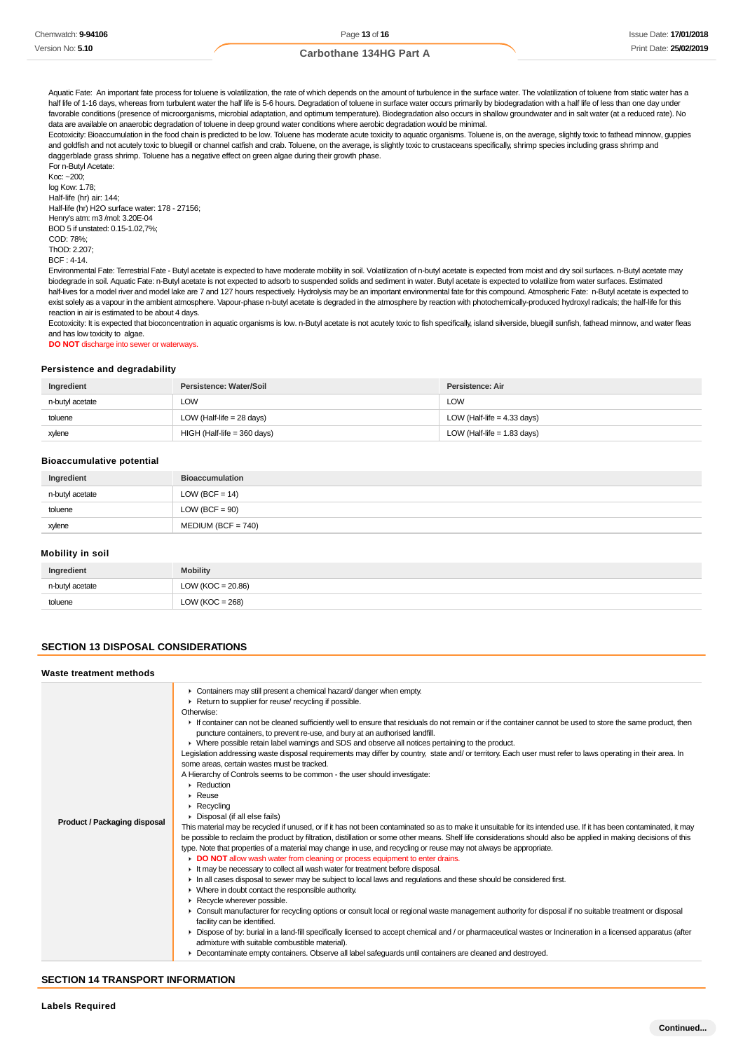Aquatic Fate: An important fate process for toluene is volatilization, the rate of which depends on the amount of turbulence in the surface water. The volatilization of toluene from static water has a half life of 1-16 days, whereas from turbulent water the half life is 5-6 hours. Degradation of toluene in surface water occurs primarily by biodegradation with a half life of less than one day under favorable conditions (presence of microorganisms, microbial adaptation, and optimum temperature). Biodegradation also occurs in shallow groundwater and in salt water (at a reduced rate). No data are available on anaerobic degradation of toluene in deep ground water conditions where aerobic degradation would be minimal.

Ecotoxicity: Bioaccumulation in the food chain is predicted to be low. Toluene has moderate acute toxicity to aquatic organisms. Toluene is, on the average, slightly toxic to fathead minnow, guppies and goldfish and not acutely toxic to bluegill or channel catfish and crab. Toluene, on the average, is slightly toxic to crustaceans specifically, shrimp species including grass shrimp and daggerblade grass shrimp. Toluene has a negative effect on green algae during their growth phase.

For n-Butyl Acetate: Koc: ~200; log Kow: 1.78; Half-life (hr) air: 144; Half-life (hr) H2O surface water: 178 - 27156; Henry's atm: m3 /mol: 3.20E-04 BOD 5 if unstated: 0.15-1.02,7%; COD: 78%; ThOD: 2.207;  $BCF \cdot 4-14$ 

Environmental Fate: Terrestrial Fate - Butyl acetate is expected to have moderate mobility in soil. Volatilization of n-butyl acetate is expected from moist and dry soil surfaces. n-Butyl acetate may biodegrade in soil. Aquatic Fate: n-Butyl acetate is not expected to adsorb to suspended solids and sediment in water. Butyl acetate is expected to volatilize from water surfaces. Estimated half-lives for a model river and model lake are 7 and 127 hours respectively. Hydrolysis may be an important environmental fate for this compound. Atmospheric Fate: n-Butyl acetate is expected to exist solely as a vapour in the ambient atmosphere. Vapour-phase n-butyl acetate is degraded in the atmosphere by reaction with photochemically-produced hydroxyl radicals; the half-life for this reaction in air is estimated to be about 4 days.

Ecotoxicity: It is expected that bioconcentration in aquatic organisms is low. n-Butyl acetate is not acutely toxic to fish specifically, island silverside, bluegill sunfish, fathead minnow, and water fleas and has low toxicity to algae.

**DO NOT** discharge into sewer or waterways.

#### **Persistence and degradability**

| Ingredient      | Persistence: Water/Soil       | Persistence: Air              |
|-----------------|-------------------------------|-------------------------------|
| n-butyl acetate | <b>LOW</b>                    | <b>LOW</b>                    |
| toluene         | LOW (Half-life = $28$ days)   | LOW (Half-life = $4.33$ days) |
| xylene          | $HIGH$ (Half-life = 360 days) | LOW (Half-life = $1.83$ days) |

### **Bioaccumulative potential**

| Ingredient      | <b>Bioaccumulation</b> |
|-----------------|------------------------|
| n-butyl acetate | LOW (BCF = $14$ )      |
| toluene         | $LOW (BCF = 90)$       |
| xylene          | $MEDIUM (BCF = 740)$   |

# **Mobility in soil**

| Ingredient      | <b>Mobility</b>       |
|-----------------|-----------------------|
| n-butyl acetate | LOW ( $KOC = 20.86$ ) |
| toluene         | LOW ( $KOC = 268$ )   |

### **SECTION 13 DISPOSAL CONSIDERATIONS**

#### **Waste treatment methods**

| <b>Product / Packaging disposal</b> | • Containers may still present a chemical hazard/ danger when empty.<br>Return to supplier for reuse/ recycling if possible.<br>Otherwise:<br>If container can not be cleaned sufficiently well to ensure that residuals do not remain or if the container cannot be used to store the same product, then<br>puncture containers, to prevent re-use, and bury at an authorised landfill.<br>▶ Where possible retain label warnings and SDS and observe all notices pertaining to the product.<br>Legislation addressing waste disposal requirements may differ by country, state and/ or territory. Each user must refer to laws operating in their area. In<br>some areas, certain wastes must be tracked.<br>A Hierarchy of Controls seems to be common - the user should investigate:<br>$\triangleright$ Reduction<br>$\triangleright$ Reuse<br>$\triangleright$ Recycling<br>Disposal (if all else fails)<br>This material may be recycled if unused, or if it has not been contaminated so as to make it unsuitable for its intended use. If it has been contaminated, it may<br>be possible to reclaim the product by filtration, distillation or some other means. Shelf life considerations should also be applied in making decisions of this<br>type. Note that properties of a material may change in use, and recycling or reuse may not always be appropriate.<br>DO NOT allow wash water from cleaning or process equipment to enter drains.<br>It may be necessary to collect all wash water for treatment before disposal.<br>In all cases disposal to sewer may be subject to local laws and regulations and these should be considered first.<br>$\blacktriangleright$ Where in doubt contact the responsible authority.<br>Recycle wherever possible.<br>► Consult manufacturer for recycling options or consult local or regional waste management authority for disposal if no suitable treatment or disposal<br>facility can be identified.<br>▶ Dispose of by: burial in a land-fill specifically licensed to accept chemical and / or pharmaceutical wastes or Incineration in a licensed apparatus (after<br>admixture with suitable combustible material).<br>Decontaminate empty containers. Observe all label safeguards until containers are cleaned and destroyed. |
|-------------------------------------|---------------------------------------------------------------------------------------------------------------------------------------------------------------------------------------------------------------------------------------------------------------------------------------------------------------------------------------------------------------------------------------------------------------------------------------------------------------------------------------------------------------------------------------------------------------------------------------------------------------------------------------------------------------------------------------------------------------------------------------------------------------------------------------------------------------------------------------------------------------------------------------------------------------------------------------------------------------------------------------------------------------------------------------------------------------------------------------------------------------------------------------------------------------------------------------------------------------------------------------------------------------------------------------------------------------------------------------------------------------------------------------------------------------------------------------------------------------------------------------------------------------------------------------------------------------------------------------------------------------------------------------------------------------------------------------------------------------------------------------------------------------------------------------------------------------------------------------------------------------------------------------------------------------------------------------------------------------------------------------------------------------------------------------------------------------------------------------------------------------------------------------------------------------------------------------------------------------------------------------------------------------------------------------------------|

# **SECTION 14 TRANSPORT INFORMATION**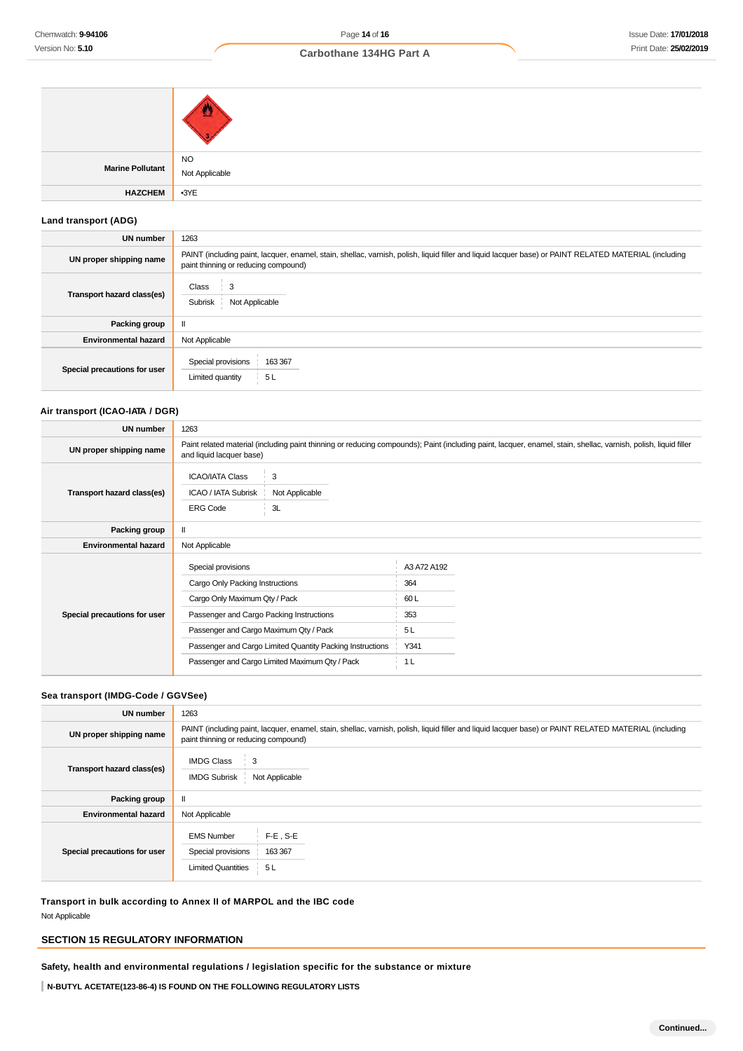| Marine Pollutant | NO<br>Not Applicable |
|------------------|----------------------|
| <b>HAZCHEM</b>   | $-3YE$               |

# **Land transport (ADG)**

| UN number                    | 1263                                                                                                                                                                                          |
|------------------------------|-----------------------------------------------------------------------------------------------------------------------------------------------------------------------------------------------|
| UN proper shipping name      | PAINT (including paint, lacquer, enamel, stain, shellac, varnish, polish, liquid filler and liquid lacquer base) or PAINT RELATED MATERIAL (including<br>paint thinning or reducing compound) |
| Transport hazard class(es)   | Class<br>3<br>Subrisk<br>Not Applicable                                                                                                                                                       |
| Packing group                | $\mathbf{I}$                                                                                                                                                                                  |
| <b>Environmental hazard</b>  | Not Applicable                                                                                                                                                                                |
| Special precautions for user | Special provisions<br>163 367<br>Limited quantity<br>5L                                                                                                                                       |

# **Air transport (ICAO-IATA / DGR)**

| UN number                    | 1263                                                                                                                                                                         |                                                           |                                                |                                                                                                                                                                  |
|------------------------------|------------------------------------------------------------------------------------------------------------------------------------------------------------------------------|-----------------------------------------------------------|------------------------------------------------|------------------------------------------------------------------------------------------------------------------------------------------------------------------|
| UN proper shipping name      | and liquid lacquer base)                                                                                                                                                     |                                                           |                                                | Paint related material (including paint thinning or reducing compounds); Paint (including paint, lacquer, enamel, stain, shellac, varnish, polish, liquid filler |
| Transport hazard class(es)   | <b>ICAO/IATA Class</b><br>ICAO / IATA Subrisk<br><b>ERG Code</b>                                                                                                             | 3<br>Not Applicable<br>3L                                 |                                                |                                                                                                                                                                  |
| Packing group                | $\mathbf{I}$                                                                                                                                                                 |                                                           |                                                |                                                                                                                                                                  |
| <b>Environmental hazard</b>  | Not Applicable                                                                                                                                                               |                                                           |                                                |                                                                                                                                                                  |
| Special precautions for user | Special provisions<br>Cargo Only Packing Instructions<br>Cargo Only Maximum Qty / Pack<br>Passenger and Cargo Packing Instructions<br>Passenger and Cargo Maximum Qty / Pack | Passenger and Cargo Limited Quantity Packing Instructions | A3 A72 A192<br>364<br>60L<br>353<br>5L<br>Y341 |                                                                                                                                                                  |
|                              |                                                                                                                                                                              | Passenger and Cargo Limited Maximum Qty / Pack            | 1 <sub>L</sub>                                 |                                                                                                                                                                  |

# **Sea transport (IMDG-Code / GGVSee)**

| <b>UN number</b>             | 1263                                                                                                                                                                                          |
|------------------------------|-----------------------------------------------------------------------------------------------------------------------------------------------------------------------------------------------|
| UN proper shipping name      | PAINT (including paint, lacquer, enamel, stain, shellac, varnish, polish, liquid filler and liquid lacquer base) or PAINT RELATED MATERIAL (including<br>paint thinning or reducing compound) |
| Transport hazard class(es)   | <b>IMDG Class</b><br>3<br><b>IMDG Subrisk</b><br>Not Applicable                                                                                                                               |
| Packing group                | Ш                                                                                                                                                                                             |
| <b>Environmental hazard</b>  | Not Applicable                                                                                                                                                                                |
| Special precautions for user | $F-E$ , S-E<br><b>EMS Number</b><br>Special provisions<br>163 367<br><b>Limited Quantities</b><br>5L                                                                                          |

**Transport in bulk according to Annex II of MARPOL and the IBC code** Not Applicable

# **SECTION 15 REGULATORY INFORMATION**

**Safety, health and environmental regulations / legislation specific for the substance or mixture**

**N-BUTYL ACETATE(123-86-4) IS FOUND ON THE FOLLOWING REGULATORY LISTS**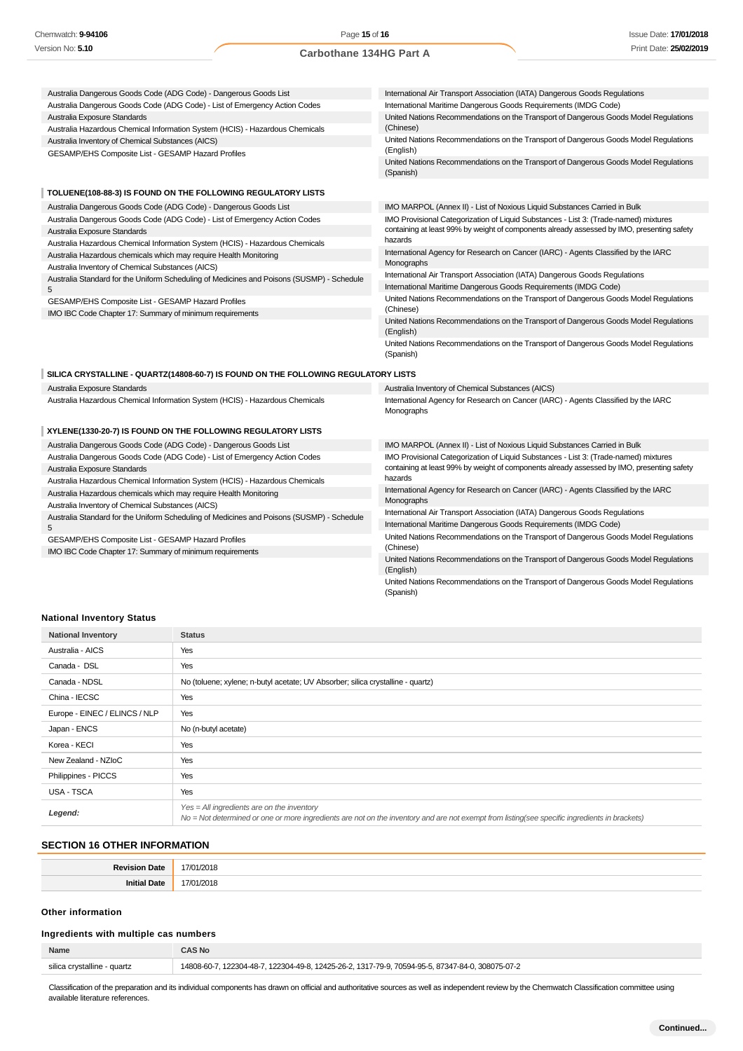| Australia Dangerous Goods Code (ADG Code) - Dangerous Goods List                          | International Air Transport Association (IATA) Dangerous Goods Regulations                                     |
|-------------------------------------------------------------------------------------------|----------------------------------------------------------------------------------------------------------------|
| Australia Dangerous Goods Code (ADG Code) - List of Emergency Action Codes                | International Maritime Dangerous Goods Requirements (IMDG Code)                                                |
| Australia Exposure Standards                                                              | United Nations Recommendations on the Transport of Dangerous Goods Model Regulations                           |
| Australia Hazardous Chemical Information System (HCIS) - Hazardous Chemicals              | (Chinese)                                                                                                      |
| Australia Inventory of Chemical Substances (AICS)                                         | United Nations Recommendations on the Transport of Dangerous Goods Model Regulations                           |
| GESAMP/EHS Composite List - GESAMP Hazard Profiles                                        | (English)                                                                                                      |
|                                                                                           | United Nations Recommendations on the Transport of Dangerous Goods Model Regulations<br>(Spanish)              |
| TOLUENE(108-88-3) IS FOUND ON THE FOLLOWING REGULATORY LISTS                              |                                                                                                                |
| Australia Dangerous Goods Code (ADG Code) - Dangerous Goods List                          | IMO MARPOL (Annex II) - List of Noxious Liquid Substances Carried in Bulk                                      |
| Australia Dangerous Goods Code (ADG Code) - List of Emergency Action Codes                | IMO Provisional Categorization of Liquid Substances - List 3: (Trade-named) mixtures                           |
| Australia Exposure Standards                                                              | containing at least 99% by weight of components already assessed by IMO, presenting safety                     |
| Australia Hazardous Chemical Information System (HCIS) - Hazardous Chemicals              | hazards                                                                                                        |
| Australia Hazardous chemicals which may require Health Monitoring                         | International Agency for Research on Cancer (IARC) - Agents Classified by the IARC                             |
| Australia Inventory of Chemical Substances (AICS)                                         | Monographs                                                                                                     |
| Australia Standard for the Uniform Scheduling of Medicines and Poisons (SUSMP) - Schedule | International Air Transport Association (IATA) Dangerous Goods Regulations                                     |
| 5                                                                                         | International Maritime Dangerous Goods Requirements (IMDG Code)                                                |
| GESAMP/EHS Composite List - GESAMP Hazard Profiles                                        | United Nations Recommendations on the Transport of Dangerous Goods Model Regulations                           |
| IMO IBC Code Chapter 17: Summary of minimum requirements                                  | (Chinese)                                                                                                      |
|                                                                                           | United Nations Recommendations on the Transport of Dangerous Goods Model Regulations<br>(English)              |
|                                                                                           | United Nations Recommendations on the Transport of Dangerous Goods Model Regulations                           |
|                                                                                           | (Spanish)                                                                                                      |
| SILICA CRYSTALLINE - QUARTZ(14808-60-7) IS FOUND ON THE FOLLOWING REGULATORY LISTS        |                                                                                                                |
| Australia Exposure Standards                                                              | Australia Inventory of Chemical Substances (AICS)                                                              |
| Australia Hazardous Chemical Information System (HCIS) - Hazardous Chemicals              | International Agency for Research on Cancer (IARC) - Agents Classified by the IARC<br>Monographs               |
| XYLENE(1330-20-7) IS FOUND ON THE FOLLOWING REGULATORY LISTS                              |                                                                                                                |
| Australia Dangerous Goods Code (ADG Code) - Dangerous Goods List                          | IMO MARPOL (Annex II) - List of Noxious Liquid Substances Carried in Bulk                                      |
| Australia Dangerous Goods Code (ADG Code) - List of Emergency Action Codes                | IMO Provisional Categorization of Liquid Substances - List 3: (Trade-named) mixtures                           |
| Australia Exposure Standards                                                              | containing at least 99% by weight of components already assessed by IMO, presenting safety                     |
| Australia Hazardous Chemical Information System (HCIS) - Hazardous Chemicals              | hazards                                                                                                        |
| Australia Hazardous chemicals which may require Health Monitoring                         | International Agency for Research on Cancer (IARC) - Agents Classified by the IARC                             |
| Australia Inventory of Chemical Substances (AICS)                                         | Monographs                                                                                                     |
| Australia Standard for the Uniform Scheduling of Medicines and Poisons (SUSMP) - Schedule | International Air Transport Association (IATA) Dangerous Goods Regulations                                     |
| 5                                                                                         | International Maritime Dangerous Goods Requirements (IMDG Code)                                                |
| GESAMP/EHS Composite List - GESAMP Hazard Profiles                                        | United Nations Recommendations on the Transport of Dangerous Goods Model Regulations                           |
| IMO IBC Code Chapter 17: Summary of minimum requirements                                  | (Chinese)<br>United Nations Recommendations on the Transport of Dangerous Goods Model Regulations<br>(English) |

### **National Inventory Status**

| <b>National Inventory</b>     | <b>Status</b>                                                                                                                                                                                 |
|-------------------------------|-----------------------------------------------------------------------------------------------------------------------------------------------------------------------------------------------|
| Australia - AICS              | Yes                                                                                                                                                                                           |
| Canada - DSL                  | Yes                                                                                                                                                                                           |
| Canada - NDSL                 | No (toluene; xylene; n-butyl acetate; UV Absorber; silica crystalline - quartz)                                                                                                               |
| China - IECSC                 | Yes                                                                                                                                                                                           |
| Europe - EINEC / ELINCS / NLP | Yes                                                                                                                                                                                           |
| Japan - ENCS                  | No (n-butyl acetate)                                                                                                                                                                          |
| Korea - KECI                  | Yes                                                                                                                                                                                           |
| New Zealand - NZIoC           | Yes                                                                                                                                                                                           |
| Philippines - PICCS           | Yes                                                                                                                                                                                           |
| USA - TSCA                    | Yes                                                                                                                                                                                           |
| Legend:                       | $Yes = All ingredients are on the inventory$<br>No = Not determined or one or more ingredients are not on the inventory and are not exempt from listing(see specific ingredients in brackets) |

### **SECTION 16 OTHER INFORMATION**

# **Other information**

# **Ingredients with multiple cas numbers**

| Name                        | \S No                                                                                            |
|-----------------------------|--------------------------------------------------------------------------------------------------|
| silica crystalline - quartz | 14808-60-7, 122304-48-7, 122304-49-8, 12425-26-2, 1317-79-9, 70594-95-5, 87347-84-0, 308075-07-2 |

Classification of the preparation and its individual components has drawn on official and authoritative sources as well as independent review by the Chemwatch Classification committee using available literature references.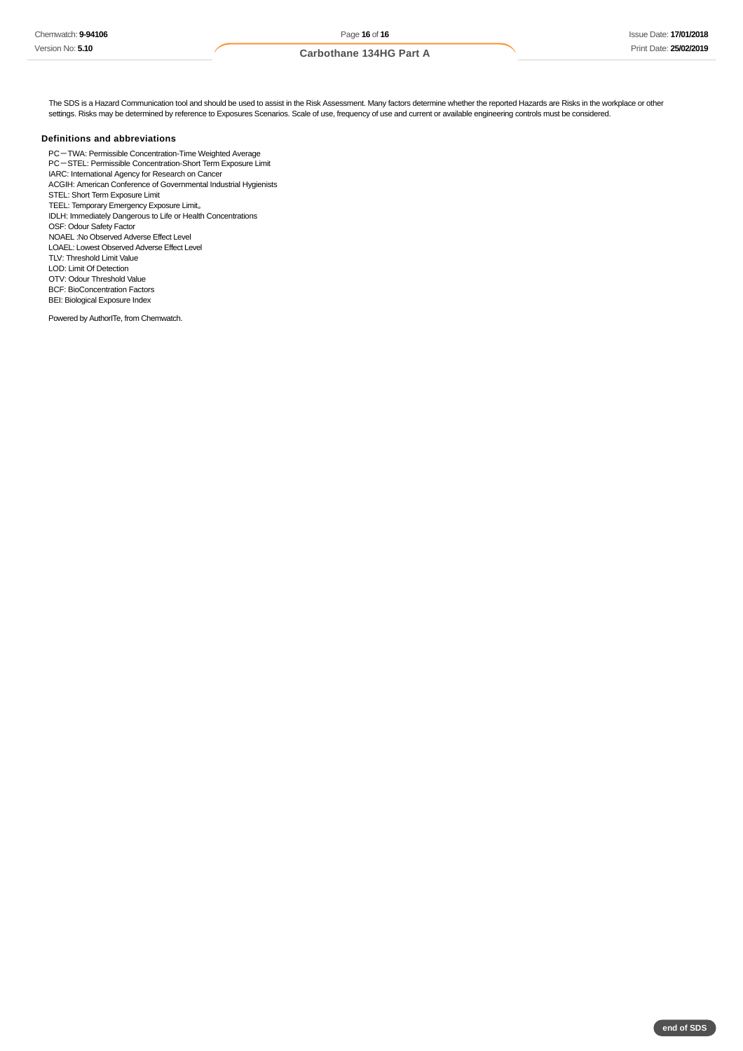The SDS is a Hazard Communication tool and should be used to assist in the Risk Assessment. Many factors determine whether the reported Hazards are Risks in the workplace or other settings. Risks may be determined by reference to Exposures Scenarios. Scale of use, frequency of use and current or available engineering controls must be considered.

### **Definitions and abbreviations**

PC-TWA: Permissible Concentration-Time Weighted Average PC-STEL: Permissible Concentration-Short Term Exposure Limit IARC: International Agency for Research on Cancer ACGIH: American Conference of Governmental Industrial Hygienists STEL: Short Term Exposure Limit TEEL: Temporary Emergency Exposure Limit。 IDLH: Immediately Dangerous to Life or Health Concentrations OSF: Odour Safety Factor NOAEL :No Observed Adverse Effect Level LOAEL: Lowest Observed Adverse Effect Level TLV: Threshold Limit Value LOD: Limit Of Detection OTV: Odour Threshold Value BCF: BioConcentration Factors BEI: Biological Exposure Index

Powered by AuthorITe, from Chemwatch.

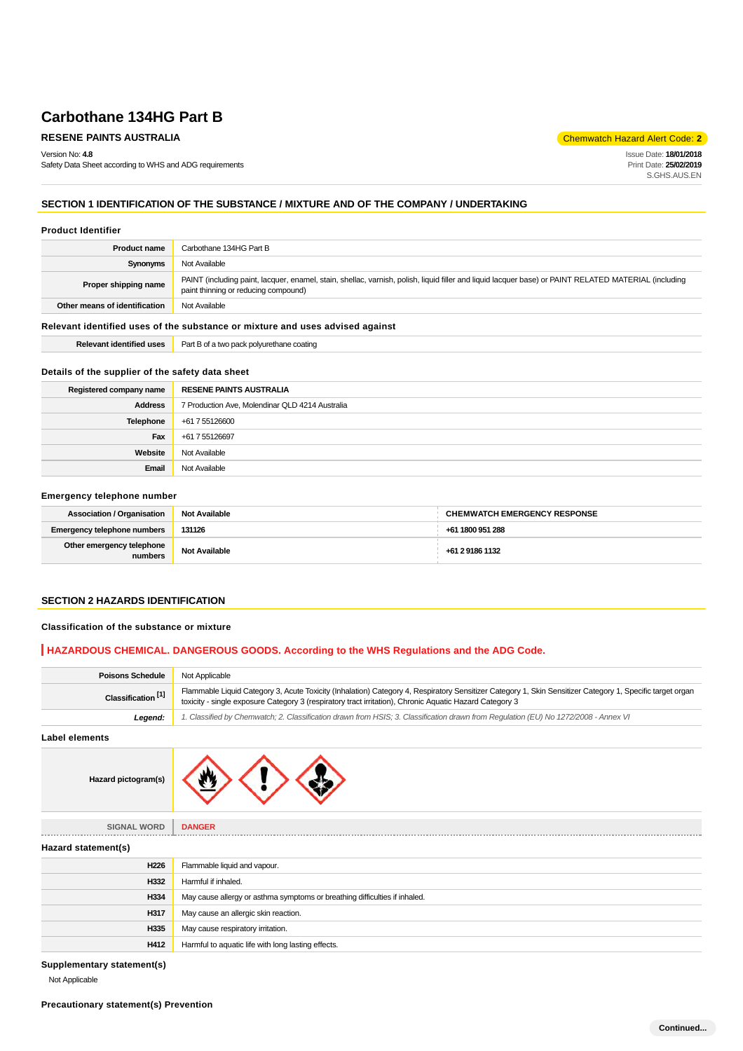Version No: **4.8**

Safety Data Sheet according to WHS and ADG requirements

**RESENE PAINTS AUSTRALIA** Chemwatch Hazard Alert Code: 2<sup>1</sup>

Issue Date: **18/01/2018** Print Date: **25/02/2019** S.GHS.AUS.EN

# **SECTION 1 IDENTIFICATION OF THE SUBSTANCE / MIXTURE AND OF THE COMPANY / UNDERTAKING**

### **Product Identifier**

| <b>Product name</b>                                                           | Carbothane 134HG Part B                                                                                                                                                                       |  |
|-------------------------------------------------------------------------------|-----------------------------------------------------------------------------------------------------------------------------------------------------------------------------------------------|--|
| Synonyms                                                                      | Not Available                                                                                                                                                                                 |  |
| Proper shipping name                                                          | PAINT (including paint, lacquer, enamel, stain, shellac, varnish, polish, liquid filler and liquid lacquer base) or PAINT RELATED MATERIAL (including<br>paint thinning or reducing compound) |  |
| Other means of identification                                                 | Not Available                                                                                                                                                                                 |  |
| Relevant identified uses of the substance or mixture and uses advised against |                                                                                                                                                                                               |  |
| <b>Relevant identified uses</b>                                               | Part B of a two pack polyurethane coating                                                                                                                                                     |  |

# **Details of the supplier of the safety data sheet**

| Registered company name | <b>RESENE PAINTS AUSTRALIA</b>                  |
|-------------------------|-------------------------------------------------|
| <b>Address</b>          | 7 Production Ave, Molendinar QLD 4214 Australia |
| Telephone               | +61 7 55126600                                  |
| Fax                     | +61 7 55126697                                  |
| Website                 | Not Available                                   |
| Email                   | Not Available                                   |

### **Emergency telephone number**

| <b>Association / Organisation</b>    | <b>Not Available</b> | <b>CHEMWATCH EMERGENCY RESPONSE</b> |
|--------------------------------------|----------------------|-------------------------------------|
| Emergency telephone numbers          | 131126               | +61 1800 951 288                    |
| Other emergency telephone<br>numbers | <b>Not Available</b> | +61 2 9186 1132                     |

# **SECTION 2 HAZARDS IDENTIFICATION**

### **Classification of the substance or mixture**

**Hazard pictogram(s)**

# **HAZARDOUS CHEMICAL. DANGEROUS GOODS. According to the WHS Regulations and the ADG Code.**

| <b>Poisons Schedule</b>       | Not Applicable                                                                                                                                                                                                                                                       |
|-------------------------------|----------------------------------------------------------------------------------------------------------------------------------------------------------------------------------------------------------------------------------------------------------------------|
| Classification <sup>[1]</sup> | Flammable Liquid Category 3, Acute Toxicity (Inhalation) Category 4, Respiratory Sensitizer Category 1, Skin Sensitizer Category 1, Specific target organ<br>toxicity - single exposure Category 3 (respiratory tract irritation), Chronic Aquatic Hazard Category 3 |
| Leaend:                       | 1. Classified by Chemwatch; 2. Classification drawn from HSIS; 3. Classification drawn from Requlation (EU) No 1272/2008 - Annex VI                                                                                                                                  |
| .                             |                                                                                                                                                                                                                                                                      |

**Label elements**



| <b>SIGNAL WORD</b>  | <b>DANGER</b>                                                              |
|---------------------|----------------------------------------------------------------------------|
| Hazard statement(s) |                                                                            |
| H226                | Flammable liquid and vapour.                                               |
| H332                | Harmful if inhaled.                                                        |
| H334                | May cause allergy or asthma symptoms or breathing difficulties if inhaled. |
| H317                | May cause an allergic skin reaction.                                       |
| H335                | May cause respiratory irritation.                                          |
| H412                | Harmful to aquatic life with long lasting effects.                         |

**Supplementary statement(s)**

Not Applicable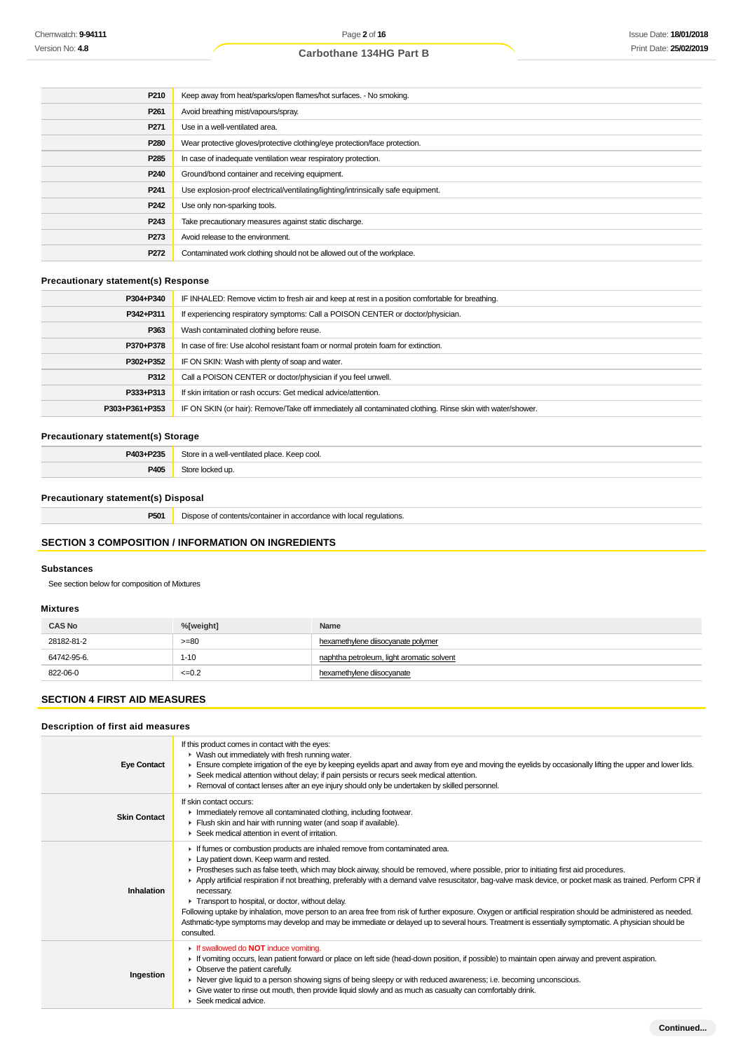| P210             | Keep away from heat/sparks/open flames/hot surfaces. - No smoking.                |
|------------------|-----------------------------------------------------------------------------------|
| P <sub>261</sub> | Avoid breathing mist/vapours/spray.                                               |
| P <sub>271</sub> | Use in a well-ventilated area.                                                    |
| P280             | Wear protective gloves/protective clothing/eye protection/face protection.        |
| P <sub>285</sub> | In case of inadequate ventilation wear respiratory protection.                    |
| P <sub>240</sub> | Ground/bond container and receiving equipment.                                    |
| P <sub>241</sub> | Use explosion-proof electrical/ventilating/lighting/intrinsically safe equipment. |
| P <sub>242</sub> | Use only non-sparking tools.                                                      |
| P <sub>243</sub> | Take precautionary measures against static discharge.                             |
| P273             | Avoid release to the environment.                                                 |
| P272             | Contaminated work clothing should not be allowed out of the workplace.            |

# **Precautionary statement(s) Response**

| P304+P340      | IF INHALED: Remove victim to fresh air and keep at rest in a position comfortable for breathing.           |
|----------------|------------------------------------------------------------------------------------------------------------|
| P342+P311      | If experiencing respiratory symptoms: Call a POISON CENTER or doctor/physician.                            |
| P363           | Wash contaminated clothing before reuse.                                                                   |
| P370+P378      | In case of fire: Use alcohol resistant foam or normal protein foam for extinction.                         |
| P302+P352      | IF ON SKIN: Wash with plenty of soap and water.                                                            |
| P312           | Call a POISON CENTER or doctor/physician if you feel unwell.                                               |
| P333+P313      | If skin irritation or rash occurs: Get medical advice/attention.                                           |
| P303+P361+P353 | IF ON SKIN (or hair): Remove/Take off immediately all contaminated clothing. Rinse skin with water/shower. |

# **Precautionary statement(s) Storage**

| <b>DA02 . D225</b><br>-33  | $^{O+O+}$<br>. Keep cool.<br>well-ventilated place<br>$  -$ |
|----------------------------|-------------------------------------------------------------|
| <b>DANE</b><br>$. -\infty$ |                                                             |

# **Precautionary statement(s) Disposal**

**P501** Dispose of contents/container in accordance with local regulations.

# **SECTION 3 COMPOSITION / INFORMATION ON INGREDIENTS**

# **Substances**

See section below for composition of Mixtures

### **Mixtures**

| <b>CAS No</b> | %[weight]  | Name                                      |
|---------------|------------|-------------------------------------------|
| 28182-81-2    | $>= 80$    | hexamethylene diisocyanate polymer        |
| 64742-95-6.   | $1 - 10$   | naphtha petroleum, light aromatic solvent |
| 822-06-0      | $\leq 0.2$ | hexamethylene diisocyanate                |

### **SECTION 4 FIRST AID MEASURES**

### **Description of first aid measures**

| <b>Eye Contact</b>  | If this product comes in contact with the eyes:<br>• Wash out immediately with fresh running water.<br>Ensure complete irrigation of the eye by keeping eyelids apart and away from eye and moving the eyelids by occasionally lifting the upper and lower lids.<br>► Seek medical attention without delay; if pain persists or recurs seek medical attention.<br>► Removal of contact lenses after an eye injury should only be undertaken by skilled personnel.                                                                                                                                                                                                                                                                                                                                                                          |
|---------------------|--------------------------------------------------------------------------------------------------------------------------------------------------------------------------------------------------------------------------------------------------------------------------------------------------------------------------------------------------------------------------------------------------------------------------------------------------------------------------------------------------------------------------------------------------------------------------------------------------------------------------------------------------------------------------------------------------------------------------------------------------------------------------------------------------------------------------------------------|
| <b>Skin Contact</b> | If skin contact occurs:<br>Inmediately remove all contaminated clothing, including footwear.<br>Flush skin and hair with running water (and soap if available).<br>▶ Seek medical attention in event of irritation.                                                                                                                                                                                                                                                                                                                                                                                                                                                                                                                                                                                                                        |
| Inhalation          | If fumes or combustion products are inhaled remove from contaminated area.<br>Lay patient down. Keep warm and rested.<br>► Prostheses such as false teeth, which may block airway, should be removed, where possible, prior to initiating first aid procedures.<br>▶ Apply artificial respiration if not breathing, preferably with a demand valve resuscitator, bag-valve mask device, or pocket mask as trained. Perform CPR if<br>necessary.<br>Transport to hospital, or doctor, without delay.<br>Following uptake by inhalation, move person to an area free from risk of further exposure. Oxygen or artificial respiration should be administered as needed.<br>Asthmatic-type symptoms may develop and may be immediate or delayed up to several hours. Treatment is essentially symptomatic. A physician should be<br>consulted. |
| Ingestion           | If swallowed do <b>NOT</b> induce vomiting.<br>If vomiting occurs, lean patient forward or place on left side (head-down position, if possible) to maintain open airway and prevent aspiration.<br>$\triangleright$ Observe the patient carefully.<br>► Never give liquid to a person showing signs of being sleepy or with reduced awareness; i.e. becoming unconscious.<br>► Give water to rinse out mouth, then provide liquid slowly and as much as casualty can comfortably drink.<br>$\blacktriangleright$ Seek medical advice.                                                                                                                                                                                                                                                                                                      |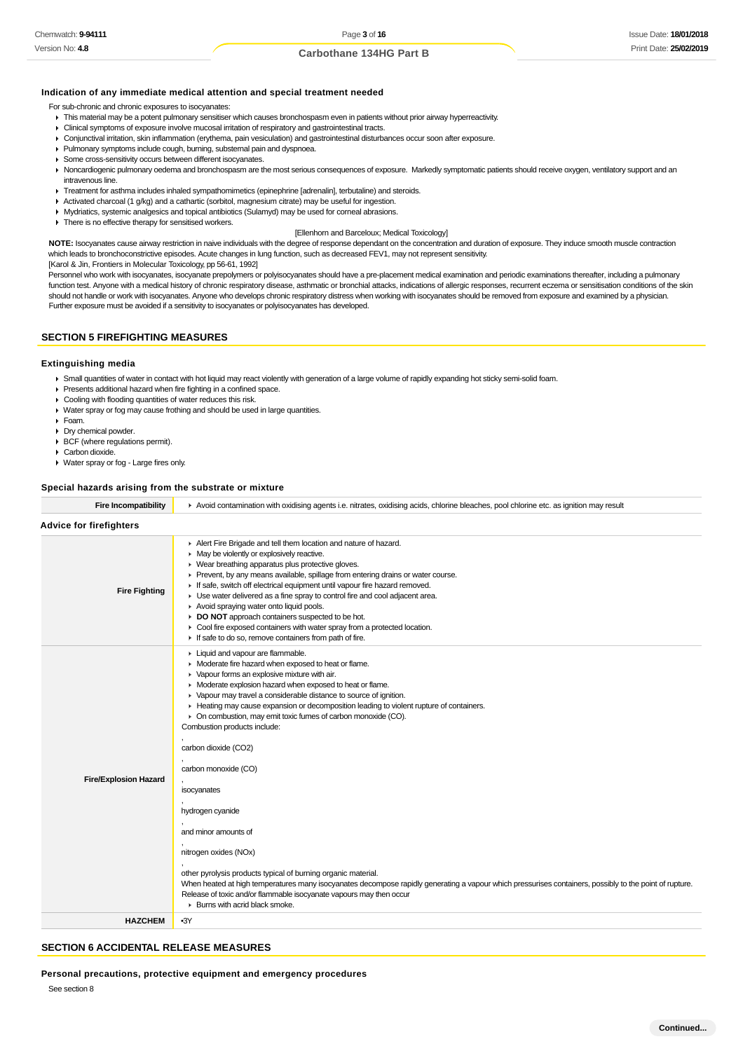### **Indication of any immediate medical attention and special treatment needed**

For sub-chronic and chronic exposures to isocyanates:

- This material may be a potent pulmonary sensitiser which causes bronchospasm even in patients without prior airway hyperreactivity.
- Clinical symptoms of exposure involve mucosal irritation of respiratory and gastrointestinal tracts.
- Conjunctival irritation, skin inflammation (erythema, pain vesiculation) and gastrointestinal disturbances occur soon after exposure.
- Pulmonary symptoms include cough, burning, substernal pain and dyspnoea.
- Some cross-sensitivity occurs between different isocyanates.
- ▶ Noncardiogenic pulmonary oedema and bronchospasm are the most serious consequences of exposure. Markedly symptomatic patients should receive oxygen, ventilatory support and an intravenous line.
- **F** Treatment for asthma includes inhaled sympathomimetics (epinephrine [adrenalin], terbutaline) and steroids.
- Activated charcoal (1  $g/kg$ ) and a cathartic (sorbitol, magnesium citrate) may be useful for ingestion.
- Mydriatics, systemic analgesics and topical antibiotics (Sulamyd) may be used for corneal abrasions.
- $\blacktriangleright$  There is no effective therapy for sensitised workers.

### [Ellenhorn and Barceloux; Medical Toxicology]

**NOTE:** Isocyanates cause airway restriction in naive individuals with the degree of response dependant on the concentration and duration of exposure. They induce smooth muscle contraction which leads to bronchoconstrictive episodes. Acute changes in lung function, such as decreased FEV1, may not represent sensitivity.

[Karol & Jin, Frontiers in Molecular Toxicology, pp 56-61, 1992]

Personnel who work with isocyanates, isocyanate prepolymers or polyisocyanates should have a pre-placement medical examination and periodic examinations thereafter, including a pulmonary function test. Anyone with a medical history of chronic respiratory disease, asthmatic or bronchial attacks, indications of allergic responses, recurrent eczema or sensitisation conditions of the skin should not handle or work with isocyanates. Anyone who develops chronic respiratory distress when working with isocyanates should be removed from exposure and examined by a physician. Further exposure must be avoided if a sensitivity to isocyanates or polyisocyanates has developed.

# **SECTION 5 FIREFIGHTING MEASURES**

#### **Extinguishing media**

- Small quantities of water in contact with hot liquid may react violently with generation of a large volume of rapidly expanding hot sticky semi-solid foam.
- Presents additional hazard when fire fighting in a confined space.
- Cooling with flooding quantities of water reduces this risk.
- ▶ Water spray or fog may cause frothing and should be used in large quantities.
- Foam.
- Dry chemical powder.
- BCF (where regulations permit).
- Carbon dioxide.
- Water spray or fog Large fires only.

#### **Special hazards arising from the substrate or mixture**

| <b>Advice for firefighters</b><br>Alert Fire Brigade and tell them location and nature of hazard.<br>• May be violently or explosively reactive.<br>• Wear breathing apparatus plus protective gloves.<br>▶ Prevent, by any means available, spillage from entering drains or water course.<br>If safe, switch off electrical equipment until vapour fire hazard removed.<br><b>Fire Fighting</b><br>• Use water delivered as a fine spray to control fire and cool adjacent area.<br>Avoid spraying water onto liquid pools.<br>DO NOT approach containers suspected to be hot.<br>• Cool fire exposed containers with water spray from a protected location.<br>If safe to do so, remove containers from path of fire.<br>Liquid and vapour are flammable.<br>• Moderate fire hazard when exposed to heat or flame.<br>▶ Vapour forms an explosive mixture with air.<br>• Moderate explosion hazard when exposed to heat or flame.<br>• Vapour may travel a considerable distance to source of ignition.<br>Heating may cause expansion or decomposition leading to violent rupture of containers.<br>• On combustion, may emit toxic fumes of carbon monoxide (CO).<br>Combustion products include:<br>carbon dioxide (CO2)<br>carbon monoxide (CO)<br><b>Fire/Explosion Hazard</b><br>isocyanates<br>hydrogen cyanide<br>and minor amounts of<br>nitrogen oxides (NOx)<br>other pyrolysis products typical of burning organic material. | <b>Fire Incompatibility</b> | Avoid contamination with oxidising agents i.e. nitrates, oxidising acids, chlorine bleaches, pool chlorine etc. as ignition may result                                                                                         |  |  |  |
|---------------------------------------------------------------------------------------------------------------------------------------------------------------------------------------------------------------------------------------------------------------------------------------------------------------------------------------------------------------------------------------------------------------------------------------------------------------------------------------------------------------------------------------------------------------------------------------------------------------------------------------------------------------------------------------------------------------------------------------------------------------------------------------------------------------------------------------------------------------------------------------------------------------------------------------------------------------------------------------------------------------------------------------------------------------------------------------------------------------------------------------------------------------------------------------------------------------------------------------------------------------------------------------------------------------------------------------------------------------------------------------------------------------------------------------------|-----------------------------|--------------------------------------------------------------------------------------------------------------------------------------------------------------------------------------------------------------------------------|--|--|--|
|                                                                                                                                                                                                                                                                                                                                                                                                                                                                                                                                                                                                                                                                                                                                                                                                                                                                                                                                                                                                                                                                                                                                                                                                                                                                                                                                                                                                                                             |                             |                                                                                                                                                                                                                                |  |  |  |
|                                                                                                                                                                                                                                                                                                                                                                                                                                                                                                                                                                                                                                                                                                                                                                                                                                                                                                                                                                                                                                                                                                                                                                                                                                                                                                                                                                                                                                             |                             |                                                                                                                                                                                                                                |  |  |  |
| $\blacktriangleright$ Burns with acrid black smoke.                                                                                                                                                                                                                                                                                                                                                                                                                                                                                                                                                                                                                                                                                                                                                                                                                                                                                                                                                                                                                                                                                                                                                                                                                                                                                                                                                                                         |                             | When heated at high temperatures many isocyanates decompose rapidly generating a vapour which pressurises containers, possibly to the point of rupture.<br>Release of toxic and/or flammable isocyanate vapours may then occur |  |  |  |
| <b>HAZCHEM</b><br>$-3Y$                                                                                                                                                                                                                                                                                                                                                                                                                                                                                                                                                                                                                                                                                                                                                                                                                                                                                                                                                                                                                                                                                                                                                                                                                                                                                                                                                                                                                     |                             |                                                                                                                                                                                                                                |  |  |  |

# **SECTION 6 ACCIDENTAL RELEASE MEASURES**

### **Personal precautions, protective equipment and emergency procedures**

See section 8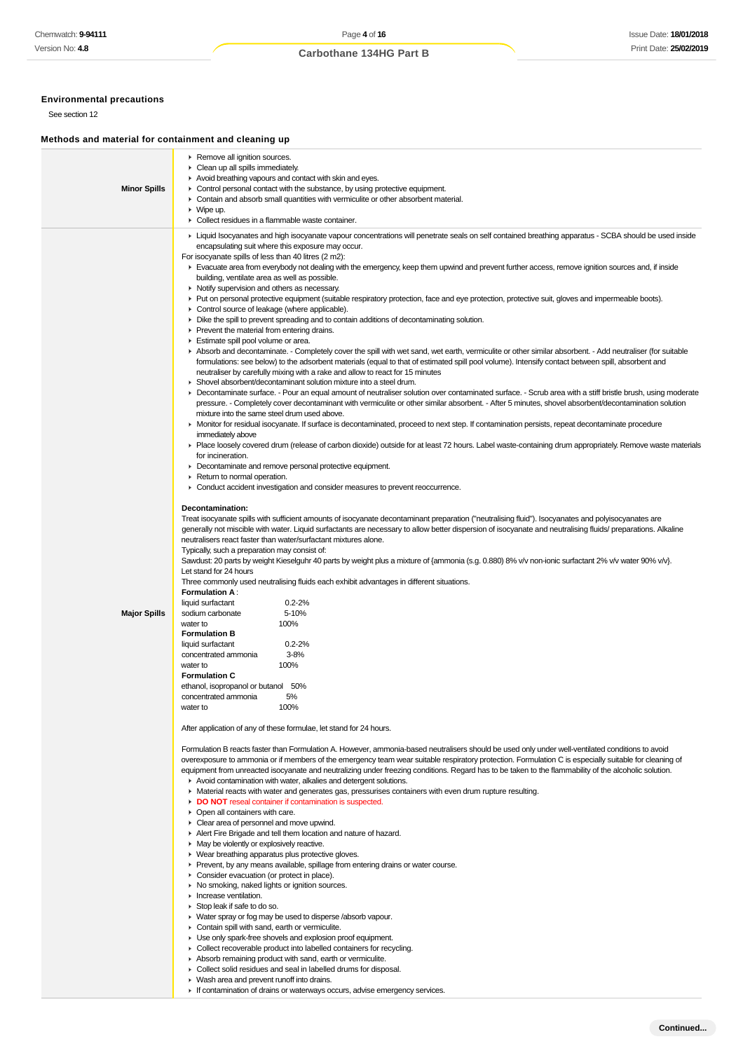# **Environmental precautions**

See section 12

# **Methods and material for containment and cleaning up**

| <b>Minor Spills</b> | ▶ Remove all ignition sources.<br>• Clean up all spills immediately.<br>Avoid breathing vapours and contact with skin and eyes.<br>• Control personal contact with the substance, by using protective equipment.<br>• Contain and absorb small quantities with vermiculite or other absorbent material.<br>$\blacktriangleright$ Wipe up.                                                                                                                                                                                                                                                                                                                                                                                                                                                                                                                                                                                                                                                                                                                                                                                                                                                                                                                                                                                                                                                                                                                                                                                                                                                                                                                                                                                                                                                                                                                                                                                                                                                                                                                                                                                                                                                                                                                                                                                                                                                                                                                                                                                                                                                                                                                                                                                                                                                                                                                                                                                                   |
|---------------------|---------------------------------------------------------------------------------------------------------------------------------------------------------------------------------------------------------------------------------------------------------------------------------------------------------------------------------------------------------------------------------------------------------------------------------------------------------------------------------------------------------------------------------------------------------------------------------------------------------------------------------------------------------------------------------------------------------------------------------------------------------------------------------------------------------------------------------------------------------------------------------------------------------------------------------------------------------------------------------------------------------------------------------------------------------------------------------------------------------------------------------------------------------------------------------------------------------------------------------------------------------------------------------------------------------------------------------------------------------------------------------------------------------------------------------------------------------------------------------------------------------------------------------------------------------------------------------------------------------------------------------------------------------------------------------------------------------------------------------------------------------------------------------------------------------------------------------------------------------------------------------------------------------------------------------------------------------------------------------------------------------------------------------------------------------------------------------------------------------------------------------------------------------------------------------------------------------------------------------------------------------------------------------------------------------------------------------------------------------------------------------------------------------------------------------------------------------------------------------------------------------------------------------------------------------------------------------------------------------------------------------------------------------------------------------------------------------------------------------------------------------------------------------------------------------------------------------------------------------------------------------------------------------------------------------------------|
|                     | • Collect residues in a flammable waste container.                                                                                                                                                                                                                                                                                                                                                                                                                                                                                                                                                                                                                                                                                                                                                                                                                                                                                                                                                                                                                                                                                                                                                                                                                                                                                                                                                                                                                                                                                                                                                                                                                                                                                                                                                                                                                                                                                                                                                                                                                                                                                                                                                                                                                                                                                                                                                                                                                                                                                                                                                                                                                                                                                                                                                                                                                                                                                          |
|                     | ► Liquid Isocyanates and high isocyanate vapour concentrations will penetrate seals on self contained breathing apparatus - SCBA should be used inside<br>encapsulating suit where this exposure may occur.<br>For isocyanate spills of less than 40 litres (2 m2):<br>Evacuate area from everybody not dealing with the emergency, keep them upwind and prevent further access, remove ignition sources and, if inside<br>building, ventilate area as well as possible.<br>• Notify supervision and others as necessary.<br>► Put on personal protective equipment (suitable respiratory protection, face and eye protection, protective suit, gloves and impermeable boots).<br>• Control source of leakage (where applicable).<br>• Dike the spill to prevent spreading and to contain additions of decontaminating solution.<br>▶ Prevent the material from entering drains.<br>Estimate spill pool volume or area.<br>Absorb and decontaminate. - Completely cover the spill with wet sand, wet earth, vermiculite or other similar absorbent. - Add neutraliser (for suitable<br>formulations: see below) to the adsorbent materials (equal to that of estimated spill pool volume). Intensify contact between spill, absorbent and<br>neutraliser by carefully mixing with a rake and allow to react for 15 minutes<br>• Shovel absorbent/decontaminant solution mixture into a steel drum.<br>▶ Decontaminate surface. - Pour an equal amount of neutraliser solution over contaminated surface. - Scrub area with a stiff bristle brush, using moderate<br>pressure. - Completely cover decontaminant with vermiculite or other similar absorbent. - After 5 minutes, shovel absorbent/decontamination solution<br>mixture into the same steel drum used above.<br>• Monitor for residual isocyanate. If surface is decontaminated, proceed to next step. If contamination persists, repeat decontaminate procedure<br>immediately above<br>▶ Place loosely covered drum (release of carbon dioxide) outside for at least 72 hours. Label waste-containing drum appropriately. Remove waste materials<br>for incineration.<br>• Decontaminate and remove personal protective equipment.<br>▶ Return to normal operation.<br>• Conduct accident investigation and consider measures to prevent reoccurrence.<br>Decontamination:<br>Treat isocyanate spills with sufficient amounts of isocyanate decontaminant preparation ("neutralising fluid"). Isocyanates and polyisocyanates are<br>generally not miscible with water. Liquid surfactants are necessary to allow better dispersion of isocyanate and neutralising fluids/ preparations. Alkaline<br>neutralisers react faster than water/surfactant mixtures alone.<br>Typically, such a preparation may consist of:<br>Sawdust: 20 parts by weight Kieselguhr 40 parts by weight plus a mixture of {ammonia (s.g. 0.880) 8% v/v non-ionic surfactant 2% v/v water 90% v/v}. |
|                     | Let stand for 24 hours                                                                                                                                                                                                                                                                                                                                                                                                                                                                                                                                                                                                                                                                                                                                                                                                                                                                                                                                                                                                                                                                                                                                                                                                                                                                                                                                                                                                                                                                                                                                                                                                                                                                                                                                                                                                                                                                                                                                                                                                                                                                                                                                                                                                                                                                                                                                                                                                                                                                                                                                                                                                                                                                                                                                                                                                                                                                                                                      |
|                     | Three commonly used neutralising fluids each exhibit advantages in different situations.<br><b>Formulation A:</b>                                                                                                                                                                                                                                                                                                                                                                                                                                                                                                                                                                                                                                                                                                                                                                                                                                                                                                                                                                                                                                                                                                                                                                                                                                                                                                                                                                                                                                                                                                                                                                                                                                                                                                                                                                                                                                                                                                                                                                                                                                                                                                                                                                                                                                                                                                                                                                                                                                                                                                                                                                                                                                                                                                                                                                                                                           |
| <b>Major Spills</b> | $0.2 - 2%$<br>liquid surfactant<br>5-10%<br>sodium carbonate<br>100%<br>water to<br><b>Formulation B</b><br>$0.2 - 2%$<br>liquid surfactant<br>$3 - 8%$<br>concentrated ammonia<br>water to<br>100%<br><b>Formulation C</b><br>ethanol, isopropanol or butanol 50%<br>concentrated ammonia<br>5%<br>100%<br>water to                                                                                                                                                                                                                                                                                                                                                                                                                                                                                                                                                                                                                                                                                                                                                                                                                                                                                                                                                                                                                                                                                                                                                                                                                                                                                                                                                                                                                                                                                                                                                                                                                                                                                                                                                                                                                                                                                                                                                                                                                                                                                                                                                                                                                                                                                                                                                                                                                                                                                                                                                                                                                        |
|                     | After application of any of these formulae, let stand for 24 hours.                                                                                                                                                                                                                                                                                                                                                                                                                                                                                                                                                                                                                                                                                                                                                                                                                                                                                                                                                                                                                                                                                                                                                                                                                                                                                                                                                                                                                                                                                                                                                                                                                                                                                                                                                                                                                                                                                                                                                                                                                                                                                                                                                                                                                                                                                                                                                                                                                                                                                                                                                                                                                                                                                                                                                                                                                                                                         |
|                     | Formulation B reacts faster than Formulation A. However, ammonia-based neutralisers should be used only under well-ventilated conditions to avoid<br>overexposure to ammonia or if members of the emergency team wear suitable respiratory protection. Formulation C is especially suitable for cleaning of<br>equipment from unreacted isocyanate and neutralizing under freezing conditions. Regard has to be taken to the flammability of the alcoholic solution.<br>Avoid contamination with water, alkalies and detergent solutions.<br>• Material reacts with water and generates gas, pressurises containers with even drum rupture resulting.<br>DO NOT reseal container if contamination is suspected.<br>• Open all containers with care.<br>Clear area of personnel and move upwind.<br>Alert Fire Brigade and tell them location and nature of hazard.<br>• May be violently or explosively reactive.<br>• Wear breathing apparatus plus protective gloves.<br>▶ Prevent, by any means available, spillage from entering drains or water course.<br>• Consider evacuation (or protect in place).<br>▶ No smoking, naked lights or ignition sources.<br>Increase ventilation.<br>$\triangleright$ Stop leak if safe to do so.<br>• Water spray or fog may be used to disperse /absorb vapour.<br>• Contain spill with sand, earth or vermiculite.<br>• Use only spark-free shovels and explosion proof equipment.<br>• Collect recoverable product into labelled containers for recycling.<br>Absorb remaining product with sand, earth or vermiculite.                                                                                                                                                                                                                                                                                                                                                                                                                                                                                                                                                                                                                                                                                                                                                                                                                                                                                                                                                                                                                                                                                                                                                                                                                                                                                                                                                                          |
|                     | Collect solid residues and seal in labelled drums for disposal.                                                                                                                                                                                                                                                                                                                                                                                                                                                                                                                                                                                                                                                                                                                                                                                                                                                                                                                                                                                                                                                                                                                                                                                                                                                                                                                                                                                                                                                                                                                                                                                                                                                                                                                                                                                                                                                                                                                                                                                                                                                                                                                                                                                                                                                                                                                                                                                                                                                                                                                                                                                                                                                                                                                                                                                                                                                                             |

- Wash area and prevent runoff into drains.
- If contamination of drains or waterways occurs, advise emergency services.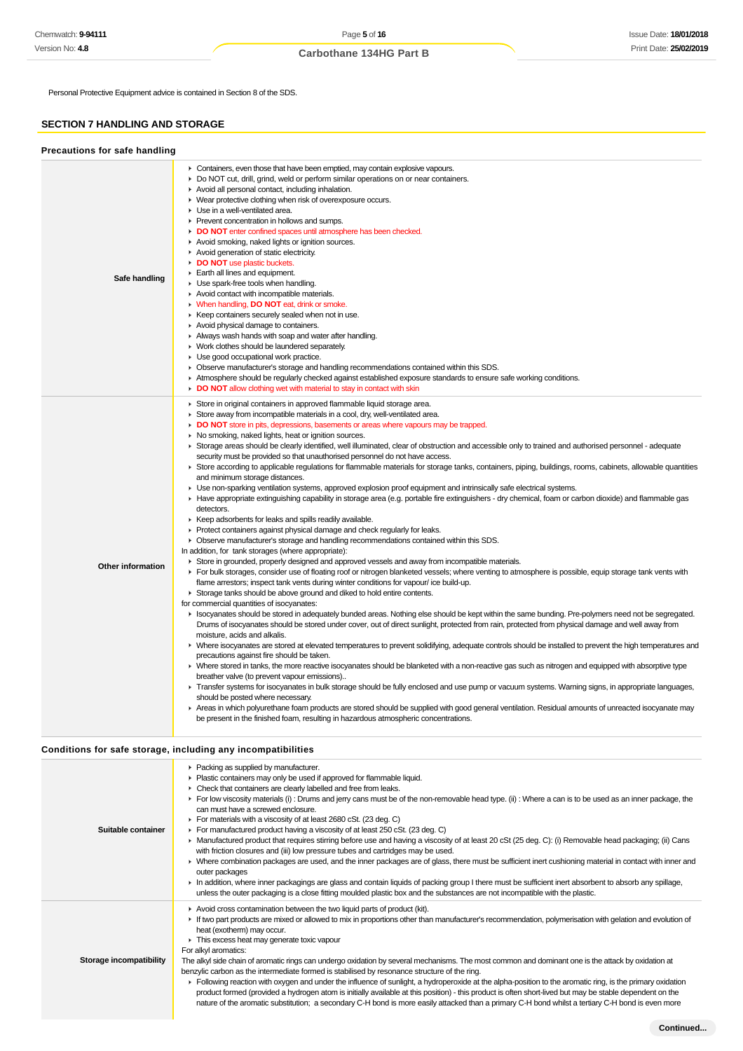Personal Protective Equipment advice is contained in Section 8 of the SDS.

# **SECTION 7 HANDLING AND STORAGE**

| Precautions for safe handling |                                                                                                                                                                                                                                                                                                                                                                                                                                                                                                                                                                                                                                                                                                                                                                                                                                                                                                                                                                                                                                                                                                                                                                                                                                                                                                                                                                                                                                                                                                                                                                                                                                                                                                                                                                                                                                                                                                                                                                                                                                                                                                                                                                                                                                                                                                                                                                                                                                                                                                                                                                                                                                                                                                                                                                                                                                                                                                                                                                                                                                                      |
|-------------------------------|------------------------------------------------------------------------------------------------------------------------------------------------------------------------------------------------------------------------------------------------------------------------------------------------------------------------------------------------------------------------------------------------------------------------------------------------------------------------------------------------------------------------------------------------------------------------------------------------------------------------------------------------------------------------------------------------------------------------------------------------------------------------------------------------------------------------------------------------------------------------------------------------------------------------------------------------------------------------------------------------------------------------------------------------------------------------------------------------------------------------------------------------------------------------------------------------------------------------------------------------------------------------------------------------------------------------------------------------------------------------------------------------------------------------------------------------------------------------------------------------------------------------------------------------------------------------------------------------------------------------------------------------------------------------------------------------------------------------------------------------------------------------------------------------------------------------------------------------------------------------------------------------------------------------------------------------------------------------------------------------------------------------------------------------------------------------------------------------------------------------------------------------------------------------------------------------------------------------------------------------------------------------------------------------------------------------------------------------------------------------------------------------------------------------------------------------------------------------------------------------------------------------------------------------------------------------------------------------------------------------------------------------------------------------------------------------------------------------------------------------------------------------------------------------------------------------------------------------------------------------------------------------------------------------------------------------------------------------------------------------------------------------------------------------------|
| Safe handling                 | • Containers, even those that have been emptied, may contain explosive vapours.<br>► Do NOT cut, drill, grind, weld or perform similar operations on or near containers.<br>Avoid all personal contact, including inhalation.<br>• Wear protective clothing when risk of overexposure occurs.<br>Use in a well-ventilated area.<br>Prevent concentration in hollows and sumps.<br>DO NOT enter confined spaces until atmosphere has been checked.<br>Avoid smoking, naked lights or ignition sources.<br>Avoid generation of static electricity.<br>DO NOT use plastic buckets.<br>Earth all lines and equipment.<br>Use spark-free tools when handling.<br>Avoid contact with incompatible materials.<br>V When handling, DO NOT eat, drink or smoke.<br>▶ Keep containers securely sealed when not in use.<br>Avoid physical damage to containers.<br>Always wash hands with soap and water after handling.<br>• Work clothes should be laundered separately.<br>Use good occupational work practice.<br>• Observe manufacturer's storage and handling recommendations contained within this SDS.<br>Atmosphere should be regularly checked against established exposure standards to ensure safe working conditions.<br>• DO NOT allow clothing wet with material to stay in contact with skin                                                                                                                                                                                                                                                                                                                                                                                                                                                                                                                                                                                                                                                                                                                                                                                                                                                                                                                                                                                                                                                                                                                                                                                                                                                                                                                                                                                                                                                                                                                                                                                                                                                                                                                                                    |
| <b>Other information</b>      | Store in original containers in approved flammable liquid storage area.<br>Store away from incompatible materials in a cool, dry, well-ventilated area.<br>DO NOT store in pits, depressions, basements or areas where vapours may be trapped.<br>• No smoking, naked lights, heat or ignition sources.<br>► Storage areas should be clearly identified, well illuminated, clear of obstruction and accessible only to trained and authorised personnel - adequate<br>security must be provided so that unauthorised personnel do not have access.<br>▶ Store according to applicable regulations for flammable materials for storage tanks, containers, piping, buildings, rooms, cabinets, allowable quantities<br>and minimum storage distances.<br>• Use non-sparking ventilation systems, approved explosion proof equipment and intrinsically safe electrical systems.<br>► Have appropriate extinguishing capability in storage area (e.g. portable fire extinguishers - dry chemical, foam or carbon dioxide) and flammable gas<br>detectors.<br>▶ Keep adsorbents for leaks and spills readily available.<br>▶ Protect containers against physical damage and check regularly for leaks.<br>• Observe manufacturer's storage and handling recommendations contained within this SDS.<br>In addition, for tank storages (where appropriate):<br>► Store in grounded, properly designed and approved vessels and away from incompatible materials.<br>For bulk storages, consider use of floating roof or nitrogen blanketed vessels; where venting to atmosphere is possible, equip storage tank vents with<br>flame arrestors; inspect tank vents during winter conditions for vapour/ ice build-up.<br>Storage tanks should be above ground and diked to hold entire contents.<br>for commercial quantities of isocyanates:<br>In Isocyanates should be stored in adequately bunded areas. Nothing else should be kept within the same bunding. Pre-polymers need not be segregated.<br>Drums of isocyanates should be stored under cover, out of direct sunlight, protected from rain, protected from physical damage and well away from<br>moisture, acids and alkalis.<br>• Where isocyanates are stored at elevated temperatures to prevent solidifying, adequate controls should be installed to prevent the high temperatures and<br>precautions against fire should be taken.<br>• Where stored in tanks, the more reactive isocyanates should be blanketed with a non-reactive gas such as nitrogen and equipped with absorptive type<br>breather valve (to prevent vapour emissions)<br>F Transfer systems for isocyanates in bulk storage should be fully enclosed and use pump or vacuum systems. Warning signs, in appropriate languages,<br>should be posted where necessary.<br>▶ Areas in which polyurethane foam products are stored should be supplied with good general ventilation. Residual amounts of unreacted isocyanate may<br>be present in the finished foam, resulting in hazardous atmospheric concentrations. |

# **Conditions for safe storage, including any incompatibilities**

| Suitable container      | ▶ Packing as supplied by manufacturer.<br>• Plastic containers may only be used if approved for flammable liquid.<br>• Check that containers are clearly labelled and free from leaks.<br>For low viscosity materials (i) : Drums and jerry cans must be of the non-removable head type. (ii) : Where a can is to be used as an inner package, the<br>can must have a screwed enclosure.<br>For materials with a viscosity of at least 2680 cSt. (23 deg. C)<br>For manufactured product having a viscosity of at least 250 cSt. (23 deg. C)<br>▶ Manufactured product that requires stirring before use and having a viscosity of at least 20 cSt (25 deg. C): (i) Removable head packaging; (ii) Cans<br>with friction closures and (iii) low pressure tubes and cartridges may be used.<br>• Where combination packages are used, and the inner packages are of glass, there must be sufficient inert cushioning material in contact with inner and<br>outer packages<br>In addition, where inner packagings are glass and contain liquids of packing group I there must be sufficient inert absorbent to absorb any spillage,<br>unless the outer packaging is a close fitting moulded plastic box and the substances are not incompatible with the plastic. |
|-------------------------|------------------------------------------------------------------------------------------------------------------------------------------------------------------------------------------------------------------------------------------------------------------------------------------------------------------------------------------------------------------------------------------------------------------------------------------------------------------------------------------------------------------------------------------------------------------------------------------------------------------------------------------------------------------------------------------------------------------------------------------------------------------------------------------------------------------------------------------------------------------------------------------------------------------------------------------------------------------------------------------------------------------------------------------------------------------------------------------------------------------------------------------------------------------------------------------------------------------------------------------------------------------|
| Storage incompatibility | Avoid cross contamination between the two liquid parts of product (kit).<br>If two part products are mixed or allowed to mix in proportions other than manufacturer's recommendation, polymerisation with gelation and evolution of<br>heat (exotherm) may occur.<br>This excess heat may generate toxic vapour<br>For alkyl aromatics:<br>The alkyl side chain of aromatic rings can undergo oxidation by several mechanisms. The most common and dominant one is the attack by oxidation at<br>benzylic carbon as the intermediate formed is stabilised by resonance structure of the ring.<br>Following reaction with oxygen and under the influence of sunlight, a hydroperoxide at the alpha-position to the aromatic ring, is the primary oxidation<br>product formed (provided a hydrogen atom is initially available at this position) - this product is often short-lived but may be stable dependent on the<br>nature of the aromatic substitution; a secondary C-H bond is more easily attacked than a primary C-H bond whilst a tertiary C-H bond is even more                                                                                                                                                                                       |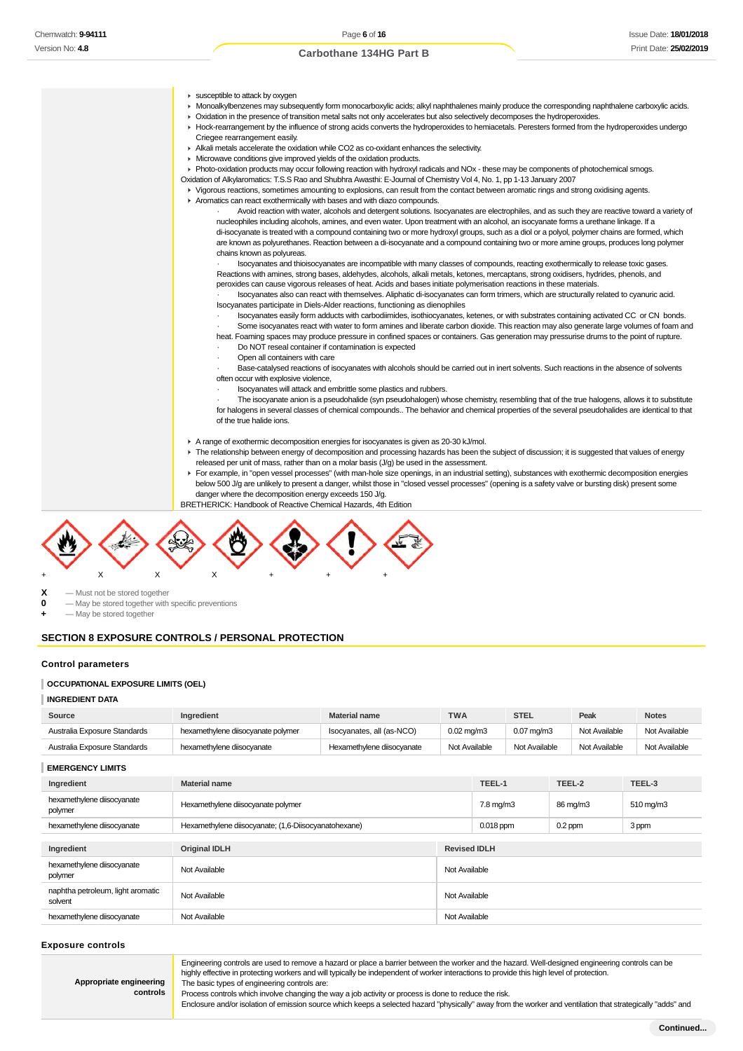- **E** susceptible to attack by oxygen
- Monoalkylbenzenes may subsequently form monocarboxylic acids; alkyl naphthalenes mainly produce the corresponding naphthalene carboxylic acids.
- Oxidation in the presence of transition metal salts not only accelerates but also selectively decomposes the hydroperoxides.
- Hock-rearrangement by the influence of strong acids converts the hydroperoxides to hemiacetals. Peresters formed from the hydroperoxides undergo Criegee rearrangement easily.
	- Alkali metals accelerate the oxidation while CO2 as co-oxidant enhances the selectivity.
	- **Microwave conditions give improved yields of the oxidation products.**
	- Photo-oxidation products may occur following reaction with hydroxyl radicals and NOx these may be components of photochemical smogs.
	- Oxidation of Alkylaromatics: T.S.S Rao and Shubhra Awasthi: E-Journal of Chemistry Vol 4, No. 1, pp 1-13 January 2007
- Vigorous reactions, sometimes amounting to explosions, can result from the contact between aromatic rings and strong oxidising agents. Aromatics can react exothermically with bases and with diazo compounds.
	- · Avoid reaction with water, alcohols and detergent solutions. Isocyanates are electrophiles, and as such they are reactive toward a variety of nucleophiles including alcohols, amines, and even water. Upon treatment with an alcohol, an isocyanate forms a urethane linkage. If a di-isocyanate is treated with a compound containing two or more hydroxyl groups, such as a diol or a polyol, polymer chains are formed, which are known as polyurethanes. Reaction between a di-isocyanate and a compound containing two or more amine groups, produces long polymer chains known as polyureas.
	- · Isocyanates and thioisocyanates are incompatible with many classes of compounds, reacting exothermically to release toxic gases. Reactions with amines, strong bases, aldehydes, alcohols, alkali metals, ketones, mercaptans, strong oxidisers, hydrides, phenols, and peroxides can cause vigorous releases of heat. Acids and bases initiate polymerisation reactions in these materials.
	- · Isocyanates also can react with themselves. Aliphatic di-isocyanates can form trimers, which are structurally related to cyanuric acid. Isocyanates participate in Diels-Alder reactions, functioning as dienophiles
	- · Isocyanates easily form adducts with carbodiimides, isothiocyanates, ketenes, or with substrates containing activated CC or CN bonds. Some isocyanates react with water to form amines and liberate carbon dioxide. This reaction may also generate large volumes of foam and
	- heat. Foaming spaces may produce pressure in confined spaces or containers. Gas generation may pressurise drums to the point of rupture. Do NOT reseal container if contamination is expected
	- · Open all containers with care
	-
	- Base-catalysed reactions of isocyanates with alcohols should be carried out in inert solvents. Such reactions in the absence of solvents often occur with explosive violence,
		- · Isocyanates will attack and embrittle some plastics and rubbers.
	- The isocyanate anion is a pseudohalide (syn pseudohalogen) whose chemistry, resembling that of the true halogens, allows it to substitute for halogens in several classes of chemical compounds.. The behavior and chemical properties of the several pseudohalides are identical to that of the true halide ions.
	- A range of exothermic decomposition energies for isocyanates is given as 20-30 kJ/mol.
	- The relationship between energy of decomposition and processing hazards has been the subject of discussion; it is suggested that values of energy released per unit of mass, rather than on a molar basis (J/g) be used in the assessment.
- For example, in "open vessel processes" (with man-hole size openings, in an industrial setting), substances with exothermic decomposition energies below 500 J/g are unlikely to present a danger, whilst those in "closed vessel processes" (opening is a safety valve or bursting disk) present some danger where the decomposition energy exceeds 150 J/g.
- BRETHERICK: Handbook of Reactive Chemical Hazards, 4th Edition



**X** — Must not be stored together

**0** — May be stored together with specific preventions

 $-$  May be stored together

### **SECTION 8 EXPOSURE CONTROLS / PERSONAL PROTECTION**

#### **Control parameters**

### **OCCUPATIONAL EXPOSURE LIMITS (OEL)**

#### **INGREDIENT DATA**

| Source                       | Ingredient                         | <b>Material name</b>       | <b>TWA</b>              | <b>STEL</b>           | Peak          | <b>Notes</b>  |
|------------------------------|------------------------------------|----------------------------|-------------------------|-----------------------|---------------|---------------|
| Australia Exposure Standards | hexamethylene diisocyanate polymer | Isocyanates, all (as-NCO)  | $0.02 \,\mathrm{ma/m3}$ | $0.07 \text{ ma/m}$ 3 | Not Available | Not Available |
| Australia Exposure Standards | hexamethylene diisocyanate         | Hexamethylene diisocyanate | Not Available           | Not Available         | Not Available | Not Available |

**EMERGENCY LIMITS**

| Ingredient                                   | <b>Material name</b>                                 |               | TEEL-1             | TEEL-2    | TEEL-3                |
|----------------------------------------------|------------------------------------------------------|---------------|--------------------|-----------|-----------------------|
| hexamethylene diisocyanate<br>polymer        | Hexamethylene diisocyanate polymer                   |               | $7.8 \text{ mg/m}$ | 86 mg/m3  | $510 \,\mathrm{mg/m}$ |
| hexamethylene diisocyanate                   | Hexamethylene diisocyanate; (1,6-Diisocyanatohexane) |               | $0.018$ ppm        | $0.2$ ppm | 3 ppm                 |
|                                              |                                                      |               |                    |           |                       |
| Ingredient                                   | <b>Original IDLH</b><br><b>Revised IDLH</b>          |               |                    |           |                       |
| hexamethylene diisocyanate<br>polymer        | Not Available<br>Not Available                       |               |                    |           |                       |
| naphtha petroleum, light aromatic<br>solvent | Not Available                                        | Not Available |                    |           |                       |
| hexamethylene diisocyanate                   | Not Available                                        | Not Available |                    |           |                       |

#### **Exposure controls**

**Appropriate engineering controls** Engineering controls are used to remove a hazard or place a barrier between the worker and the hazard. Well-designed engineering controls can be highly effective in protecting workers and will typically be independent of worker interactions to provide this high level of protection. The basic types of engineering controls are: Process controls which involve changing the way a job activity or process is done to reduce the risk.

Enclosure and/or isolation of emission source which keeps a selected hazard "physically" away from the worker and ventilation that strategically "adds" and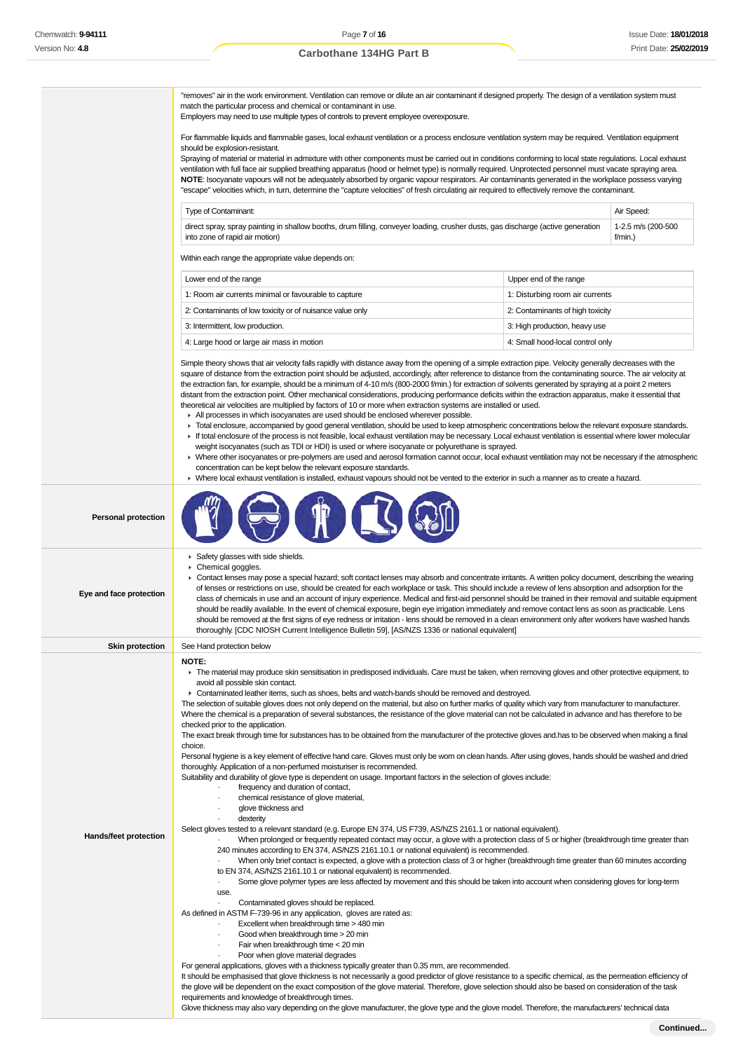|                            | "removes" air in the work environment. Ventilation can remove or dilute an air contaminant if designed properly. The design of a ventilation system must<br>match the particular process and chemical or contaminant in use.<br>Employers may need to use multiple types of controls to prevent employee overexposure.<br>For flammable liquids and flammable gases, local exhaust ventilation or a process enclosure ventilation system may be required. Ventilation equipment<br>should be explosion-resistant.<br>Spraying of material or material in admixture with other components must be carried out in conditions conforming to local state regulations. Local exhaust<br>ventilation with full face air supplied breathing apparatus (hood or helmet type) is normally required. Unprotected personnel must vacate spraying area.<br>NOTE: Isocyanate vapours will not be adequately absorbed by organic vapour respirators. Air contaminants generated in the workplace possess varying<br>"escape" velocities which, in turn, determine the "capture velocities" of fresh circulating air required to effectively remove the contaminant.<br>Type of Contaminant:<br>direct spray, spray painting in shallow booths, drum filling, conveyer loading, crusher dusts, gas discharge (active generation                                                                                                                                                                                                                                                                                                                                                        |                                  | Air Speed:<br>1-2.5 m/s (200-500 |
|----------------------------|-------------------------------------------------------------------------------------------------------------------------------------------------------------------------------------------------------------------------------------------------------------------------------------------------------------------------------------------------------------------------------------------------------------------------------------------------------------------------------------------------------------------------------------------------------------------------------------------------------------------------------------------------------------------------------------------------------------------------------------------------------------------------------------------------------------------------------------------------------------------------------------------------------------------------------------------------------------------------------------------------------------------------------------------------------------------------------------------------------------------------------------------------------------------------------------------------------------------------------------------------------------------------------------------------------------------------------------------------------------------------------------------------------------------------------------------------------------------------------------------------------------------------------------------------------------------------------------------------------------------------------------------------------------------------|----------------------------------|----------------------------------|
|                            | into zone of rapid air motion)                                                                                                                                                                                                                                                                                                                                                                                                                                                                                                                                                                                                                                                                                                                                                                                                                                                                                                                                                                                                                                                                                                                                                                                                                                                                                                                                                                                                                                                                                                                                                                                                                                          |                                  | $f/min.$ )                       |
|                            | Within each range the appropriate value depends on:                                                                                                                                                                                                                                                                                                                                                                                                                                                                                                                                                                                                                                                                                                                                                                                                                                                                                                                                                                                                                                                                                                                                                                                                                                                                                                                                                                                                                                                                                                                                                                                                                     |                                  |                                  |
|                            | Lower end of the range                                                                                                                                                                                                                                                                                                                                                                                                                                                                                                                                                                                                                                                                                                                                                                                                                                                                                                                                                                                                                                                                                                                                                                                                                                                                                                                                                                                                                                                                                                                                                                                                                                                  | Upper end of the range           |                                  |
|                            | 1: Room air currents minimal or favourable to capture                                                                                                                                                                                                                                                                                                                                                                                                                                                                                                                                                                                                                                                                                                                                                                                                                                                                                                                                                                                                                                                                                                                                                                                                                                                                                                                                                                                                                                                                                                                                                                                                                   | 1: Disturbing room air currents  |                                  |
|                            | 2: Contaminants of low toxicity or of nuisance value only                                                                                                                                                                                                                                                                                                                                                                                                                                                                                                                                                                                                                                                                                                                                                                                                                                                                                                                                                                                                                                                                                                                                                                                                                                                                                                                                                                                                                                                                                                                                                                                                               | 2: Contaminants of high toxicity |                                  |
|                            | 3: Intermittent, low production.                                                                                                                                                                                                                                                                                                                                                                                                                                                                                                                                                                                                                                                                                                                                                                                                                                                                                                                                                                                                                                                                                                                                                                                                                                                                                                                                                                                                                                                                                                                                                                                                                                        | 3: High production, heavy use    |                                  |
|                            | 4: Large hood or large air mass in motion                                                                                                                                                                                                                                                                                                                                                                                                                                                                                                                                                                                                                                                                                                                                                                                                                                                                                                                                                                                                                                                                                                                                                                                                                                                                                                                                                                                                                                                                                                                                                                                                                               | 4: Small hood-local control only |                                  |
|                            | Simple theory shows that air velocity falls rapidly with distance away from the opening of a simple extraction pipe. Velocity generally decreases with the<br>square of distance from the extraction point should be adjusted, accordingly, after reference to distance from the contaminating source. The air velocity at<br>the extraction fan, for example, should be a minimum of 4-10 m/s (800-2000 f/min.) for extraction of solvents generated by spraying at a point 2 meters<br>distant from the extraction point. Other mechanical considerations, producing performance deficits within the extraction apparatus, make it essential that<br>theoretical air velocities are multiplied by factors of 10 or more when extraction systems are installed or used.<br>All processes in which isocyanates are used should be enclosed wherever possible.<br>► Total enclosure, accompanied by good general ventilation, should be used to keep atmospheric concentrations below the relevant exposure standards.<br>If total enclosure of the process is not feasible, local exhaust ventilation may be necessary. Local exhaust ventilation is essential where lower molecular<br>weight isocyanates (such as TDI or HDI) is used or where isocyanate or polyurethane is sprayed.<br>▶ Where other isocyanates or pre-polymers are used and aerosol formation cannot occur, local exhaust ventilation may not be necessary if the atmospheric<br>concentration can be kept below the relevant exposure standards.<br>• Where local exhaust ventilation is installed, exhaust vapours should not be vented to the exterior in such a manner as to create a hazard. |                                  |                                  |
| <b>Personal protection</b> |                                                                                                                                                                                                                                                                                                                                                                                                                                                                                                                                                                                                                                                                                                                                                                                                                                                                                                                                                                                                                                                                                                                                                                                                                                                                                                                                                                                                                                                                                                                                                                                                                                                                         |                                  |                                  |
| Eye and face protection    | Safety glasses with side shields.<br>Chemical goggles.<br>▶ Contact lenses may pose a special hazard; soft contact lenses may absorb and concentrate irritants. A written policy document, describing the wearing<br>of lenses or restrictions on use, should be created for each workplace or task. This should include a review of lens absorption and adsorption for the<br>class of chemicals in use and an account of injury experience. Medical and first-aid personnel should be trained in their removal and suitable equipment<br>should be readily available. In the event of chemical exposure, begin eye irrigation immediately and remove contact lens as soon as practicable. Lens<br>should be removed at the first signs of eye redness or irritation - lens should be removed in a clean environment only after workers have washed hands<br>thoroughly. [CDC NIOSH Current Intelligence Bulletin 59], [AS/NZS 1336 or national equivalent]                                                                                                                                                                                                                                                                                                                                                                                                                                                                                                                                                                                                                                                                                                            |                                  |                                  |
| <b>Skin protection</b>     | See Hand protection below                                                                                                                                                                                                                                                                                                                                                                                                                                                                                                                                                                                                                                                                                                                                                                                                                                                                                                                                                                                                                                                                                                                                                                                                                                                                                                                                                                                                                                                                                                                                                                                                                                               |                                  |                                  |
|                            | NOTE:<br>The material may produce skin sensitisation in predisposed individuals. Care must be taken, when removing gloves and other protective equipment, to<br>avoid all possible skin contact.<br>► Contaminated leather items, such as shoes, belts and watch-bands should be removed and destroyed.<br>The selection of suitable gloves does not only depend on the material, but also on further marks of quality which vary from manufacturer to manufacturer.<br>Where the chemical is a preparation of several substances, the resistance of the glove material can not be calculated in advance and has therefore to be<br>checked prior to the application.<br>The exact break through time for substances has to be obtained from the manufacturer of the protective gloves and has to be observed when making a final<br>choice.                                                                                                                                                                                                                                                                                                                                                                                                                                                                                                                                                                                                                                                                                                                                                                                                                            |                                  |                                  |
|                            | Personal hygiene is a key element of effective hand care. Gloves must only be worn on clean hands. After using gloves, hands should be washed and dried<br>thoroughly. Application of a non-perfumed moisturiser is recommended.<br>Suitability and durability of glove type is dependent on usage. Important factors in the selection of gloves include:<br>frequency and duration of contact,<br>chemical resistance of glove material,<br>glove thickness and<br>dexterity<br>Select gloves tested to a relevant standard (e.g. Europe EN 374, US F739, AS/NZS 2161.1 or national equivalent).                                                                                                                                                                                                                                                                                                                                                                                                                                                                                                                                                                                                                                                                                                                                                                                                                                                                                                                                                                                                                                                                       |                                  |                                  |
| Hands/feet protection      | When prolonged or frequently repeated contact may occur, a glove with a protection class of 5 or higher (breakthrough time greater than<br>240 minutes according to EN 374, AS/NZS 2161.10.1 or national equivalent) is recommended.<br>When only brief contact is expected, a glove with a protection class of 3 or higher (breakthrough time greater than 60 minutes according<br>to EN 374, AS/NZS 2161.10.1 or national equivalent) is recommended.<br>Some glove polymer types are less affected by movement and this should be taken into account when considering gloves for long-term<br>$\cdot$<br>use.<br>Contaminated gloves should be replaced.<br>As defined in ASTM F-739-96 in any application, gloves are rated as:<br>Excellent when breakthrough time > 480 min                                                                                                                                                                                                                                                                                                                                                                                                                                                                                                                                                                                                                                                                                                                                                                                                                                                                                       |                                  |                                  |
|                            | Good when breakthrough time > 20 min<br>Fair when breakthrough time < 20 min                                                                                                                                                                                                                                                                                                                                                                                                                                                                                                                                                                                                                                                                                                                                                                                                                                                                                                                                                                                                                                                                                                                                                                                                                                                                                                                                                                                                                                                                                                                                                                                            |                                  |                                  |

Poor when glove material degrades

For general applications, gloves with a thickness typically greater than 0.35 mm, are recommended.

It should be emphasised that glove thickness is not necessarily a good predictor of glove resistance to a specific chemical, as the permeation efficiency of the glove will be dependent on the exact composition of the glove material. Therefore, glove selection should also be based on consideration of the task requirements and knowledge of breakthrough times.

Glove thickness may also vary depending on the glove manufacturer, the glove type and the glove model. Therefore, the manufacturers' technical data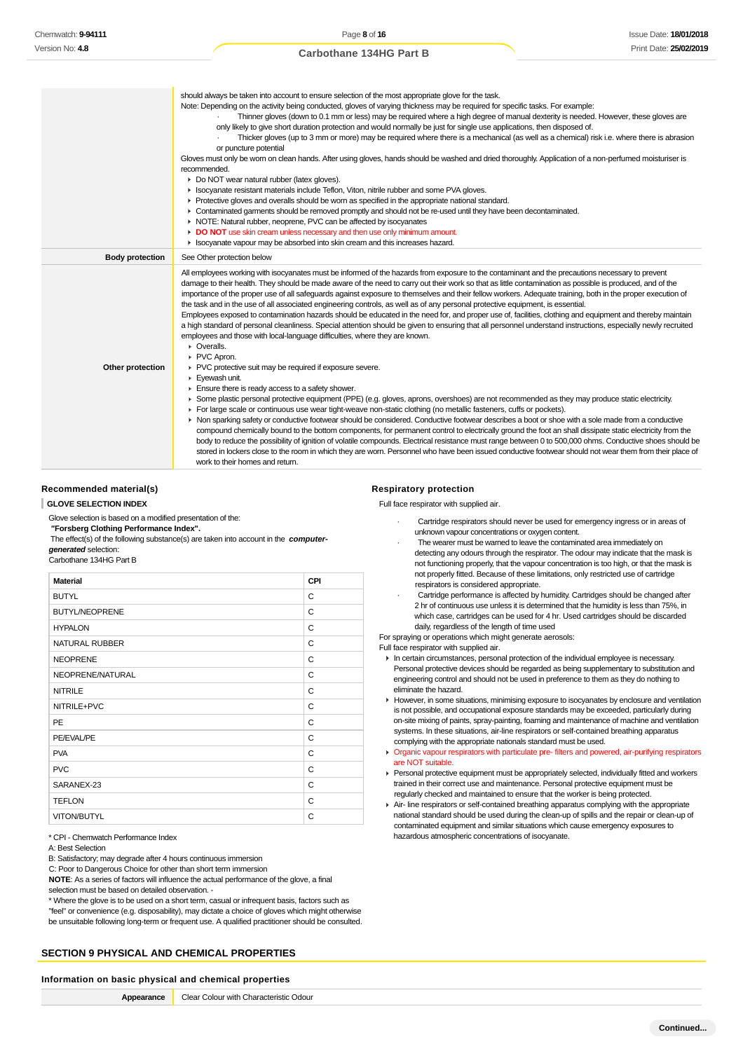|                        | should always be taken into account to ensure selection of the most appropriate glove for the task.<br>Note: Depending on the activity being conducted, gloves of varying thickness may be required for specific tasks. For example:<br>Thinner gloves (down to 0.1 mm or less) may be required where a high degree of manual dexterity is needed. However, these gloves are<br>only likely to give short duration protection and would normally be just for single use applications, then disposed of.<br>Thicker gloves (up to 3 mm or more) may be required where there is a mechanical (as well as a chemical) risk i.e. where there is abrasion<br>or puncture potential<br>Gloves must only be worn on clean hands. After using gloves, hands should be washed and dried thoroughly. Application of a non-perfumed moisturiser is<br>recommended.<br>Do NOT wear natural rubber (latex gloves).<br>In Isocyanate resistant materials include Teflon, Viton, nitrile rubber and some PVA gloves.<br>▶ Protective gloves and overalls should be worn as specified in the appropriate national standard.<br>► Contaminated garments should be removed promptly and should not be re-used until they have been decontaminated.<br>▶ NOTE: Natural rubber, neoprene, PVC can be affected by isocyanates<br>DO NOT use skin cream unless necessary and then use only minimum amount.                                                                                                                                                                                                                                                                                                                                                                                                                                                                                                                                                                                                                          |
|------------------------|---------------------------------------------------------------------------------------------------------------------------------------------------------------------------------------------------------------------------------------------------------------------------------------------------------------------------------------------------------------------------------------------------------------------------------------------------------------------------------------------------------------------------------------------------------------------------------------------------------------------------------------------------------------------------------------------------------------------------------------------------------------------------------------------------------------------------------------------------------------------------------------------------------------------------------------------------------------------------------------------------------------------------------------------------------------------------------------------------------------------------------------------------------------------------------------------------------------------------------------------------------------------------------------------------------------------------------------------------------------------------------------------------------------------------------------------------------------------------------------------------------------------------------------------------------------------------------------------------------------------------------------------------------------------------------------------------------------------------------------------------------------------------------------------------------------------------------------------------------------------------------------------------------------------------------------------------------------------------------------------------------------|
| <b>Body protection</b> | In Isocyanate vapour may be absorbed into skin cream and this increases hazard.<br>See Other protection below                                                                                                                                                                                                                                                                                                                                                                                                                                                                                                                                                                                                                                                                                                                                                                                                                                                                                                                                                                                                                                                                                                                                                                                                                                                                                                                                                                                                                                                                                                                                                                                                                                                                                                                                                                                                                                                                                                 |
|                        | All employees working with isocyanates must be informed of the hazards from exposure to the contaminant and the precautions necessary to prevent                                                                                                                                                                                                                                                                                                                                                                                                                                                                                                                                                                                                                                                                                                                                                                                                                                                                                                                                                                                                                                                                                                                                                                                                                                                                                                                                                                                                                                                                                                                                                                                                                                                                                                                                                                                                                                                              |
| Other protection       | damage to their health. They should be made aware of the need to carry out their work so that as little contamination as possible is produced, and of the<br>importance of the proper use of all safeguards against exposure to themselves and their fellow workers. Adequate training, both in the proper execution of<br>the task and in the use of all associated engineering controls, as well as of any personal protective equipment, is essential.<br>Employees exposed to contamination hazards should be educated in the need for, and proper use of, facilities, clothing and equipment and thereby maintain<br>a high standard of personal cleanliness. Special attention should be given to ensuring that all personnel understand instructions, especially newly recruited<br>employees and those with local-language difficulties, where they are known.<br>• Overalls.<br>PVC Apron.<br>PVC protective suit may be required if exposure severe.<br>Eyewash unit.<br>$\blacktriangleright$ Ensure there is ready access to a safety shower.<br>► Some plastic personal protective equipment (PPE) (e.g. gloves, aprons, overshoes) are not recommended as they may produce static electricity.<br>For large scale or continuous use wear tight-weave non-static clothing (no metallic fasteners, cuffs or pockets).<br>• Non sparking safety or conductive footwear should be considered. Conductive footwear describes a boot or shoe with a sole made from a conductive<br>compound chemically bound to the bottom components, for permanent control to electrically ground the foot an shall dissipate static electricity from the<br>body to reduce the possibility of ignition of volatile compounds. Electrical resistance must range between 0 to 500,000 ohms. Conductive shoes should be<br>stored in lockers close to the room in which they are worn. Personnel who have been issued conductive footwear should not wear them from their place of<br>work to their homes and return. |

### **Recommended material(s)**

#### **GLOVE SELECTION INDEX**

Glove selection is based on a modified presentation of the:

### **"Forsberg Clothing Performance Index".**

 The effect(s) of the following substance(s) are taken into account in the **computergenerated** selection:

Carbothane 134HG Part B

| <b>Material</b>       | CPI |
|-----------------------|-----|
| <b>BUTYL</b>          | C   |
| <b>BUTYL/NEOPRENE</b> | C   |
| <b>HYPALON</b>        | C   |
| NATURAL RUBBER        | C   |
| <b>NEOPRENE</b>       | C   |
| NEOPRENE/NATURAL      | С   |
| <b>NITRILE</b>        | C   |
| NITRILE+PVC           | C   |
| <b>PE</b>             | C   |
| PE/EVAL/PE            | C   |
| <b>PVA</b>            | C   |
| <b>PVC</b>            | C   |
| SARANEX-23            | C   |
| <b>TEFLON</b>         | C   |
| VITON/BUTYL           | C   |

\* CPI - Chemwatch Performance Index

A: Best Selection

B: Satisfactory; may degrade after 4 hours continuous immersion

C: Poor to Dangerous Choice for other than short term immersion

**NOTE**: As a series of factors will influence the actual performance of the glove, a final selection must be based on detailed observation. -

\* Where the glove is to be used on a short term, casual or infrequent basis, factors such as "feel" or convenience (e.g. disposability), may dictate a choice of gloves which might otherwise be unsuitable following long-term or frequent use. A qualified practitioner should be consulted.

# **SECTION 9 PHYSICAL AND CHEMICAL PROPERTIES**

#### **Information on basic physical and chemical properties**

| Appearance | Clear Colour with Characteristic Odour |
|------------|----------------------------------------|
|            |                                        |

### **Respiratory protection**

Full face respirator with supplied air.

- Cartridge respirators should never be used for emergency ingress or in areas of unknown vapour concentrations or oxygen content.
- The wearer must be warned to leave the contaminated area immediately on detecting any odours through the respirator. The odour may indicate that the mask is not functioning properly, that the vapour concentration is too high, or that the mask is not properly fitted. Because of these limitations, only restricted use of cartridge respirators is considered appropriate.
- Cartridge performance is affected by humidity. Cartridges should be changed after 2 hr of continuous use unless it is determined that the humidity is less than 75%, in which case, cartridges can be used for 4 hr. Used cartridges should be discarded daily, regardless of the length of time used

For spraying or operations which might generate aerosols:

Full face respirator with supplied air.

- In certain circumstances, personal protection of the individual employee is necessary. Personal protective devices should be regarded as being supplementary to substitution and engineering control and should not be used in preference to them as they do nothing to eliminate the hazard.
- However, in some situations, minimising exposure to isocyanates by enclosure and ventilation is not possible, and occupational exposure standards may be exceeded, particularly during on-site mixing of paints, spray-painting, foaming and maintenance of machine and ventilation systems. In these situations, air-line respirators or self-contained breathing apparatus complying with the appropriate nationals standard must be used.
- **Organic vapour respirators with particulate pre- filters and powered, air-purifying respirators** are NOT suitable.
- **Personal protective equipment must be appropriately selected, individually fitted and workers** trained in their correct use and maintenance. Personal protective equipment must be regularly checked and maintained to ensure that the worker is being protected.
- ▶ Air- line respirators or self-contained breathing apparatus complying with the appropriate national standard should be used during the clean-up of spills and the repair or clean-up of contaminated equipment and similar situations which cause emergency exposures to hazardous atmospheric concentrations of isocyanate.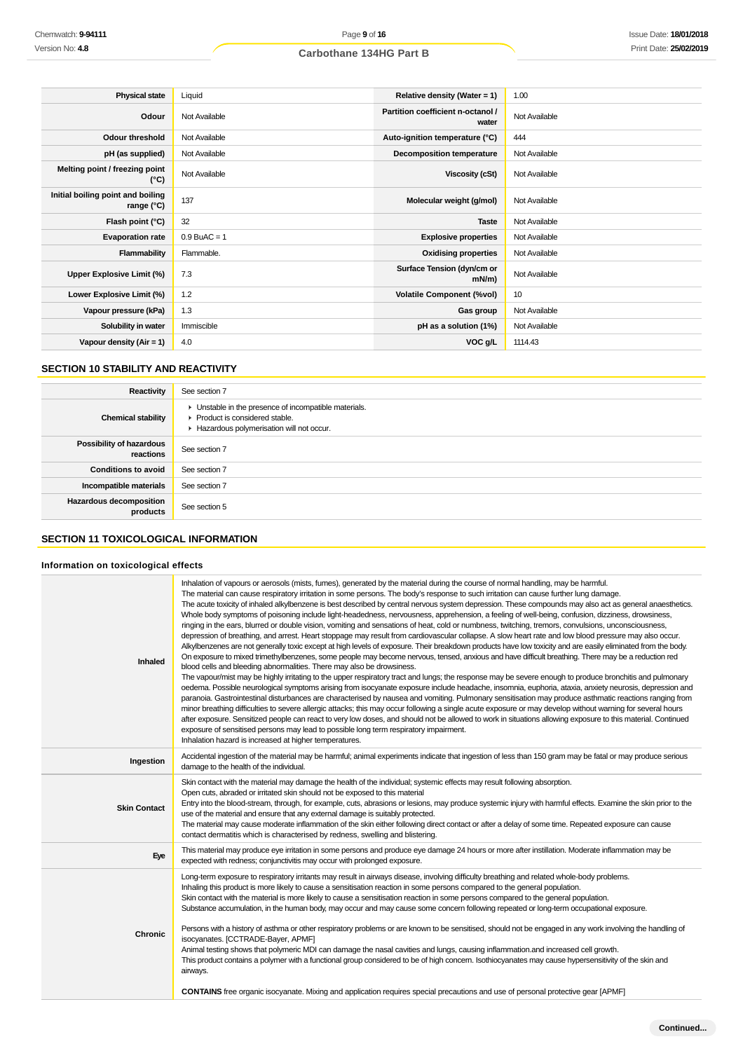| <b>Physical state</b>                             | Liquid         | Relative density (Water = 1)               | 1.00          |
|---------------------------------------------------|----------------|--------------------------------------------|---------------|
| Odour                                             | Not Available  | Partition coefficient n-octanol /<br>water | Not Available |
| <b>Odour threshold</b>                            | Not Available  | Auto-ignition temperature (°C)             | 444           |
| pH (as supplied)                                  | Not Available  | <b>Decomposition temperature</b>           | Not Available |
| Melting point / freezing point<br>(°C)            | Not Available  | Viscosity (cSt)                            | Not Available |
| Initial boiling point and boiling<br>range $(°C)$ | 137            | Molecular weight (g/mol)                   | Not Available |
| Flash point (°C)                                  | 32             | <b>Taste</b>                               | Not Available |
| <b>Evaporation rate</b>                           | $0.9$ BuAC = 1 | <b>Explosive properties</b>                | Not Available |
| Flammability                                      | Flammable.     | <b>Oxidising properties</b>                | Not Available |
| Upper Explosive Limit (%)                         | 7.3            | Surface Tension (dyn/cm or<br>$mN/m$ )     | Not Available |
| Lower Explosive Limit (%)                         | 1.2            | <b>Volatile Component (%vol)</b>           | 10            |
| Vapour pressure (kPa)                             | 1.3            | Gas group                                  | Not Available |
| Solubility in water                               | Immiscible     | pH as a solution (1%)                      | Not Available |
| Vapour density $(Air = 1)$                        | 4.0            | VOC g/L                                    | 1114.43       |

# **SECTION 10 STABILITY AND REACTIVITY**

| Reactivity                                 | See section 7                                                                                                                        |
|--------------------------------------------|--------------------------------------------------------------------------------------------------------------------------------------|
| <b>Chemical stability</b>                  | • Unstable in the presence of incompatible materials.<br>▶ Product is considered stable.<br>Hazardous polymerisation will not occur. |
| Possibility of hazardous<br>reactions      | See section 7                                                                                                                        |
| <b>Conditions to avoid</b>                 | See section 7                                                                                                                        |
| Incompatible materials                     | See section 7                                                                                                                        |
| <b>Hazardous decomposition</b><br>products | See section 5                                                                                                                        |

# **SECTION 11 TOXICOLOGICAL INFORMATION**

# **Information on toxicological effects**

| <b>Inhaled</b>      | Inhalation of vapours or aerosols (mists, fumes), generated by the material during the course of normal handling, may be harmful.<br>The material can cause respiratory irritation in some persons. The body's response to such irritation can cause further lung damage.<br>The acute toxicity of inhaled alkylbenzene is best described by central nervous system depression. These compounds may also act as general anaesthetics.<br>Whole body symptoms of poisoning include light-headedness, nervousness, apprehension, a feeling of well-being, confusion, dizziness, drowsiness,<br>ringing in the ears, blurred or double vision, vomiting and sensations of heat, cold or numbness, twitching, tremors, convulsions, unconsciousness,<br>depression of breathing, and arrest. Heart stoppage may result from cardiovascular collapse. A slow heart rate and low blood pressure may also occur.<br>Alkylbenzenes are not generally toxic except at high levels of exposure. Their breakdown products have low toxicity and are easily eliminated from the body.<br>On exposure to mixed trimethylbenzenes, some people may become nervous, tensed, anxious and have difficult breathing. There may be a reduction red<br>blood cells and bleeding abnormalities. There may also be drowsiness.<br>The vapour/mist may be highly irritating to the upper respiratory tract and lungs; the response may be severe enough to produce bronchitis and pulmonary<br>oedema. Possible neurological symptoms arising from isocyanate exposure include headache, insomnia, euphoria, ataxia, anxiety neurosis, depression and<br>paranoia. Gastrointestinal disturbances are characterised by nausea and vomiting. Pulmonary sensitisation may produce asthmatic reactions ranging from<br>minor breathing difficulties to severe allergic attacks; this may occur following a single acute exposure or may develop without warning for several hours<br>after exposure. Sensitized people can react to very low doses, and should not be allowed to work in situations allowing exposure to this material. Continued<br>exposure of sensitised persons may lead to possible long term respiratory impairment.<br>Inhalation hazard is increased at higher temperatures. |
|---------------------|---------------------------------------------------------------------------------------------------------------------------------------------------------------------------------------------------------------------------------------------------------------------------------------------------------------------------------------------------------------------------------------------------------------------------------------------------------------------------------------------------------------------------------------------------------------------------------------------------------------------------------------------------------------------------------------------------------------------------------------------------------------------------------------------------------------------------------------------------------------------------------------------------------------------------------------------------------------------------------------------------------------------------------------------------------------------------------------------------------------------------------------------------------------------------------------------------------------------------------------------------------------------------------------------------------------------------------------------------------------------------------------------------------------------------------------------------------------------------------------------------------------------------------------------------------------------------------------------------------------------------------------------------------------------------------------------------------------------------------------------------------------------------------------------------------------------------------------------------------------------------------------------------------------------------------------------------------------------------------------------------------------------------------------------------------------------------------------------------------------------------------------------------------------------------------------------------------------------------------------------------------------------------|
| Ingestion           | Accidental ingestion of the material may be harmful; animal experiments indicate that ingestion of less than 150 gram may be fatal or may produce serious<br>damage to the health of the individual.                                                                                                                                                                                                                                                                                                                                                                                                                                                                                                                                                                                                                                                                                                                                                                                                                                                                                                                                                                                                                                                                                                                                                                                                                                                                                                                                                                                                                                                                                                                                                                                                                                                                                                                                                                                                                                                                                                                                                                                                                                                                      |
| <b>Skin Contact</b> | Skin contact with the material may damage the health of the individual; systemic effects may result following absorption.<br>Open cuts, abraded or irritated skin should not be exposed to this material<br>Entry into the blood-stream, through, for example, cuts, abrasions or lesions, may produce systemic injury with harmful effects. Examine the skin prior to the<br>use of the material and ensure that any external damage is suitably protected.<br>The material may cause moderate inflammation of the skin either following direct contact or after a delay of some time. Repeated exposure can cause<br>contact dermatitis which is characterised by redness, swelling and blistering.                                                                                                                                                                                                                                                                                                                                                                                                                                                                                                                                                                                                                                                                                                                                                                                                                                                                                                                                                                                                                                                                                                                                                                                                                                                                                                                                                                                                                                                                                                                                                                     |
| Eye                 | This material may produce eye irritation in some persons and produce eye damage 24 hours or more after instillation. Moderate inflammation may be<br>expected with redness; conjunctivitis may occur with prolonged exposure.                                                                                                                                                                                                                                                                                                                                                                                                                                                                                                                                                                                                                                                                                                                                                                                                                                                                                                                                                                                                                                                                                                                                                                                                                                                                                                                                                                                                                                                                                                                                                                                                                                                                                                                                                                                                                                                                                                                                                                                                                                             |
| <b>Chronic</b>      | Long-term exposure to respiratory irritants may result in airways disease, involving difficulty breathing and related whole-body problems.<br>Inhaling this product is more likely to cause a sensitisation reaction in some persons compared to the general population.<br>Skin contact with the material is more likely to cause a sensitisation reaction in some persons compared to the general population.<br>Substance accumulation, in the human body, may occur and may cause some concern following repeated or long-term occupational exposure.<br>Persons with a history of asthma or other respiratory problems or are known to be sensitised, should not be engaged in any work involving the handling of<br>isocyanates. [CCTRADE-Bayer, APMF]<br>Animal testing shows that polymeric MDI can damage the nasal cavities and lungs, causing inflammation and increased cell growth.<br>This product contains a polymer with a functional group considered to be of high concern. Isothiocyanates may cause hypersensitivity of the skin and<br>airways.<br><b>CONTAINS</b> free organic isocyanate. Mixing and application requires special precautions and use of personal protective gear [APMF]                                                                                                                                                                                                                                                                                                                                                                                                                                                                                                                                                                                                                                                                                                                                                                                                                                                                                                                                                                                                                                                           |
|                     |                                                                                                                                                                                                                                                                                                                                                                                                                                                                                                                                                                                                                                                                                                                                                                                                                                                                                                                                                                                                                                                                                                                                                                                                                                                                                                                                                                                                                                                                                                                                                                                                                                                                                                                                                                                                                                                                                                                                                                                                                                                                                                                                                                                                                                                                           |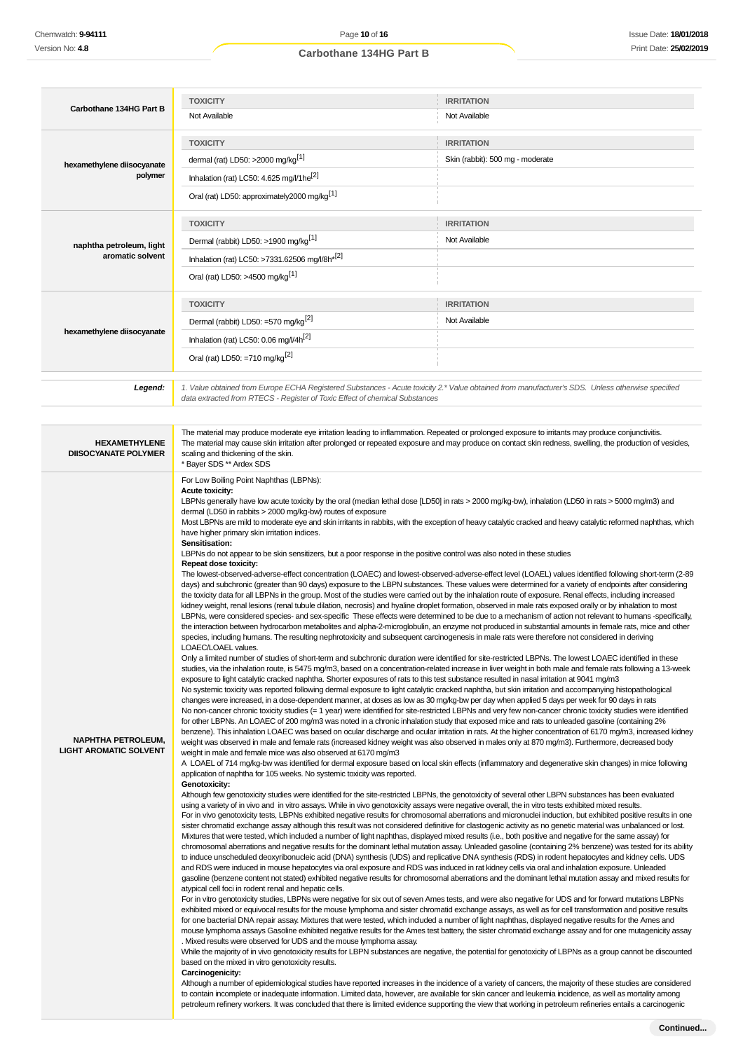| Carbothane 134HG Part B                             | <b>TOXICITY</b>                                                             | <b>IRRITATION</b>                                                                                                                                                                                                                                                                                               |
|-----------------------------------------------------|-----------------------------------------------------------------------------|-----------------------------------------------------------------------------------------------------------------------------------------------------------------------------------------------------------------------------------------------------------------------------------------------------------------|
|                                                     |                                                                             |                                                                                                                                                                                                                                                                                                                 |
|                                                     | Not Available                                                               | Not Available                                                                                                                                                                                                                                                                                                   |
|                                                     | <b>TOXICITY</b>                                                             | <b>IRRITATION</b>                                                                                                                                                                                                                                                                                               |
| hexamethylene diisocyanate                          | dermal (rat) LD50: >2000 mg/kg <sup>[1]</sup>                               | Skin (rabbit): 500 mg - moderate                                                                                                                                                                                                                                                                                |
| polymer                                             | Inhalation (rat) LC50: 4.625 mg/l/1 he <sup>[2]</sup>                       |                                                                                                                                                                                                                                                                                                                 |
|                                                     | Oral (rat) LD50: approximately2000 mg/kg <sup>[1]</sup>                     |                                                                                                                                                                                                                                                                                                                 |
|                                                     | <b>TOXICITY</b>                                                             | <b>IRRITATION</b>                                                                                                                                                                                                                                                                                               |
|                                                     | Dermal (rabbit) LD50: >1900 mg/kg <sup>[1]</sup>                            | Not Available                                                                                                                                                                                                                                                                                                   |
| naphtha petroleum, light<br>aromatic solvent        | Inhalation (rat) LC50: >7331.62506 mg/l/8h <sup>*[2]</sup>                  |                                                                                                                                                                                                                                                                                                                 |
|                                                     | Oral (rat) LD50: >4500 mg/kg <sup>[1]</sup>                                 |                                                                                                                                                                                                                                                                                                                 |
|                                                     | <b>TOXICITY</b>                                                             | <b>IRRITATION</b>                                                                                                                                                                                                                                                                                               |
|                                                     | Dermal (rabbit) LD50: =570 mg/kg <sup>[2]</sup>                             | Not Available                                                                                                                                                                                                                                                                                                   |
| hexamethylene diisocyanate                          | Inhalation (rat) LC50: 0.06 mg/l/4h <sup>[2]</sup>                          |                                                                                                                                                                                                                                                                                                                 |
|                                                     | Oral (rat) LD50: =710 mg/kg <sup>[2]</sup>                                  |                                                                                                                                                                                                                                                                                                                 |
|                                                     |                                                                             |                                                                                                                                                                                                                                                                                                                 |
| Legend:                                             | data extracted from RTECS - Register of Toxic Effect of chemical Substances | 1. Value obtained from Europe ECHA Registered Substances - Acute toxicity 2.* Value obtained from manufacturer's SDS. Unless otherwise specified                                                                                                                                                                |
|                                                     |                                                                             |                                                                                                                                                                                                                                                                                                                 |
| <b>HEXAMETHYLENE</b><br><b>DIISOCYANATE POLYMER</b> | scaling and thickening of the skin.<br>* Bayer SDS ** Ardex SDS             | The material may produce moderate eye irritation leading to inflammation. Repeated or prolonged exposure to irritants may produce conjunctivitis.<br>The material may cause skin irritation after prolonged or repeated exposure and may produce on contact skin redness, swelling, the production of vesicles, |
|                                                     | have higher primary skin irritation indices.<br>Sensitisation:              | Most LBPNs are mild to moderate eye and skin irritants in rabbits, with the exception of heavy catalytic cracked and heavy catalytic reformed naphthas, which                                                                                                                                                   |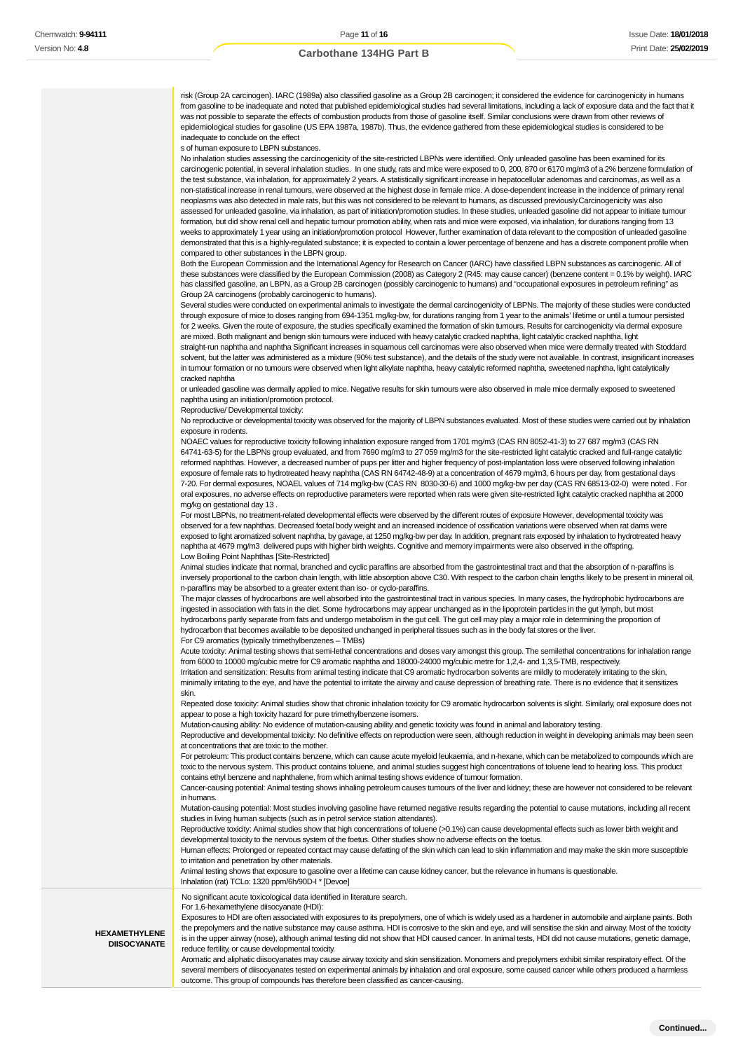risk (Group 2A carcinogen). IARC (1989a) also classified gasoline as a Group 2B carcinogen; it considered the evidence for carcinogenicity in humans from gasoline to be inadequate and noted that published epidemiological studies had several limitations, including a lack of exposure data and the fact that it was not possible to separate the effects of combustion products from those of gasoline itself. Similar conclusions were drawn from other reviews of epidemiological studies for gasoline (US EPA 1987a, 1987b). Thus, the evidence gathered from these epidemiological studies is considered to be inadequate to conclude on the effect

s of human exposure to LBPN substances.

No inhalation studies assessing the carcinogenicity of the site-restricted LBPNs were identified. Only unleaded gasoline has been examined for its carcinogenic potential, in several inhalation studies. In one study, rats and mice were exposed to 0, 200, 870 or 6170 mg/m3 of a 2% benzene formulation of the test substance, via inhalation, for approximately 2 years. A statistically significant increase in hepatocellular adenomas and carcinomas, as well as a non-statistical increase in renal tumours, were observed at the highest dose in female mice. A dose-dependent increase in the incidence of primary renal neoplasms was also detected in male rats, but this was not considered to be relevant to humans, as discussed previously.Carcinogenicity was also assessed for unleaded gasoline, via inhalation, as part of initiation/promotion studies. In these studies, unleaded gasoline did not appear to initiate tumour formation, but did show renal cell and hepatic tumour promotion ability, when rats and mice were exposed, via inhalation, for durations ranging from 13 weeks to approximately 1 year using an initiation/promotion protocol However, further examination of data relevant to the composition of unleaded gasoline demonstrated that this is a highly-regulated substance; it is expected to contain a lower percentage of benzene and has a discrete component profile when compared to other substances in the LBPN group.

Both the European Commission and the International Agency for Research on Cancer (IARC) have classified LBPN substances as carcinogenic. All of these substances were classified by the European Commission (2008) as Category 2 (R45: may cause cancer) (benzene content = 0.1% by weight). IARC has classified gasoline, an LBPN, as a Group 2B carcinogen (possibly carcinogenic to humans) and "occupational exposures in petroleum refining" as Group 2A carcinogens (probably carcinogenic to humans).

Several studies were conducted on experimental animals to investigate the dermal carcinogenicity of LBPNs. The majority of these studies were conducted through exposure of mice to doses ranging from 694-1351 mg/kg-bw, for durations ranging from 1 year to the animals' lifetime or until a tumour persisted for 2 weeks. Given the route of exposure, the studies specifically examined the formation of skin tumours. Results for carcinogenicity via dermal exposure are mixed. Both malignant and benign skin tumours were induced with heavy catalytic cracked naphtha, light catalytic cracked naphtha, light straight-run naphtha and naphtha Significant increases in squamous cell carcinomas were also observed when mice were dermally treated with Stoddard solvent, but the latter was administered as a mixture (90% test substance), and the details of the study were not available. In contrast, insignificant increases in tumour formation or no tumours were observed when light alkylate naphtha, heavy catalytic reformed naphtha, sweetened naphtha, light catalytically cracked naphtha

or unleaded gasoline was dermally applied to mice. Negative results for skin tumours were also observed in male mice dermally exposed to sweetened naphtha using an initiation/promotion protocol.

Reproductive/ Developmental toxicity:

No reproductive or developmental toxicity was observed for the majority of LBPN substances evaluated. Most of these studies were carried out by inhalation exposure in rodents.

NOAEC values for reproductive toxicity following inhalation exposure ranged from 1701 mg/m3 (CAS RN 8052-41-3) to 27 687 mg/m3 (CAS RN 64741-63-5) for the LBPNs group evaluated, and from 7690 mg/m3 to 27 059 mg/m3 for the site-restricted light catalytic cracked and full-range catalytic reformed naphthas. However, a decreased number of pups per litter and higher frequency of post-implantation loss were observed following inhalation exposure of female rats to hydrotreated heavy naphtha (CAS RN 64742-48-9) at a concentration of 4679 mg/m3, 6 hours per day, from gestational days 7-20. For dermal exposures, NOAEL values of 714 mg/kg-bw (CAS RN 8030-30-6) and 1000 mg/kg-bw per day (CAS RN 68513-02-0) were noted . For oral exposures, no adverse effects on reproductive parameters were reported when rats were given site-restricted light catalytic cracked naphtha at 2000 mg/kg on gestational day 13 .

For most LBPNs, no treatment-related developmental effects were observed by the different routes of exposure However, developmental toxicity was observed for a few naphthas. Decreased foetal body weight and an increased incidence of ossification variations were observed when rat dams were exposed to light aromatized solvent naphtha, by gavage, at 1250 mg/kg-bw per day. In addition, pregnant rats exposed by inhalation to hydrotreated heavy naphtha at 4679 mg/m3 delivered pups with higher birth weights. Cognitive and memory impairments were also observed in the offspring. Low Boiling Point Naphthas [Site-Restricted]

Animal studies indicate that normal, branched and cyclic paraffins are absorbed from the gastrointestinal tract and that the absorption of n-paraffins is inversely proportional to the carbon chain length, with little absorption above C30. With respect to the carbon chain lengths likely to be present in mineral oil, n-paraffins may be absorbed to a greater extent than iso- or cyclo-paraffins.

The major classes of hydrocarbons are well absorbed into the gastrointestinal tract in various species. In many cases, the hydrophobic hydrocarbons are ingested in association with fats in the diet. Some hydrocarbons may appear unchanged as in the lipoprotein particles in the gut lymph, but most hydrocarbons partly separate from fats and undergo metabolism in the gut cell. The gut cell may play a major role in determining the proportion of hydrocarbon that becomes available to be deposited unchanged in peripheral tissues such as in the body fat stores or the liver. For C9 aromatics (typically trimethylbenzenes – TMBs)

Acute toxicity: Animal testing shows that semi-lethal concentrations and doses vary amongst this group. The semilethal concentrations for inhalation range from 6000 to 10000 mg/cubic metre for C9 aromatic naphtha and 18000-24000 mg/cubic metre for 1,2,4- and 1,3,5-TMB, respectively.

Irritation and sensitization: Results from animal testing indicate that C9 aromatic hydrocarbon solvents are mildly to moderately irritating to the skin, minimally irritating to the eye, and have the potential to irritate the airway and cause depression of breathing rate. There is no evidence that it sensitizes skin.

Repeated dose toxicity: Animal studies show that chronic inhalation toxicity for C9 aromatic hydrocarbon solvents is slight. Similarly, oral exposure does not appear to pose a high toxicity hazard for pure trimethylbenzene isomers.

Mutation-causing ability: No evidence of mutation-causing ability and genetic toxicity was found in animal and laboratory testing.

Reproductive and developmental toxicity: No definitive effects on reproduction were seen, although reduction in weight in developing animals may been seen at concentrations that are toxic to the mother.

For petroleum: This product contains benzene, which can cause acute myeloid leukaemia, and n-hexane, which can be metabolized to compounds which are toxic to the nervous system. This product contains toluene, and animal studies suggest high concentrations of toluene lead to hearing loss. This product contains ethyl benzene and naphthalene, from which animal testing shows evidence of tumour formation.

Cancer-causing potential: Animal testing shows inhaling petroleum causes tumours of the liver and kidney; these are however not considered to be relevant in humans.

Mutation-causing potential: Most studies involving gasoline have returned negative results regarding the potential to cause mutations, including all recent studies in living human subjects (such as in petrol service station attendants).

Reproductive toxicity: Animal studies show that high concentrations of toluene (>0.1%) can cause developmental effects such as lower birth weight and developmental toxicity to the nervous system of the foetus. Other studies show no adverse effects on the foetus.

Human effects: Prolonged or repeated contact may cause defatting of the skin which can lead to skin inflammation and may make the skin more susceptible to irritation and penetration by other materials.

Animal testing shows that exposure to gasoline over a lifetime can cause kidney cancer, but the relevance in humans is questionable. Inhalation (rat) TCLo: 1320 ppm/6h/90D-I \* [Devoe]

No significant acute toxicological data identified in literature search.

For 1,6-hexamethylene diisocyanate (HDI):

**HEXAMETHYLENE DIISOCYANATE** Exposures to HDI are often associated with exposures to its prepolymers, one of which is widely used as a hardener in automobile and airplane paints. Both the prepolymers and the native substance may cause asthma. HDI is corrosive to the skin and eye, and will sensitise the skin and airway. Most of the toxicity is in the upper airway (nose), although animal testing did not show that HDI caused cancer. In animal tests, HDI did not cause mutations, genetic damage, reduce fertility, or cause developmental toxicity.

Aromatic and aliphatic diisocyanates may cause airway toxicity and skin sensitization. Monomers and prepolymers exhibit similar respiratory effect. Of the several members of diisocyanates tested on experimental animals by inhalation and oral exposure, some caused cancer while others produced a harmless outcome. This group of compounds has therefore been classified as cancer-causing.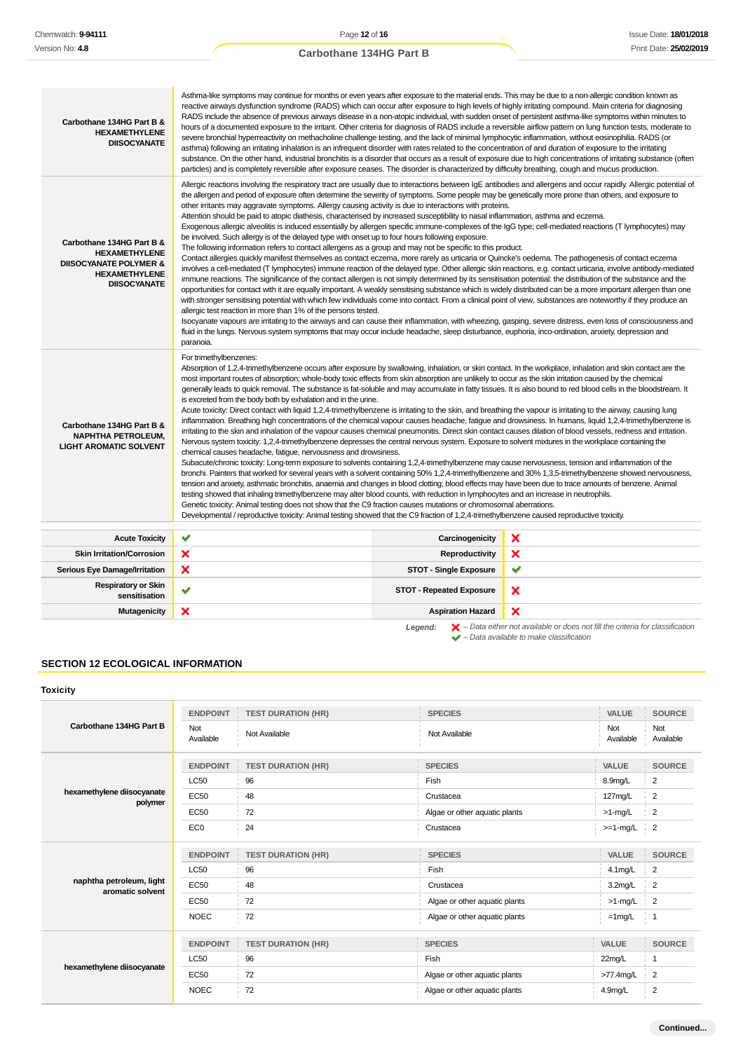| Carbothane 134HG Part B &<br><b>HEXAMETHYLENE</b><br><b>DIISOCYANATE</b>                                                              | Asthma-like symptoms may continue for months or even years after exposure to the material ends. This may be due to a non-allergic condition known as<br>reactive airways dysfunction syndrome (RADS) which can occur after exposure to high levels of highly irritating compound. Main criteria for diagnosing<br>RADS include the absence of previous airways disease in a non-atopic individual, with sudden onset of persistent asthma-like symptoms within minutes to<br>hours of a documented exposure to the irritant. Other criteria for diagnosis of RADS include a reversible airflow pattern on lung function tests, moderate to<br>severe bronchial hyperreactivity on methacholine challenge testing, and the lack of minimal lymphocytic inflammation, without eosinophilia. RADS (or<br>asthma) following an irritating inhalation is an infrequent disorder with rates related to the concentration of and duration of exposure to the irritating<br>substance. On the other hand, industrial bronchitis is a disorder that occurs as a result of exposure due to high concentrations of irritating substance (often<br>particles) and is completely reversible after exposure ceases. The disorder is characterized by difficulty breathing, cough and mucus production.                                                                                                                                                                                                                                                                                                                                                                                                                                                                                                                                                                                                                                                                                                                                                                                                                                                                                                       |                                 |   |  |
|---------------------------------------------------------------------------------------------------------------------------------------|------------------------------------------------------------------------------------------------------------------------------------------------------------------------------------------------------------------------------------------------------------------------------------------------------------------------------------------------------------------------------------------------------------------------------------------------------------------------------------------------------------------------------------------------------------------------------------------------------------------------------------------------------------------------------------------------------------------------------------------------------------------------------------------------------------------------------------------------------------------------------------------------------------------------------------------------------------------------------------------------------------------------------------------------------------------------------------------------------------------------------------------------------------------------------------------------------------------------------------------------------------------------------------------------------------------------------------------------------------------------------------------------------------------------------------------------------------------------------------------------------------------------------------------------------------------------------------------------------------------------------------------------------------------------------------------------------------------------------------------------------------------------------------------------------------------------------------------------------------------------------------------------------------------------------------------------------------------------------------------------------------------------------------------------------------------------------------------------------------------------------------------------------------------------------------------------|---------------------------------|---|--|
| Carbothane 134HG Part B &<br><b>HEXAMETHYLENE</b><br><b>DIISOCYANATE POLYMER &amp;</b><br><b>HEXAMETHYLENE</b><br><b>DIISOCYANATE</b> | Allergic reactions involving the respiratory tract are usually due to interactions between IgE antibodies and allergens and occur rapidly. Allergic potential of<br>the allergen and period of exposure often determine the severity of symptoms. Some people may be genetically more prone than others, and exposure to<br>other irritants may aggravate symptoms. Allergy causing activity is due to interactions with proteins.<br>Attention should be paid to atopic diathesis, characterised by increased susceptibility to nasal inflammation, asthma and eczema.<br>Exogenous allergic alveolitis is induced essentially by allergen specific immune-complexes of the IgG type; cell-mediated reactions (T lymphocytes) may<br>be involved. Such allergy is of the delayed type with onset up to four hours following exposure.<br>The following information refers to contact allergens as a group and may not be specific to this product.<br>Contact allergies quickly manifest themselves as contact eczema, more rarely as urticaria or Quincke's oedema. The pathogenesis of contact eczema<br>involves a cell-mediated (T lymphocytes) immune reaction of the delayed type. Other allergic skin reactions, e.g. contact urticaria, involve antibody-mediated<br>immune reactions. The significance of the contact allergen is not simply determined by its sensitisation potential: the distribution of the substance and the<br>opportunities for contact with it are equally important. A weakly sensitising substance which is widely distributed can be a more important allergen than one<br>with stronger sensitising potential with which few individuals come into contact. From a clinical point of view, substances are noteworthy if they produce an<br>allergic test reaction in more than 1% of the persons tested.<br>Isocyanate vapours are irritating to the airways and can cause their inflammation, with wheezing, gasping, severe distress, even loss of consciousness and<br>fluid in the lungs. Nervous system symptoms that may occur include headache, sleep disturbance, euphoria, inco-ordination, anxiety, depression and<br>paranoia.                |                                 |   |  |
| Carbothane 134HG Part B &<br><b>NAPHTHA PETROLEUM.</b><br><b>LIGHT AROMATIC SOLVENT</b>                                               | For trimethylbenzenes:<br>Absorption of 1,2,4-trimethylbenzene occurs after exposure by swallowing, inhalation, or skin contact. In the workplace, inhalation and skin contact are the<br>most important routes of absorption; whole-body toxic effects from skin absorption are unlikely to occur as the skin irritation caused by the chemical<br>generally leads to quick removal. The substance is fat-soluble and may accumulate in fatty tissues. It is also bound to red blood cells in the bloodstream. It<br>is excreted from the body both by exhalation and in the urine.<br>Acute toxicity: Direct contact with liquid 1,2,4-trimethylbenzene is irritating to the skin, and breathing the vapour is irritating to the airway, causing lung<br>inflammation. Breathing high concentrations of the chemical vapour causes headache, fatigue and drowsiness. In humans, liquid 1,2,4-trimethylbenzene is<br>irritating to the skin and inhalation of the vapour causes chemical pneumonitis. Direct skin contact causes dilation of blood vessels, redness and irritation.<br>Nervous system toxicity: 1,2,4-trimethylbenzene depresses the central nervous system. Exposure to solvent mixtures in the workplace containing the<br>chemical causes headache, fatique, nervousness and drowsiness.<br>Subacute/chronic toxicity: Long-term exposure to solvents containing 1,2,4-trimethylbenzene may cause nervousness, tension and inflammation of the<br>bronchi. Painters that worked for several years with a solvent containing 50% 1,2,4-trimethylbenzene and 30% 1,3,5-trimethylbenzene showed nervousness,<br>tension and anxiety, asthmatic bronchitis, anaemia and changes in blood clotting; blood effects may have been due to trace amounts of benzene. Animal<br>testing showed that inhaling trimethylbenzene may alter blood counts, with reduction in lymphocytes and an increase in neutrophils.<br>Genetic toxicity: Animal testing does not show that the C9 fraction causes mutations or chromosomal aberrations.<br>Developmental / reproductive toxicity: Animal testing showed that the C9 fraction of 1,2,4-trimethylbenzene caused reproductive toxicity. |                                 |   |  |
| <b>Acute Toxicity</b>                                                                                                                 | ✔                                                                                                                                                                                                                                                                                                                                                                                                                                                                                                                                                                                                                                                                                                                                                                                                                                                                                                                                                                                                                                                                                                                                                                                                                                                                                                                                                                                                                                                                                                                                                                                                                                                                                                                                                                                                                                                                                                                                                                                                                                                                                                                                                                                              | Carcinogenicity                 | × |  |
| <b>Skin Irritation/Corrosion</b>                                                                                                      | ×                                                                                                                                                                                                                                                                                                                                                                                                                                                                                                                                                                                                                                                                                                                                                                                                                                                                                                                                                                                                                                                                                                                                                                                                                                                                                                                                                                                                                                                                                                                                                                                                                                                                                                                                                                                                                                                                                                                                                                                                                                                                                                                                                                                              | Reproductivity                  | × |  |
| Serious Eye Damage/Irritation                                                                                                         | ×                                                                                                                                                                                                                                                                                                                                                                                                                                                                                                                                                                                                                                                                                                                                                                                                                                                                                                                                                                                                                                                                                                                                                                                                                                                                                                                                                                                                                                                                                                                                                                                                                                                                                                                                                                                                                                                                                                                                                                                                                                                                                                                                                                                              | <b>STOT - Single Exposure</b>   | ✔ |  |
| <b>Respiratory or Skin</b><br>sensitisation                                                                                           | ✔                                                                                                                                                                                                                                                                                                                                                                                                                                                                                                                                                                                                                                                                                                                                                                                                                                                                                                                                                                                                                                                                                                                                                                                                                                                                                                                                                                                                                                                                                                                                                                                                                                                                                                                                                                                                                                                                                                                                                                                                                                                                                                                                                                                              | <b>STOT - Repeated Exposure</b> | × |  |
| Mutagenicity                                                                                                                          | ×                                                                                                                                                                                                                                                                                                                                                                                                                                                                                                                                                                                                                                                                                                                                                                                                                                                                                                                                                                                                                                                                                                                                                                                                                                                                                                                                                                                                                                                                                                                                                                                                                                                                                                                                                                                                                                                                                                                                                                                                                                                                                                                                                                                              | <b>Aspiration Hazard</b>        | × |  |
|                                                                                                                                       |                                                                                                                                                                                                                                                                                                                                                                                                                                                                                                                                                                                                                                                                                                                                                                                                                                                                                                                                                                                                                                                                                                                                                                                                                                                                                                                                                                                                                                                                                                                                                                                                                                                                                                                                                                                                                                                                                                                                                                                                                                                                                                                                                                                                |                                 |   |  |

**Legend:** – Data either not available or does not fill the criteria for classification – Data available to make classification

# **SECTION 12 ECOLOGICAL INFORMATION**

# **Toxicity**

| Carbothane 134HG Part B               | <b>ENDPOINT</b>  | <b>TEST DURATION (HR)</b> | <b>SPECIES</b>                | VALUE            | <b>SOURCE</b>    |
|---------------------------------------|------------------|---------------------------|-------------------------------|------------------|------------------|
|                                       | Not<br>Available | Not Available             | Not Available                 | Not<br>Available | Not<br>Available |
|                                       | <b>ENDPOINT</b>  | <b>TEST DURATION (HR)</b> | <b>SPECIES</b>                | <b>VALUE</b>     | <b>SOURCE</b>    |
|                                       | <b>LC50</b>      | 96                        | Fish                          | 8.9mg/L          | $\overline{2}$   |
| hexamethylene diisocyanate<br>polymer | EC50             | 48                        | Crustacea                     | 127mg/L          | $\overline{2}$   |
|                                       | EC50             | 72                        | Algae or other aquatic plants | $>1$ -mg/L       | $\overline{2}$   |
|                                       | EC <sub>0</sub>  | 24                        | Crustacea                     | $>=1-mg/L$       | $\overline{2}$   |
|                                       | <b>ENDPOINT</b>  | <b>TEST DURATION (HR)</b> | <b>SPECIES</b>                | <b>VALUE</b>     | <b>SOURCE</b>    |
|                                       | <b>LC50</b>      | 96                        | Fish                          | 4.1mg/L          | $\overline{2}$   |
| naphtha petroleum, light              | EC50             | 48                        | Crustacea                     | 3.2mg/L          | $\overline{2}$   |
| aromatic solvent                      | EC50             | 72                        | Algae or other aquatic plants | $>1$ -mg/L       | $\overline{2}$   |
|                                       | <b>NOEC</b>      | 72                        | Algae or other aquatic plants | $=1$ mg/L        | i 1              |
|                                       | <b>ENDPOINT</b>  | <b>TEST DURATION (HR)</b> | <b>SPECIES</b>                | <b>VALUE</b>     | <b>SOURCE</b>    |
|                                       | <b>LC50</b>      | 96                        | Fish                          | 22mg/L           | -1               |
| hexamethylene diisocyanate            |                  |                           |                               |                  |                  |
|                                       | <b>EC50</b>      | 72                        | Algae or other aquatic plants | >77.4mg/L        | $\overline{2}$   |
|                                       | <b>NOEC</b>      | 72                        | Algae or other aquatic plants | 4.9mg/L          | $\overline{2}$   |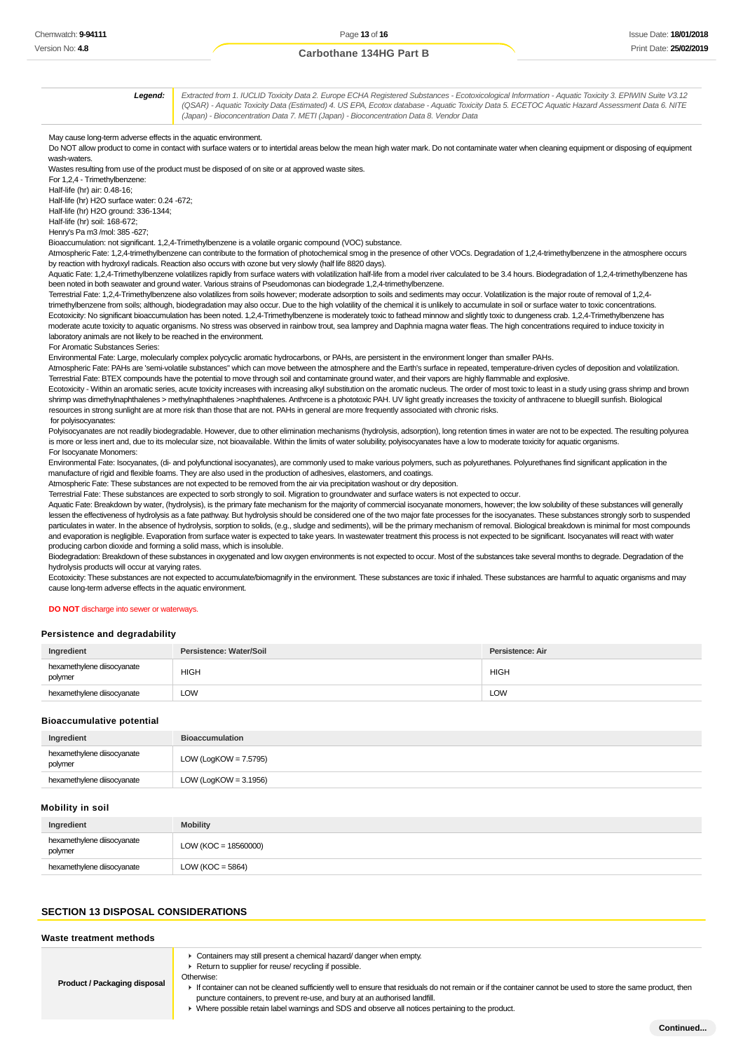Issue Date: **18/01/2018** Print Date: **25/02/2019**

# **Carbothane 134HG Part B**

**Legend:** Extracted from 1. IUCLID Toxicity Data 2. Europe ECHA Registered Substances - Ecotoxicological Information - Aquatic Toxicity 3. EPIWIN Suite V3.12 (QSAR) - Aquatic Toxicity Data (Estimated) 4. US EPA, Ecotox database - Aquatic Toxicity Data 5. ECETOC Aquatic Hazard Assessment Data 6. NITE (Japan) - Bioconcentration Data 7. METI (Japan) - Bioconcentration Data 8. Vendor Data

May cause long-term adverse effects in the aquatic environment.

Do NOT allow product to come in contact with surface waters or to intertidal areas below the mean high water mark. Do not contaminate water when cleaning equipment or disposing of equipment wash-waters.

Wastes resulting from use of the product must be disposed of on site or at approved waste sites. For 1,2,4 - Trimethylbenzene:

Half-life (hr) air: 0.48-16;

Half-life (hr) H2O surface water: 0.24 -672;

Half-life (hr) H2O ground: 336-1344;

Half-life (hr) soil: 168-672;

Henry's Pa m3 /mol: 385 -627;

Bioaccumulation: not significant. 1,2,4-Trimethylbenzene is a volatile organic compound (VOC) substance.

Atmospheric Fate: 1,2,4-trimethylbenzene can contribute to the formation of photochemical smog in the presence of other VOCs. Degradation of 1,2,4-trimethylbenzene in the atmosphere occurs by reaction with hydroxyl radicals. Reaction also occurs with ozone but very slowly (half life 8820 days).

Aquatic Fate: 1,2,4-Trimethylbenzene volatilizes rapidly from surface waters with volatilization half-life from a model river calculated to be 3.4 hours. Biodegradation of 1,2,4-trimethylbenzene has been noted in both seawater and ground water. Various strains of Pseudomonas can biodegrade 1,2,4-trimethylbenzene.

Terrestrial Fate: 1,2,4-Trimethylbenzene also volatilizes from soils however; moderate adsorption to soils and sediments may occur. Volatilization is the major route of removal of 1,2,4 trimethylbenzene from soils; although, biodegradation may also occur. Due to the high volatility of the chemical it is unlikely to accumulate in soil or surface water to toxic concentrations. Ecotoxicity: No significant bioaccumulation has been noted. 1,2,4-Trimethylbenzene is moderately toxic to fathead minnow and slightly toxic to dungeness crab. 1,2,4-Trimethylbenzene has moderate acute toxicity to aquatic organisms. No stress was observed in rainbow trout, sea lamprey and Daphnia magna water fleas. The high concentrations required to induce toxicity in laboratory animals are not likely to be reached in the environment.

For Aromatic Substances Series:

Environmental Fate: Large, molecularly complex polycyclic aromatic hydrocarbons, or PAHs, are persistent in the environment longer than smaller PAHs.

Atmospheric Fate: PAHs are 'semi-volatile substances" which can move between the atmosphere and the Earth's surface in repeated, temperature-driven cycles of deposition and volatilization. Terrestrial Fate: BTEX compounds have the potential to move through soil and contaminate ground water, and their vapors are highly flammable and explosive.

Ecotoxicity - Within an aromatic series, acute toxicity increases with increasing alkyl substitution on the aromatic nucleus. The order of most toxic to least in a study using grass shrimp and brown shrimp was dimethylnaphthalenes > methylnaphthalenes >naphthalenes. Anthrcene is a phototoxic PAH. UV light greatly increases the toxicity of anthracene to bluegill sunfish. Biological resources in strong sunlight are at more risk than those that are not. PAHs in general are more frequently associated with chronic risks. for polyisocyanates:

Polyisocyanates are not readily biodegradable. However, due to other elimination mechanisms (hydrolysis, adsorption), long retention times in water are not to be expected. The resulting polyurea is more or less inert and, due to its molecular size, not bioavailable. Within the limits of water solubility, polyisocyanates have a low to moderate toxicity for aquatic organisms. For Isocyanate Monomers:

Environmental Fate: Isocyanates, (di- and polyfunctional isocyanates), are commonly used to make various polymers, such as polyurethanes. Polyurethanes find significant application in the manufacture of rigid and flexible foams. They are also used in the production of adhesives, elastomers, and coatings.

Atmospheric Fate: These substances are not expected to be removed from the air via precipitation washout or dry deposition.

Terrestrial Fate: These substances are expected to sorb strongly to soil. Migration to groundwater and surface waters is not expected to occur.

Aquatic Fate: Breakdown by water, (hydrolysis), is the primary fate mechanism for the majority of commercial isocyanate monomers, however; the low solubility of these substances will generally lessen the effectiveness of hydrolysis as a fate pathway. But hydrolysis should be considered one of the two major fate processes for the isocyanates. These substances strongly sorb to suspended particulates in water. In the absence of hydrolysis, sorption to solids, (e.g., sludge and sediments), will be the primary mechanism of removal. Biological breakdown is minimal for most compounds and evaporation is negligible. Evaporation from surface water is expected to take years. In wastewater treatment this process is not expected to be significant. Isocyanates will react with water producing carbon dioxide and forming a solid mass, which is insoluble.

Biodegradation: Breakdown of these substances in oxygenated and low oxygen environments is not expected to occur. Most of the substances take several months to degrade. Degradation of the hydrolysis products will occur at varying rates.

Ecotoxicity: These substances are not expected to accumulate/biomagnify in the environment. These substances are toxic if inhaled. These substances are harmful to aquatic organisms and may cause long-term adverse effects in the aquatic environment.

#### **DO NOT** discharge into sewer or waterways.

### **Persistence and degradability**

| Ingredient                            | Persistence: Water/Soil | Persistence: Air |
|---------------------------------------|-------------------------|------------------|
| hexamethylene diisocyanate<br>polymer | <b>HIGH</b>             | <b>HIGH</b>      |
| hexamethylene diisocyanate            | <b>LOW</b>              | LOW              |

#### **Bioaccumulative potential**

| Ingredient                            | <b>Bioaccumulation</b>   |
|---------------------------------------|--------------------------|
| hexamethylene diisocyanate<br>polymer | LOW (LogKOW = $7.5795$ ) |
| hexamethylene diisocyanate            | LOW (LogKOW = $3.1956$ ) |

### **Mobility in soil**

| Ingredient                            | <b>Mobility</b>        |
|---------------------------------------|------------------------|
| hexamethylene diisocyanate<br>polymer | $LOW (KOC = 18560000)$ |
| hexamethylene diisocyanate            | LOW (KOC = $5864$ )    |

# **SECTION 13 DISPOSAL CONSIDERATIONS**

**Waste treatment methods Product / Packaging disposal** Containers may still present a chemical hazard/ danger when empty. ▶ Return to supplier for reuse/ recycling if possible Otherwise: If container can not be cleaned sufficiently well to ensure that residuals do not remain or if the container cannot be used to store the same product, then puncture containers, to prevent re-use, and bury at an authorised landfill. Where possible retain label warnings and SDS and observe all notices pertaining to the product.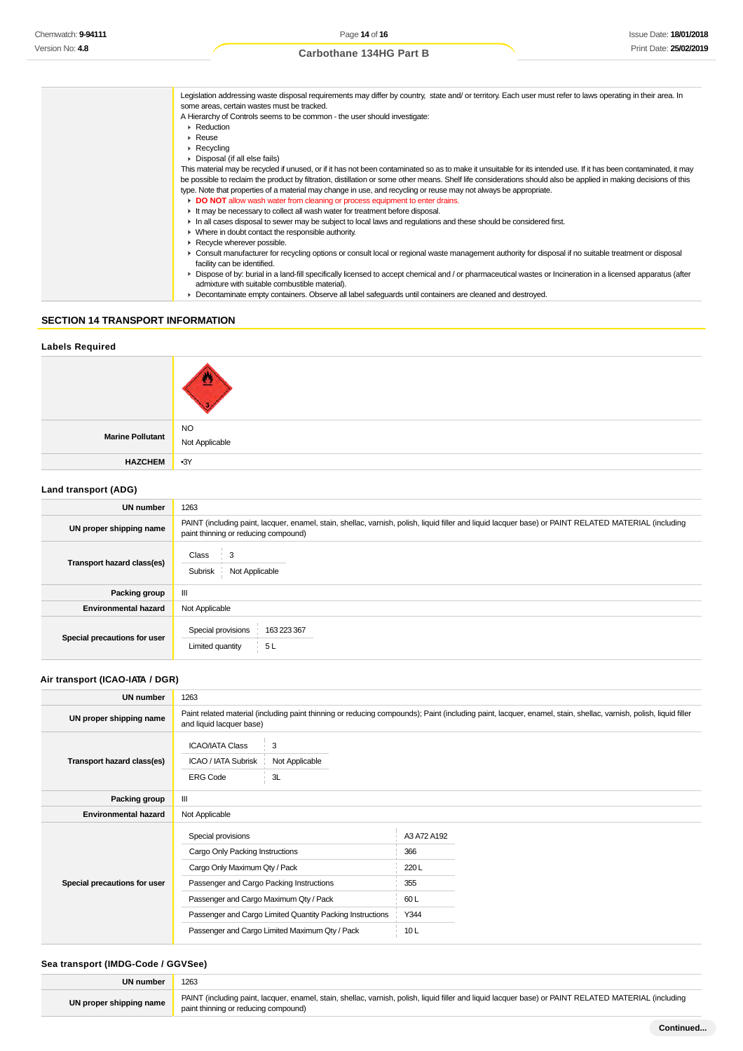| Legislation addressing waste disposal requirements may differ by country, state and/ or territory. Each user must refer to laws operating in their area. In       |
|-------------------------------------------------------------------------------------------------------------------------------------------------------------------|
| some areas, certain wastes must be tracked.                                                                                                                       |
| A Hierarchy of Controls seems to be common - the user should investigate:                                                                                         |
| $\blacktriangleright$ Reduction                                                                                                                                   |
| $\triangleright$ Reuse                                                                                                                                            |
| $\triangleright$ Recycling                                                                                                                                        |
| • Disposal (if all else fails)                                                                                                                                    |
| This material may be recycled if unused, or if it has not been contaminated so as to make it unsuitable for its intended use. If it has been contaminated, it may |
| be possible to reclaim the product by filtration, distillation or some other means. Shelf life considerations should also be applied in making decisions of this  |
| type. Note that properties of a material may change in use, and recycling or reuse may not always be appropriate.                                                 |
| DO NOT allow wash water from cleaning or process equipment to enter drains.                                                                                       |
| It may be necessary to collect all wash water for treatment before disposal.                                                                                      |
| In all cases disposal to sewer may be subject to local laws and regulations and these should be considered first.                                                 |
| • Where in doubt contact the responsible authority.                                                                                                               |
| Recycle wherever possible.                                                                                                                                        |
| ► Consult manufacturer for recycling options or consult local or regional waste management authority for disposal if no suitable treatment or disposal            |
| facility can be identified.                                                                                                                                       |
| • Dispose of by: burial in a land-fill specifically licensed to accept chemical and / or pharmaceutical wastes or Incineration in a licensed apparatus (after     |
| admixture with suitable combustible material).                                                                                                                    |
| • Decontaminate empty containers. Observe all label safeguards until containers are cleaned and destroyed.                                                        |

# **SECTION 14 TRANSPORT INFORMATION**

# **Labels Required**

**HAZCHEM** •3Y

**Marine Pollutant**

# **Land transport (ADG)**

| UN number                    | 1263                                                                                                                                                                                          |  |
|------------------------------|-----------------------------------------------------------------------------------------------------------------------------------------------------------------------------------------------|--|
| UN proper shipping name      | PAINT (including paint, lacquer, enamel, stain, shellac, varnish, polish, liquid filler and liquid lacquer base) or PAINT RELATED MATERIAL (including<br>paint thinning or reducing compound) |  |
| Transport hazard class(es)   | Class<br>3<br>Not Applicable<br>Subrisk                                                                                                                                                       |  |
| Packing group                | Ш                                                                                                                                                                                             |  |
| <b>Environmental hazard</b>  | Not Applicable                                                                                                                                                                                |  |
| Special precautions for user | Special provisions<br>163 223 367<br>Limited quantity<br>5L                                                                                                                                   |  |

# **Air transport (ICAO-IATA / DGR)**

| UN number                    | 1263                                                                                          |                                                                                                                                                                  |
|------------------------------|-----------------------------------------------------------------------------------------------|------------------------------------------------------------------------------------------------------------------------------------------------------------------|
| UN proper shipping name      | and liquid lacquer base)                                                                      | Paint related material (including paint thinning or reducing compounds); Paint (including paint, lacquer, enamel, stain, shellac, varnish, polish, liquid filler |
| Transport hazard class(es)   | 3<br><b>ICAO/IATA Class</b><br>Not Applicable<br>ICAO / IATA Subrisk<br>3L<br><b>ERG Code</b> |                                                                                                                                                                  |
| Packing group                | $\mathbf{III}$                                                                                |                                                                                                                                                                  |
| <b>Environmental hazard</b>  | Not Applicable                                                                                |                                                                                                                                                                  |
| Special precautions for user | Special provisions<br>Cargo Only Packing Instructions<br>Cargo Only Maximum Qty / Pack        | A3 A72 A192<br>366<br>220L                                                                                                                                       |
|                              | Passenger and Cargo Packing Instructions                                                      | 355                                                                                                                                                              |
|                              | Passenger and Cargo Maximum Qty / Pack                                                        | 60L                                                                                                                                                              |
|                              | Passenger and Cargo Limited Quantity Packing Instructions                                     | Y344                                                                                                                                                             |
|                              | Passenger and Cargo Limited Maximum Qty / Pack                                                | 10L                                                                                                                                                              |
|                              |                                                                                               |                                                                                                                                                                  |

# **Sea transport (IMDG-Code / GGVSee)**

Ļ  $\overline{\phantom{a}}$ 

| UN number               | 1263                                                                                                                                                                                          |
|-------------------------|-----------------------------------------------------------------------------------------------------------------------------------------------------------------------------------------------|
| UN proper shipping name | PAINT (including paint, lacquer, enamel, stain, shellac, varnish, polish, liquid filler and liquid lacquer base) or PAINT RELATED MATERIAL (including<br>paint thinning or reducing compound) |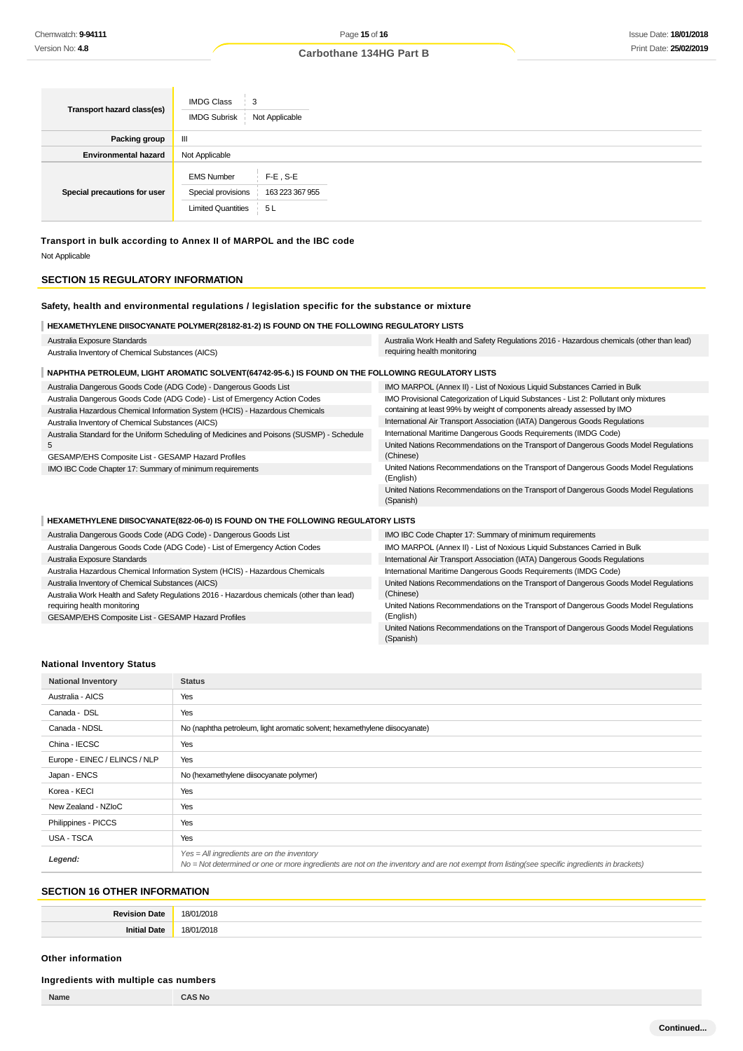| Transport hazard class(es)   | <b>IMDG Class</b><br>3<br><b>IMDG Subrisk</b><br>Not Applicable                                              |
|------------------------------|--------------------------------------------------------------------------------------------------------------|
| Packing group                | Ш                                                                                                            |
| <b>Environmental hazard</b>  | Not Applicable                                                                                               |
| Special precautions for user | <b>EMS Number</b><br>$F-E$ , S-E<br>Special provisions<br>163 223 367 955<br><b>Limited Quantities</b><br>5L |

**Transport in bulk according to Annex II of MARPOL and the IBC code** Not Applicable

# **SECTION 15 REGULATORY INFORMATION**

# **Safety, health and environmental regulations / legislation specific for the substance or mixture**

| HEXAMETHYLENE DIISOCYANATE POLYMER(28182-81-2) IS FOUND ON THE FOLLOWING REGULATORY LISTS                                                                  |                                                                                                                                                                  |
|------------------------------------------------------------------------------------------------------------------------------------------------------------|------------------------------------------------------------------------------------------------------------------------------------------------------------------|
| Australia Exposure Standards                                                                                                                               | Australia Work Health and Safety Regulations 2016 - Hazardous chemicals (other than lead)                                                                        |
| Australia Inventory of Chemical Substances (AICS)                                                                                                          | requiring health monitoring                                                                                                                                      |
| NAPHTHA PETROLEUM, LIGHT AROMATIC SOLVENT (64742-95-6.) IS FOUND ON THE FOLLOWING REGULATORY LISTS                                                         |                                                                                                                                                                  |
| Australia Dangerous Goods Code (ADG Code) - Dangerous Goods List                                                                                           | IMO MARPOL (Annex II) - List of Noxious Liquid Substances Carried in Bulk                                                                                        |
| Australia Dangerous Goods Code (ADG Code) - List of Emergency Action Codes<br>Australia Hazardous Chemical Information System (HCIS) - Hazardous Chemicals | IMO Provisional Categorization of Liquid Substances - List 2: Pollutant only mixtures<br>containing at least 99% by weight of components already assessed by IMO |
| Australia Inventory of Chemical Substances (AICS)                                                                                                          | International Air Transport Association (IATA) Dangerous Goods Regulations                                                                                       |
| Australia Standard for the Uniform Scheduling of Medicines and Poisons (SUSMP) - Schedule                                                                  | International Maritime Dangerous Goods Requirements (IMDG Code)                                                                                                  |
| 5<br>GESAMP/EHS Composite List - GESAMP Hazard Profiles                                                                                                    | United Nations Recommendations on the Transport of Dangerous Goods Model Regulations<br>(Chinese)                                                                |
| IMO IBC Code Chapter 17: Summary of minimum requirements                                                                                                   | United Nations Recommendations on the Transport of Dangerous Goods Model Regulations<br>(English)                                                                |
|                                                                                                                                                            | United Nations Recommendations on the Transport of Dangerous Goods Model Regulations<br>(Spanish)                                                                |
| HEXAMETHYLENE DIISOCYANATE(822-06-0) IS FOUND ON THE FOLLOWING REGULATORY LISTS                                                                            |                                                                                                                                                                  |
| Australia Dangerous Goods Code (ADG Code) - Dangerous Goods List                                                                                           | IMO IBC Code Chapter 17: Summary of minimum requirements                                                                                                         |
| Australia Dangerous Goods Code (ADG Code) - List of Emergency Action Codes                                                                                 | IMO MARPOL (Annex II) - List of Noxious Liquid Substances Carried in Bulk                                                                                        |
| Australia Exposure Standards                                                                                                                               | International Air Transport Association (IATA) Dangerous Goods Regulations                                                                                       |
| Australia Hazardous Chemical Information System (HCIS) - Hazardous Chemicals                                                                               | International Maritime Dangerous Goods Requirements (IMDG Code)                                                                                                  |
| Australia Inventory of Chemical Substances (AICS)                                                                                                          | United Nations Recommendations on the Transport of Dangerous Goods Model Regulations                                                                             |
| Australia Work Health and Safety Regulations 2016 - Hazardous chemicals (other than lead)<br>requiring health monitoring                                   | (Chinese)<br>United Nations Recommendations on the Transport of Dangerous Goods Model Regulations                                                                |
| GESAMP/EHS Composite List - GESAMP Hazard Profiles                                                                                                         | (English)                                                                                                                                                        |
|                                                                                                                                                            | United Nations Recommendations on the Transport of Dangerous Goods Model Regulations<br>(Spanish)                                                                |

# **National Inventory Status**

| <b>National Inventory</b>     | <b>Status</b>                                                                                                                                                                                 |
|-------------------------------|-----------------------------------------------------------------------------------------------------------------------------------------------------------------------------------------------|
| Australia - AICS              | Yes                                                                                                                                                                                           |
| Canada - DSL                  | Yes                                                                                                                                                                                           |
| Canada - NDSL                 | No (naphtha petroleum, light aromatic solvent; hexamethylene diisocyanate)                                                                                                                    |
| China - IECSC                 | Yes                                                                                                                                                                                           |
| Europe - EINEC / ELINCS / NLP | Yes                                                                                                                                                                                           |
| Japan - ENCS                  | No (hexamethylene diisocyanate polymer)                                                                                                                                                       |
| Korea - KECI                  | Yes                                                                                                                                                                                           |
| New Zealand - NZIoC           | Yes                                                                                                                                                                                           |
| Philippines - PICCS           | Yes                                                                                                                                                                                           |
| USA - TSCA                    | Yes                                                                                                                                                                                           |
| Legend:                       | $Yes = All ingredients are on the inventory$<br>No = Not determined or one or more ingredients are not on the inventory and are not exempt from listing(see specific ingredients in brackets) |

# **SECTION 16 OTHER INFORMATION**

| IX. |
|-----|
|     |

## **Other information**

# **Ingredients with multiple cas numbers**

| Name | <b>CAS No</b> |
|------|---------------|
|      |               |